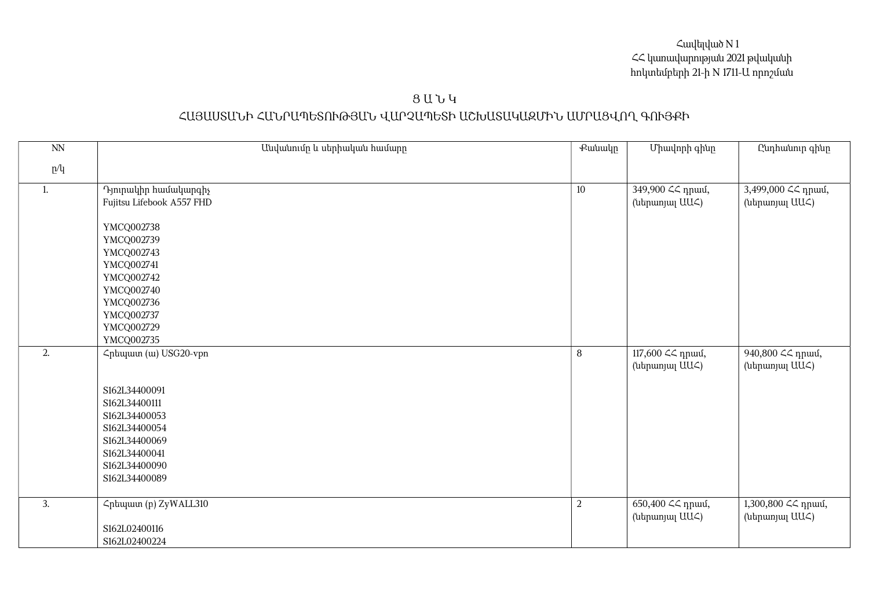## Ց Ա Ն Կ ՀԱՅԱՍՏԱՆԻ ՀԱՆՐԱՊԵՏՈՒԹՅԱՆ ՎԱՐՉԱՊԵՏԻ ԱՇԽԱՏԱԿԱԶՄԻՆ ԱՄՐԱՑՎՈՂ ԳՈՒՅՔԻ

| $\mathop{\rm NN}\nolimits$ | Անվանումը և սերիական համարը                                                                                                                                                                   | Քանակը         | Միավորի գինը                       | Ընդհանուր գինը                         |
|----------------------------|-----------------------------------------------------------------------------------------------------------------------------------------------------------------------------------------------|----------------|------------------------------------|----------------------------------------|
| p/q                        |                                                                                                                                                                                               |                |                                    |                                        |
| 1.                         | Դյուրակիր համակարգիչ<br>Fujitsu Lifebook A557 FHD<br>YMCQ002738<br>YMCQ002739<br>YMCQ002743<br>YMCQ002741<br>YMCQ002742<br>YMCQ002740<br>YMCQ002736<br>YMCQ002737<br>YMCQ002729<br>YMCQ002735 | $10\,$         | 349,900 ∠∠ դրամ,<br>(ներառյալ ԱԱՀ) | 3,499,000 << npuu,<br>(ներառյալ UUՀ)   |
| 2.                         | Հրեպատ (ա) USG20-vpn<br>S162L34400091<br>S162L34400111<br>S162L34400053<br>S162L34400054<br>S162L34400069<br>S162L34400041<br>S162L34400090<br>S162L34400089                                  | $\, 8$         | 117,600 << npuu,<br>(ներառյալ UUՀ) | 940,800 << npuu f,<br>(ներառյալ UU<)   |
| 3.                         | Հրեպատ (բ) ZyWALL310<br>S162L02400116<br>S162L02400224                                                                                                                                        | $\overline{a}$ | 650,400 ՀՀ դրամ,<br>(ներառյալ UU<) | 1,300,800 << npuu 6,<br>(ներառյալ UU<) |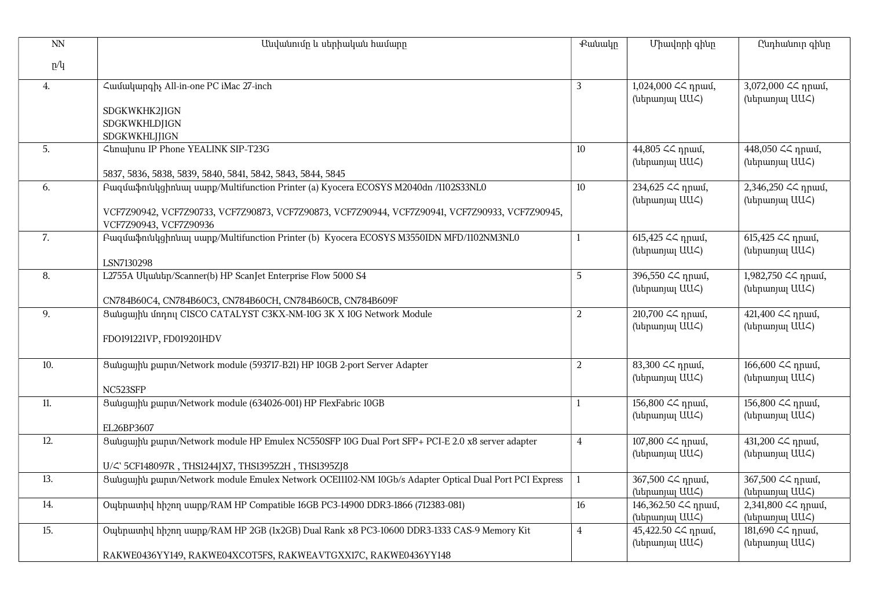| $\overline{NN}$ | Անվանումը և սերիական համարը                                                                           | Քանակր         | Միավորի գինը                         | Ընդհանուր գինը                        |
|-----------------|-------------------------------------------------------------------------------------------------------|----------------|--------------------------------------|---------------------------------------|
| p/q             |                                                                                                       |                |                                      |                                       |
| 4.              | <b>Cuufuluunghy All-in-one PC iMac 27-inch</b>                                                        | 3              | 1,024,000 << npuul,                  | 3,072,000 << npuu,                    |
|                 |                                                                                                       |                | (utmunjul UU<)                       | (ներառյալ UUՀ)                        |
|                 | SDGKWKHK2J1GN                                                                                         |                |                                      |                                       |
|                 | SDGKWKHLDJ1GN                                                                                         |                |                                      |                                       |
|                 | SDGKWKHLJJ1GN                                                                                         |                |                                      |                                       |
| 5.              | <b><i>Championul IP Phone YEALINK SIP-T23G</i></b>                                                    | 10             | 44,805 << npuu,                      | 448,050 << npuu,                      |
|                 | 5837, 5836, 5838, 5839, 5840, 5841, 5842, 5843, 5844, 5845                                            |                | (ներառյալ UUՀ)                       | (utinumuu UU<)                        |
| 6.              | Բազմաֆունկցիոնալ սարք/Multifunction Printer (a) Kyocera ECOSYS M2040dn /1102S33NL0                    | 10             | 234,625 <<< <r a="" npuu<="">0.</r>  | 2,346,250 << npuul,                   |
|                 |                                                                                                       |                | (ներառյալ UUՀ)                       | (utmunjuj UU<)                        |
|                 | VCF7Z90942, VCF7Z90733, VCF7Z90873, VCF7Z90873, VCF7Z90944, VCF7Z90941, VCF7Z90933, VCF7Z90945,       |                |                                      |                                       |
|                 | VCF7Z90943, VCF7Z90936                                                                                |                |                                      |                                       |
| 7.              | Puquu\$ntuqqhntuq uuqp/Multifunction Printer (b) Kyocera ECOSYS M3550IDN MFD/1102NM3NL0               | $\mathbf{1}$   | 615,425 << npwu,                     | $\sqrt{615,425}$ $\leq$ npuu,         |
|                 |                                                                                                       |                | (utipunjul UUC)                      | (utinumjul UU<)                       |
|                 | LSN7130298                                                                                            |                |                                      |                                       |
| 8.              | L2755A Uluutubn/Scanner(b) HP ScanJet Enterprise Flow 5000 S4                                         | 5              |                                      | 1,982,750 << npuu,                    |
|                 | CN784B60C4, CN784B60C3, CN784B60CH, CN784B60CB, CN784B609F                                            |                | (ներառյալ UU<)                       | (utinumjul UU<)                       |
| 9.              | 8 mugunhu unnnu CISCO CATALYST C3KX-NM-10G 3K X 10G Network Module                                    | 2              | 210,700 << npuu,                     | 421,400 <<<br>npuu<br>6,              |
|                 |                                                                                                       |                | (ներառյալ UU<)                       | (utmunjul UU<)                        |
|                 | FDO191221VP, FD019201HDV                                                                              |                |                                      |                                       |
|                 |                                                                                                       |                |                                      |                                       |
| 10.             | Suingunhu punn/Network module (593717-B21) HP 10GB 2-port Server Adapter                              | $\overline{2}$ | 83,300 << npuu,                      | 166,600 ՀՀ դրամ,                      |
|                 |                                                                                                       |                | (utmunjuj UU<)                       | (utmunjuj UU<)                        |
| 11.             | NC523SFP<br>8uiuguujhu puupun/Network module (634026-001) HP FlexFabric 10GB                          | $\mathbf{1}$   | 156,800 ՀՀ դրամ,                     | 156,800 ՀՀ դրամ,                      |
|                 |                                                                                                       |                | (utipunjul UU<)                      | (utinumjul UU<)                       |
|                 | EL26BP3607                                                                                            |                |                                      |                                       |
| 12.             | 8uuguunhu puunu/Network module HP Emulex NC550SFP 10G Dual Port SFP+ PCI-E 2.0 x8 server adapter      | $\overline{4}$ | 107,800 << դրամ,                     | 431,200 <<< <r></r> npuu<br>6,        |
|                 |                                                                                                       |                | (utinumjul UU<)                      | (utmunjul UU<)                        |
|                 | U/ <<br>5CF148097R, THS1244JX7, THS1395Z2H, THS1395ZJ8                                                |                |                                      |                                       |
| 13.             | 8uuguunhu punn/Network module Emulex Network OCE11102-NM 10Gb/s Adapter Optical Dual Port PCI Express | $\overline{1}$ | 367,500 <<< <r></r> npuu<br>6,       | 367,500 << npwu,                      |
|                 |                                                                                                       |                | (ներառյալ UU<)                       | (utipunjul UU<)                       |
| 14.             | Oudtpuunhul hhynn uuupp/RAM HP Compatible 16GB PC3-14900 DDR3-1866 (712383-081)                       | 16             | 146,362.50 <<<nuu0,                  | 2,341,800 << npuu,<br>(utinumjul UU4) |
| 15.             | Oudtpuunhul hhynn uunp/RAM HP 2GB (1x2GB) Dual Rank x8 PC3-10600 DDR3-1333 CAS-9 Memory Kit           | $\overline{4}$ | (utmunjuj UU<)<br>45,422.50 << npuu, | 181,690 <<<br>npuu<br>0,              |
|                 |                                                                                                       |                | (utipunjul UU<)                      | (utmunjul UU<)                        |
|                 | RAKWE0436YY149, RAKWE04XCOT5FS, RAKWEAVTGXX17C, RAKWE0436YY148                                        |                |                                      |                                       |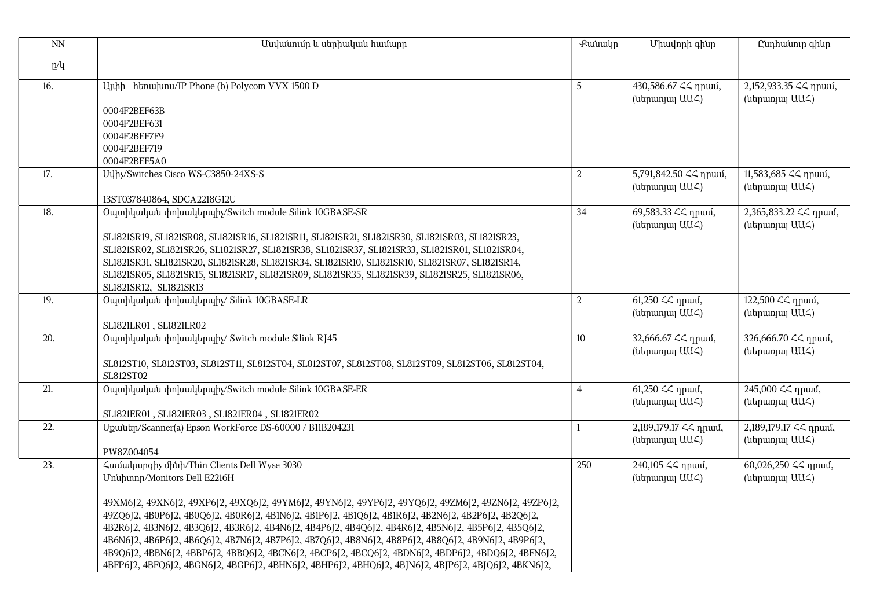| NN  | Անվանումը և սերիական համարը                                                                                                                                                                                                                                                                                                                                                                                                                                                                                                                                                                                                                                                                                       | <b></b> eutuulp | Միավորի գինը                                              | Ընդհանուր գինը                                             |
|-----|-------------------------------------------------------------------------------------------------------------------------------------------------------------------------------------------------------------------------------------------------------------------------------------------------------------------------------------------------------------------------------------------------------------------------------------------------------------------------------------------------------------------------------------------------------------------------------------------------------------------------------------------------------------------------------------------------------------------|-----------------|-----------------------------------------------------------|------------------------------------------------------------|
| p/q |                                                                                                                                                                                                                                                                                                                                                                                                                                                                                                                                                                                                                                                                                                                   |                 |                                                           |                                                            |
| 16. | Ալփի htmuhunu/IP Phone (b) Polycom VVX 1500 D<br>0004F2BEF63B<br>0004F2BEF631<br>0004F2BEF7F9<br>0004F2BEF719<br>0004F2BEF5A0                                                                                                                                                                                                                                                                                                                                                                                                                                                                                                                                                                                     | 5               | 430,586.67 <<< npuu0,<br>(ներառյալ UUՀ)                   | 2,152,933.35 << npuu,<br>(ներառյալ UUՀ)                    |
| 17. | Ullhy/Switches Cisco WS-C3850-24XS-S<br>13ST037840864, SDCA2218G12U                                                                                                                                                                                                                                                                                                                                                                                                                                                                                                                                                                                                                                               | $\overline{2}$  | 5,791,842.50 ∠ դրամ,<br>(utmunjul UU<)                    | 11,583,685 << npmu,<br>(ներառյալ UUՀ)                      |
| 18. | Oպտիկական փոխակերպիչ/Switch module Silink 10GBASE-SR<br>SL1821SR19, SL1821SR08, SL1821SR16, SL1821SR11, SL1821SR21, SL1821SR30, SL1821SR03, SL1821SR23,<br>SL1821SR02, SL1821SR26, SL1821SR27, SL1821SR38, SL1821SR37, SL1821SR33, SL1821SR01, SL1821SR04,<br>SL1821SR31, SL1821SR20, SL1821SR28, SL1821SR34, SL1821SR10, SL1821SR10, SL1821SR07, SL1821SR14,<br>SL1821SR05, SL1821SR15, SL1821SR17, SL1821SR09, SL1821SR35, SL1821SR39, SL1821SR25, SL1821SR06,<br>SL1821SR12, SL1821SR13                                                                                                                                                                                                                        | 34              | 69,583.33 << npwu,<br>(ներառյալ UUՀ)                      | 2,365,833.22 << npwu,<br>(utipunjuj UU<)                   |
| 19. | Oպտիկական փոխակերպիչ/ Silink 10GBASE-LR<br>SL1821LR01, SL1821LR02                                                                                                                                                                                                                                                                                                                                                                                                                                                                                                                                                                                                                                                 | 2               | 61,250 $\text{\textless}\xspace$ hpuul,<br>(ներառյալ UUՀ) | 122,500 << npwu,<br>(ներառյալ UUՀ)                         |
| 20. | Owunhluuluuu uhnluuulunuuhs/ Switch module Silink RJ45<br>SL812ST10, SL812ST03, SL812ST11, SL812ST04, SL812ST07, SL812ST08, SL812ST09, SL812ST06, SL812ST04,<br>SL812ST02                                                                                                                                                                                                                                                                                                                                                                                                                                                                                                                                         | 10              | 32,666.67 <<<<npuu0,<br>(utipunjul UU4)                   | 326,666.70 <<<nuuuu,<br>(ներառյալ UUՀ)                     |
| 21. | Ownhluuluuu uhnluuulunuuhs/Switch module Silink 10GBASE-ER<br>SL1821ER01, SL1821ER03, SL1821ER04, SL1821ER02                                                                                                                                                                                                                                                                                                                                                                                                                                                                                                                                                                                                      | 4               | 61,250 << npuu,<br>(ներառյալ UUՀ)                         | 245,000 <<< <r a="" npuu<="">0.<br/>(utipunjuj UU&lt;)</r> |
| 22. | Upwuutp/Scanner(a) Epson WorkForce DS-60000 / B11B204231<br>PW8Z004054                                                                                                                                                                                                                                                                                                                                                                                                                                                                                                                                                                                                                                            | 1               | 2,189,179.17 << npuu,<br>(utipunjuj UU<)                  | 2,189,179.17 << npuu,<br>(ներառյալ UUՀ)                    |
| 23. | Cuufuluunqh  upuh/Thin Clients Dell Wyse 3030<br>Unuhunn/Monitors Dell E2216H<br>49XM6J2, 49XN6J2, 49XP6J2, 49XQ6J2, 49YM6J2, 49YN6J2, 49YP6J2, 49YQ6J2, 49ZM6J2, 49ZN6J2, 49ZP6J2,<br>49ZQ6J2, 4B0P6J2, 4B0Q6J2, 4B0R6J2, 4B1N6J2, 4B1P6J2, 4B1Q6J2, 4B1R6J2, 4B2N6J2, 4B2P6J2, 4B2Q6J2,<br>4B2R6J2, 4B3N6J2, 4B3Q6J2, 4B3R6J2, 4B4N6J2, 4B4P6J2, 4B4Q6J2, 4B4R6J2, 4B5N6J2, 4B5P6J2, 4B5Q6J2,<br>4B6N6J2, 4B6P6J2, 4B6Q6J2, 4B7N6J2, 4B7P6J2, 4B7Q6J2, 4B8N6J2, 4B8P6J2, 4B8Q6J2, 4B9N6J2, 4B9P6J2,<br>4B9Q6J2, 4BBN6J2, 4BBP6J2, 4BBQ6J2, 4BCN6J2, 4BCP6J2, 4BCQ6J2, 4BDN6J2, 4BDP6J2, 4BDQ6J2, 4BFN6J2,<br>4BFP6J2, 4BFQ6J2, 4BGN6J2, 4BGP6J2, 4BHN6J2, 4BHP6J2, 4BHQ6J2, 4BJN6J2, 4BJP6J2, 4BJQ6J2, 4BKN6J2, | 250             | 240,105 << npuu,<br>(utipunjul UUC)                       | 60,026,250 << npuu,<br>(utipunjuj UU<)                     |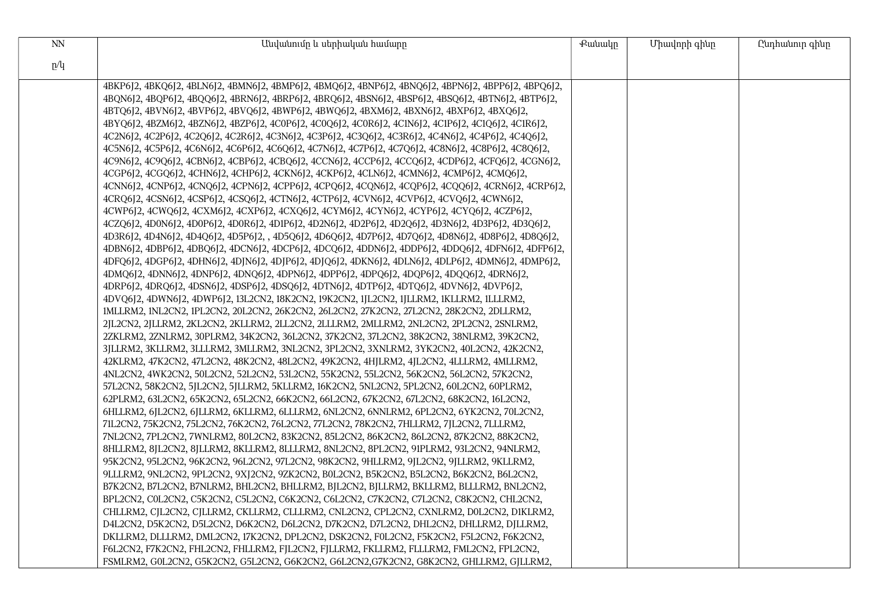| NN  | Անվանումը և սերիական համարը                                                                          | <b></b> eutuulp | Միավորի գինը | Ընդհանուր գինը |
|-----|------------------------------------------------------------------------------------------------------|-----------------|--------------|----------------|
| p/q |                                                                                                      |                 |              |                |
|     |                                                                                                      |                 |              |                |
|     | 4BKP6J2, 4BKQ6J2, 4BLN6J2, 4BMN6J2, 4BMP6J2, 4BMQ6J2, 4BNP6J2, 4BNQ6J2, 4BPN6J2, 4BPP6J2, 4BPQ6J2,   |                 |              |                |
|     | 4BQN6J2, 4BQP6J2, 4BQQ6J2, 4BRN6J2, 4BRP6J2, 4BRQ6J2, 4BSN6J2, 4BSP6J2, 4BSQ6J2, 4BTN6J2, 4BTP6J2,   |                 |              |                |
|     | 4BTQ6J2, 4BVN6J2, 4BVP6J2, 4BVQ6J2, 4BWP6J2, 4BWQ6J2, 4BXM6J2, 4BXN6J2, 4BXP6J2, 4BXQ6J2,            |                 |              |                |
|     | 4BYQ6J2, 4BZM6J2, 4BZN6J2, 4BZP6J2, 4C0P6J2, 4C0Q6J2, 4C0R6J2, 4C1N6J2, 4C1P6J2, 4C1Q6J2, 4C1R6J2,   |                 |              |                |
|     | 4C2N6J2, 4C2P6J2, 4C2Q6J2, 4C2R6J2, 4C3N6J2, 4C3P6J2, 4C3Q6J2, 4C3R6J2, 4C4N6J2, 4C4P6J2, 4C4Q6J2,   |                 |              |                |
|     | 4C5N6J2, 4C5P6J2, 4C6N6J2, 4C6P6J2, 4C6Q6J2, 4C7N6J2, 4C7P6J2, 4C7Q6J2, 4C8N6J2, 4C8P6J2, 4C8Q6J2,   |                 |              |                |
|     | 4C9N6J2, 4C9Q6J2, 4CBN6J2, 4CBP6J2, 4CBQ6J2, 4CCN6J2, 4CCP6J2, 4CCQ6J2, 4CDP6J2, 4CFQ6J2, 4CGN6J2,   |                 |              |                |
|     | 4CGP6J2, 4CGQ6J2, 4CHN6J2, 4CHP6J2, 4CKN6J2, 4CKP6J2, 4CLN6J2, 4CMN6J2, 4CMP6J2, 4CMQ6J2,            |                 |              |                |
|     | 4CNN6J2, 4CNP6J2, 4CNQ6J2, 4CPN6J2, 4CPP6J2, 4CPQ6J2, 4CQN6J2, 4CQP6J2, 4CQQ6J2, 4CRN6J2, 4CRP6J2,   |                 |              |                |
|     | 4CRQ6J2, 4CSN6J2, 4CSP6J2, 4CSQ6J2, 4CTN6J2, 4CTP6J2, 4CVN6J2, 4CVP6J2, 4CVQ6J2, 4CWN6J2,            |                 |              |                |
|     | 4CWP6J2, 4CWQ6J2, 4CXM6J2, 4CXP6J2, 4CXQ6J2, 4CYM6J2, 4CYN6J2, 4CYP6J2, 4CYQ6J2, 4CZP6J2,            |                 |              |                |
|     | 4CZQ6J2, 4D0N6J2, 4D0P6J2, 4D0R6J2, 4D1P6J2, 4D2N6J2, 4D2P6J2, 4D2Q6J2, 4D3N6J2, 4D3P6J2, 4D3Q6J2,   |                 |              |                |
|     | 4D3R6J2, 4D4N6J2, 4D4Q6J2, 4D5P6J2, , 4D5Q6J2, 4D6Q6J2, 4D7P6J2, 4D7Q6J2, 4D8N6J2, 4D8P6J2, 4D8Q6J2, |                 |              |                |
|     | 4DBN6J2, 4DBP6J2, 4DBQ6J2, 4DCN6J2, 4DCP6J2, 4DCQ6J2, 4DDN6J2, 4DDP6J2, 4DDQ6J2, 4DFN6J2, 4DFP6J2,   |                 |              |                |
|     | 4DFQ6J2, 4DGP6J2, 4DHN6J2, 4DJN6J2, 4DJP6J2, 4DJQ6J2, 4DKN6J2, 4DLN6J2, 4DLP6J2, 4DMN6J2, 4DMP6J2,   |                 |              |                |
|     | 4DMQ6J2, 4DNN6J2, 4DNP6J2, 4DNQ6J2, 4DPN6J2, 4DPP6J2, 4DPQ6J2, 4DQP6J2, 4DQQ6J2, 4DRN6J2,            |                 |              |                |
|     | 4DRP6J2, 4DRQ6J2, 4DSN6J2, 4DSP6J2, 4DSQ6J2, 4DTN6J2, 4DTP6J2, 4DTQ6J2, 4DVN6J2, 4DVP6J2,            |                 |              |                |
|     | 4DVQ6J2, 4DWN6J2, 4DWP6J2, 13L2CN2, 18K2CN2, 19K2CN2, 1JL2CN2, 1JLLRM2, 1KLLRM2, 1LLLRM2,            |                 |              |                |
|     | 1MLLRM2, 1NL2CN2, 1PL2CN2, 20L2CN2, 26K2CN2, 26L2CN2, 27K2CN2, 27L2CN2, 28K2CN2, 2DLLRM2,            |                 |              |                |
|     | 2JL2CN2, 2JLLRM2, 2KL2CN2, 2KLLRM2, 2LL2CN2, 2LLLRM2, 2MLLRM2, 2NL2CN2, 2PL2CN2, 2SNLRM2,            |                 |              |                |
|     | 2ZKLRM2, 2ZNLRM2, 30PLRM2, 34K2CN2, 36L2CN2, 37K2CN2, 37L2CN2, 38K2CN2, 38NLRM2, 39K2CN2,            |                 |              |                |
|     | 3JLLRM2, 3KLLRM2, 3LLLRM2, 3MLLRM2, 3NL2CN2, 3PL2CN2, 3XNLRM2, 3YK2CN2, 40L2CN2, 42K2CN2,            |                 |              |                |
|     | 42KLRM2, 47K2CN2, 47L2CN2, 48K2CN2, 48L2CN2, 49K2CN2, 4HJLRM2, 4JL2CN2, 4LLLRM2, 4MLLRM2,            |                 |              |                |
|     | 4NL2CN2, 4WK2CN2, 50L2CN2, 52L2CN2, 53L2CN2, 55K2CN2, 55L2CN2, 56K2CN2, 56L2CN2, 57K2CN2,            |                 |              |                |
|     | 57L2CN2, 58K2CN2, 5JL2CN2, 5JLLRM2, 5KLLRM2, 16K2CN2, 5NL2CN2, 5PL2CN2, 60L2CN2, 60PLRM2,            |                 |              |                |
|     | 62PLRM2, 63L2CN2, 65K2CN2, 65L2CN2, 66K2CN2, 66L2CN2, 67K2CN2, 67L2CN2, 68K2CN2, 16L2CN2,            |                 |              |                |
|     | 6HLLRM2, 6JL2CN2, 6JLLRM2, 6KLLRM2, 6LLLRM2, 6NL2CN2, 6NNLRM2, 6PL2CN2, 6YK2CN2, 70L2CN2,            |                 |              |                |
|     | 71L2CN2, 75K2CN2, 75L2CN2, 76K2CN2, 76L2CN2, 77L2CN2, 78K2CN2, 7HLLRM2, 7JL2CN2, 7LLLRM2,            |                 |              |                |
|     | 7NL2CN2, 7PL2CN2, 7WNLRM2, 80L2CN2, 83K2CN2, 85L2CN2, 86K2CN2, 86L2CN2, 87K2CN2, 88K2CN2,            |                 |              |                |
|     | 8HLLRM2, 8JL2CN2, 8JLLRM2, 8KLLRM2, 8LLLRM2, 8NL2CN2, 8PL2CN2, 91PLRM2, 93L2CN2, 94NLRM2,            |                 |              |                |
|     | 95K2CN2, 95L2CN2, 96K2CN2, 96L2CN2, 97L2CN2, 98K2CN2, 9HLLRM2, 9JL2CN2, 9JLLRM2, 9KLLRM2,            |                 |              |                |
|     | 9LLLRM2, 9NL2CN2, 9PL2CN2, 9XJ2CN2, 9ZK2CN2, B0L2CN2, B5K2CN2, B5L2CN2, B6K2CN2, B6L2CN2,            |                 |              |                |
|     | B7K2CN2, B7L2CN2, B7NLRM2, BHL2CN2, BHLLRM2, BJL2CN2, BJLLRM2, BKLLRM2, BLLLRM2, BNL2CN2,            |                 |              |                |
|     | BPL2CN2, C0L2CN2, C5K2CN2, C5L2CN2, C6K2CN2, C6L2CN2, C7K2CN2, C7L2CN2, C8K2CN2, CHL2CN2,            |                 |              |                |
|     | CHLLRM2, CJL2CN2, CJLLRM2, CKLLRM2, CLLLRM2, CNL2CN2, CPL2CN2, CXNLRM2, D0L2CN2, D1KLRM2,            |                 |              |                |
|     | D4L2CN2, D5K2CN2, D5L2CN2, D6K2CN2, D6L2CN2, D7K2CN2, D7L2CN2, DHL2CN2, DHLLRM2, DJLLRM2,            |                 |              |                |
|     | DKLLRM2, DLLLRM2, DML2CN2, 17K2CN2, DPL2CN2, DSK2CN2, F0L2CN2, F5K2CN2, F5L2CN2, F6K2CN2,            |                 |              |                |
|     | F6L2CN2, F7K2CN2, FHL2CN2, FHLLRM2, FJL2CN2, FJLLRM2, FKLLRM2, FLLLRM2, FML2CN2, FPL2CN2,            |                 |              |                |
|     | FSMLRM2, G0L2CN2, G5K2CN2, G5L2CN2, G6K2CN2, G6L2CN2, G7K2CN2, G8K2CN2, GHLLRM2, GJLLRM2,            |                 |              |                |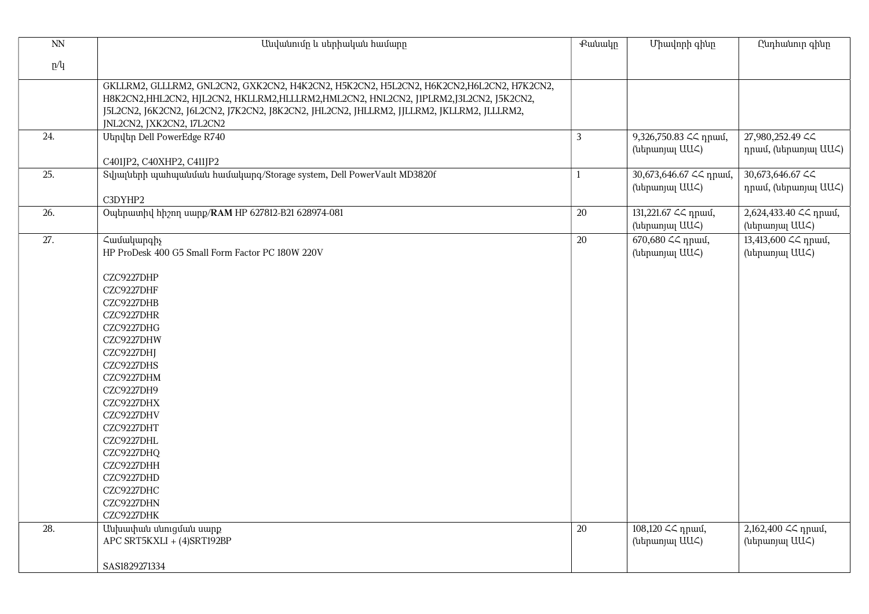| $\overline{NN}$ | Անվանումը և սերիական համարը                                                                                                                                                                                                                                                                                  | Քանակր       | Միավորի գինը                                      | Ընդհանուր գինը                                        |
|-----------------|--------------------------------------------------------------------------------------------------------------------------------------------------------------------------------------------------------------------------------------------------------------------------------------------------------------|--------------|---------------------------------------------------|-------------------------------------------------------|
| p/q             |                                                                                                                                                                                                                                                                                                              |              |                                                   |                                                       |
|                 | GKLLRM2, GLLLRM2, GNL2CN2, GXK2CN2, H4K2CN2, H5K2CN2, H5L2CN2, H6K2CN2, H6L2CN2, H7K2CN2,<br>H8K2CN2,HHL2CN2, HJL2CN2, HKLLRM2,HLLLRM2,HML2CN2, HNL2CN2, J1PLRM2,J3L2CN2, J5K2CN2,<br>J5L2CN2, J6K2CN2, J6L2CN2, J7K2CN2, J8K2CN2, JHL2CN2, JHLLRM2, JJLLRM2, JKLLRM2, JLLLRM2,<br>JNL2CN2, JXK2CN2, 17L2CN2 |              |                                                   |                                                       |
| 24.             | Uերվեր Dell PowerEdge R740<br>C401JP2, C40XHP2, C411JP2                                                                                                                                                                                                                                                      | 3            | 9,326,750.83 << npwu,<br>(utinumjul UU<)          | 27,980,252.49 $\zeta$<br>դրամ, (ներառյալ UU<)         |
| 25.             | Suluufulanh uuuhuuuufuufu huufuuquq/Storage system, Dell PowerVault MD3820f<br>C3DYHP2                                                                                                                                                                                                                       | $\mathbf{1}$ | 30,673,646.67 <<<<nnuu,<br>(utipunjul UU<)        | 30,673,646.67 <<<br>դրամ, (ներառյալ UU<)              |
| 26.             | Oպերատիվ hիշող սարք/RAM HP 627812-B21 628974-081                                                                                                                                                                                                                                                             | 20           | 131,221.67 << npwu,<br>(ներառյալ UU<)             | 2,624,433.40 <<< <r></r> npuu<br>6,<br>(ներառյալ UUՀ) |
| 27.             | Համակարգիչ<br>HP ProDesk 400 G5 Small Form Factor PC 180W 220V                                                                                                                                                                                                                                               | 20           | 670,680 <<< <r npuul,<br="">(utmunjuj UU&lt;)</r> | 13,413,600 $\leq$ npuul,<br>(utmunjuj UU<)            |
|                 | CZC9227DHP<br>CZC9227DHF<br>CZC9227DHB<br>CZC9227DHR<br>CZC9227DHG<br>CZC9227DHW<br>CZC9227DHJ<br>CZC9227DHS<br>CZC9227DHM<br>CZC9227DH9<br>CZC9227DHX<br>CZC9227DHV<br>CZC9227DHT<br>CZC9227DHL<br>CZC9227DHQ<br>CZC9227DHH<br>CZC9227DHD<br>CZC9227DHC<br>CZC9227DHN                                       |              |                                                   |                                                       |
| 28.             | CZC9227DHK<br>Անխափան սնուցման սարք                                                                                                                                                                                                                                                                          | 20           | 108,120 << npuu,                                  | 2,162,400 <<< <r a="" npuu<="">0,</r>                 |
|                 | APC SRT5KXLI + (4)SRT192BP                                                                                                                                                                                                                                                                                   |              | (ներառյալ UU<)                                    | (utipunjuj UU<)                                       |
|                 | SAS1829271334                                                                                                                                                                                                                                                                                                |              |                                                   |                                                       |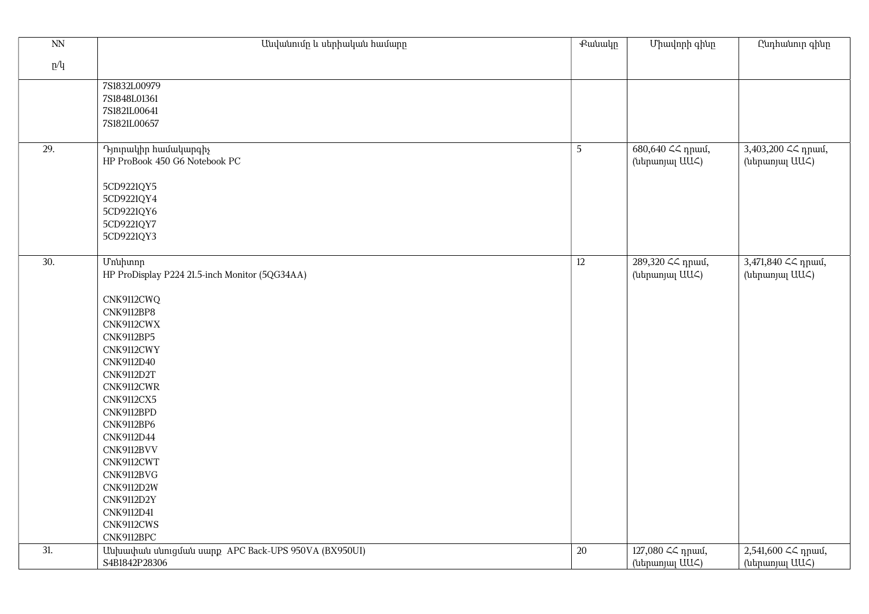| $\overline{\text{NN}}$                              | Անվանումը և սերիական համարը                        | <b></b> <i>P</i> unulp | Միավորի գինը       | Ընդհանուր գինը           |
|-----------------------------------------------------|----------------------------------------------------|------------------------|--------------------|--------------------------|
| $\underline{\mathfrak{p}}/\underline{\mathfrak{q}}$ |                                                    |                        |                    |                          |
|                                                     | 7S1832L00979                                       |                        |                    |                          |
|                                                     | 7S1848L01361                                       |                        |                    |                          |
|                                                     | 7S1821L00641                                       |                        |                    |                          |
|                                                     | 7S1821L00657                                       |                        |                    |                          |
| 29.                                                 | Դյուրակիր համակարգիչ                               | 5                      | 680,640 <<<br>1pmu | 3,403,200 <<< npuu<br>0, |
|                                                     | HP ProBook 450 G6 Notebook PC                      |                        | (ներառյալ UU<)     | (ներառյալ UU<)           |
|                                                     |                                                    |                        |                    |                          |
|                                                     | 5CD9221QY5                                         |                        |                    |                          |
|                                                     | 5CD9221QY4                                         |                        |                    |                          |
|                                                     | 5CD9221QY6                                         |                        |                    |                          |
|                                                     | 5CD9221QY7                                         |                        |                    |                          |
|                                                     | 5CD9221QY3                                         |                        |                    |                          |
|                                                     |                                                    |                        |                    |                          |
| $\overline{30}$ .                                   | <b>U</b> nuhunn                                    | 12                     | 289,320 ∠< դրամ,   | 3,471,840 << npuu 6,     |
|                                                     | HP ProDisplay P224 21.5-inch Monitor (5QG34AA)     |                        | (ներառյալ UUՀ)     | (ներառյալ UU<)           |
|                                                     |                                                    |                        |                    |                          |
|                                                     | CNK9112CWQ                                         |                        |                    |                          |
|                                                     | <b>CNK9112BP8</b>                                  |                        |                    |                          |
|                                                     | CNK9112CWX                                         |                        |                    |                          |
|                                                     | <b>CNK9112BP5</b>                                  |                        |                    |                          |
|                                                     | CNK9112CWY                                         |                        |                    |                          |
|                                                     | CNK9112D40                                         |                        |                    |                          |
|                                                     | <b>CNK9112D2T</b>                                  |                        |                    |                          |
|                                                     | CNK9112CWR                                         |                        |                    |                          |
|                                                     | <b>CNK9112CX5</b>                                  |                        |                    |                          |
|                                                     | CNK9112BPD                                         |                        |                    |                          |
|                                                     | CNK9112BP6                                         |                        |                    |                          |
|                                                     | CNK9112D44                                         |                        |                    |                          |
|                                                     | CNK9112BVV                                         |                        |                    |                          |
|                                                     | CNK9112CWT<br>CNK9112BVG                           |                        |                    |                          |
|                                                     | CNK9112D2W                                         |                        |                    |                          |
|                                                     | CNK9112D2Y                                         |                        |                    |                          |
|                                                     | CNK9112D41                                         |                        |                    |                          |
|                                                     | CNK9112CWS                                         |                        |                    |                          |
|                                                     | CNK9112BPC                                         |                        |                    |                          |
| 31.                                                 | Անխափան սնուցման սարք APC Back-UPS 950VA (BX950UI) | 20                     | 127,080 << npuu,   | 2,541,600 ∠∠ դրամ,       |
|                                                     | S4B1842P28306                                      |                        | (ներառյալ ԱԱՀ)     | (ներառյալ ԱԱՀ)           |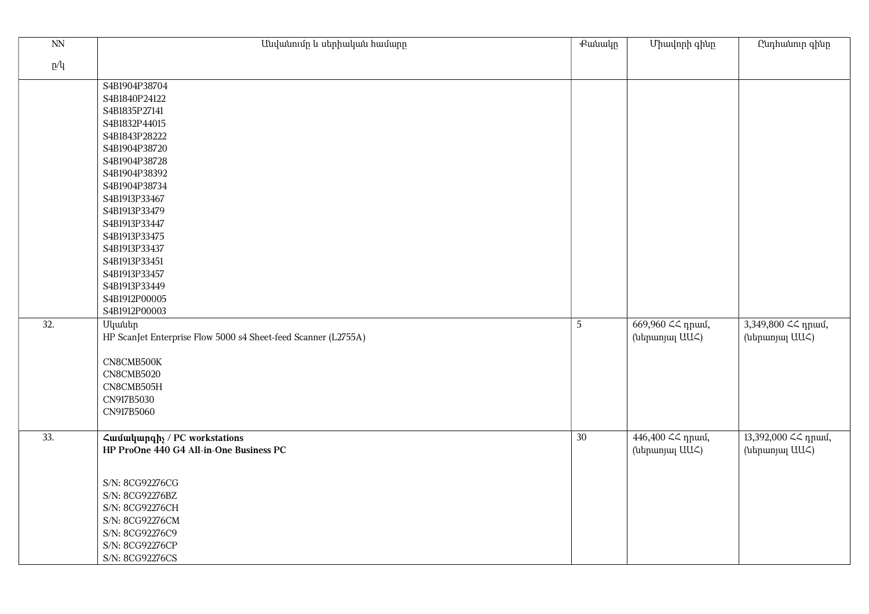| $\overline{NN}$   | Անվանումը և սերիական համարը                                    | $\overline{\mathcal{L}}$ <i>utuulp</i> | Միավորի գինը        | Ընդհանուր գինը              |
|-------------------|----------------------------------------------------------------|----------------------------------------|---------------------|-----------------------------|
|                   |                                                                |                                        |                     |                             |
| p/q               |                                                                |                                        |                     |                             |
|                   | S4B1904P38704                                                  |                                        |                     |                             |
|                   | S4B1840P24122                                                  |                                        |                     |                             |
|                   | S4B1835P27141                                                  |                                        |                     |                             |
|                   | S4B1832P44015                                                  |                                        |                     |                             |
|                   | S4B1843P28222                                                  |                                        |                     |                             |
|                   | S4B1904P38720                                                  |                                        |                     |                             |
|                   | S4B1904P38728                                                  |                                        |                     |                             |
|                   | S4B1904P38392                                                  |                                        |                     |                             |
|                   | S4B1904P38734                                                  |                                        |                     |                             |
|                   | S4B1913P33467                                                  |                                        |                     |                             |
|                   | S4B1913P33479                                                  |                                        |                     |                             |
|                   | S4B1913P33447                                                  |                                        |                     |                             |
|                   | S4B1913P33475                                                  |                                        |                     |                             |
|                   | S4B1913P33437                                                  |                                        |                     |                             |
|                   | S4B1913P33451                                                  |                                        |                     |                             |
|                   | S4B1913P33457                                                  |                                        |                     |                             |
|                   | S4B1913P33449                                                  |                                        |                     |                             |
|                   | S4B1912P00005                                                  |                                        |                     |                             |
|                   | S4B1912P00003                                                  |                                        |                     |                             |
| $\overline{32}$ . | Սկաներ                                                         | 5                                      |                     | 3,349,800 <<<br>npuu<br>6,  |
|                   | HP ScanJet Enterprise Flow 5000 s4 Sheet-feed Scanner (L2755A) |                                        | (ներառյալ UUՀ)      | (ներառյալ UU<)              |
|                   |                                                                |                                        |                     |                             |
|                   | CN8CMB500K                                                     |                                        |                     |                             |
|                   | CN8CMB5020                                                     |                                        |                     |                             |
|                   | CN8CMB505H                                                     |                                        |                     |                             |
|                   | CN917B5030                                                     |                                        |                     |                             |
|                   | CN917B5060                                                     |                                        |                     |                             |
|                   |                                                                |                                        |                     |                             |
| $\overline{33}$ . | <b><i><u>Curfulupqht</u></i></b> / PC workstations             | 30                                     | 446,400 <<<br>npuu, | 13,392,000 <<<br>npuu<br>6, |
|                   | HP ProOne 440 G4 All-in-One Business PC                        |                                        | (ներառյալ UUՀ)      | (ներառյալ UU<)              |
|                   |                                                                |                                        |                     |                             |
|                   | S/N: 8CG92276CG                                                |                                        |                     |                             |
|                   | S/N: 8CG92276BZ                                                |                                        |                     |                             |
|                   | S/N: 8CG92276CH                                                |                                        |                     |                             |
|                   | S/N: 8CG92276CM                                                |                                        |                     |                             |
|                   | S/N: 8CG92276C9                                                |                                        |                     |                             |
|                   | S/N: 8CG92276CP                                                |                                        |                     |                             |
|                   | S/N: 8CG92276CS                                                |                                        |                     |                             |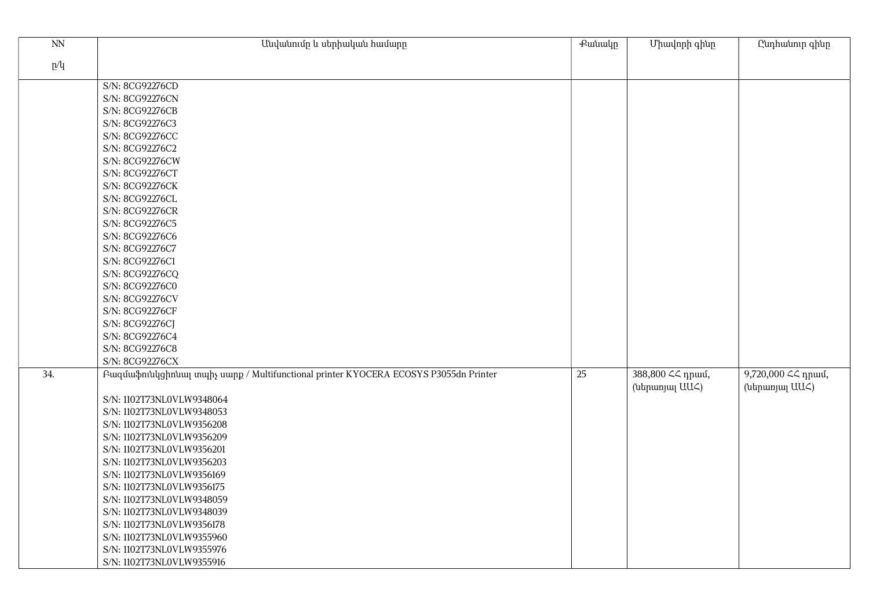| $\mathop{\rm NN}\nolimits$ | Անվանումը և սերիական համարը                                                         | <b></b> eutuulp | Միավորի գինը                                                              | Ընդհանուր գինը     |
|----------------------------|-------------------------------------------------------------------------------------|-----------------|---------------------------------------------------------------------------|--------------------|
| p/q                        |                                                                                     |                 |                                                                           |                    |
|                            |                                                                                     |                 |                                                                           |                    |
|                            | S/N: 8CG92276CD                                                                     |                 |                                                                           |                    |
|                            | S/N: 8CG92276CN                                                                     |                 |                                                                           |                    |
|                            | S/N: 8CG92276CB                                                                     |                 |                                                                           |                    |
|                            | S/N: 8CG92276C3                                                                     |                 |                                                                           |                    |
|                            | S/N: 8CG92276CC                                                                     |                 |                                                                           |                    |
|                            | S/N: 8CG92276C2                                                                     |                 |                                                                           |                    |
|                            | S/N: 8CG92276CW                                                                     |                 |                                                                           |                    |
|                            | S/N: 8CG92276CT                                                                     |                 |                                                                           |                    |
|                            | S/N: 8CG92276CK                                                                     |                 |                                                                           |                    |
|                            | S/N: 8CG92276CL                                                                     |                 |                                                                           |                    |
|                            | S/N: 8CG92276CR                                                                     |                 |                                                                           |                    |
|                            | S/N: 8CG92276C5                                                                     |                 |                                                                           |                    |
|                            | S/N: 8CG92276C6                                                                     |                 |                                                                           |                    |
|                            | S/N: 8CG92276C7                                                                     |                 |                                                                           |                    |
|                            | S/N: 8CG92276C1                                                                     |                 |                                                                           |                    |
|                            | S/N: 8CG92276CQ                                                                     |                 |                                                                           |                    |
|                            | S/N: 8CG92276C0                                                                     |                 |                                                                           |                    |
|                            | S/N: 8CG92276CV                                                                     |                 |                                                                           |                    |
|                            | S/N: 8CG92276CF                                                                     |                 |                                                                           |                    |
|                            | S/N: 8CG92276CJ                                                                     |                 |                                                                           |                    |
|                            | S/N: 8CG92276C4                                                                     |                 |                                                                           |                    |
|                            | S/N: 8CG92276C8                                                                     |                 |                                                                           |                    |
|                            | S/N: 8CG92276CX                                                                     |                 |                                                                           |                    |
| 34.                        | Բազմաֆունկցիոնալ տպիչ սարք / Multifunctional printer KYOCERA ECOSYS P3055dn Printer | 25              | 388,800 <<< <r 0,<="" npuu="" td=""><td>9,720,000 &lt;&lt; npwu,</td></r> | 9,720,000 << npwu, |
|                            |                                                                                     |                 | (ներառյալ UUՀ)                                                            | (ներառյալ UU<)     |
|                            | S/N: 1102T73NL0VLW9348064                                                           |                 |                                                                           |                    |
|                            | S/N: 1102T73NL0VLW9348053                                                           |                 |                                                                           |                    |
|                            | S/N: 1102T73NL0VLW9356208                                                           |                 |                                                                           |                    |
|                            | S/N: 1102T73NL0VLW9356209                                                           |                 |                                                                           |                    |
|                            | S/N: 1102T73NL0VLW9356201                                                           |                 |                                                                           |                    |
|                            | S/N: 1102T73NL0VLW9356203                                                           |                 |                                                                           |                    |
|                            | S/N: 1102T73NL0VLW9356169                                                           |                 |                                                                           |                    |
|                            | S/N: 1102T73NL0VLW9356175                                                           |                 |                                                                           |                    |
|                            | S/N: 1102T73NL0VLW9348059                                                           |                 |                                                                           |                    |
|                            | S/N: 1102T73NL0VLW9348039                                                           |                 |                                                                           |                    |
|                            | S/N: 1102T73NL0VLW9356178                                                           |                 |                                                                           |                    |
|                            | S/N: 1102T73NL0VLW9355960                                                           |                 |                                                                           |                    |
|                            | S/N: 1102T73NL0VLW9355976                                                           |                 |                                                                           |                    |
|                            | S/N: 1102T73NL0VLW9355916                                                           |                 |                                                                           |                    |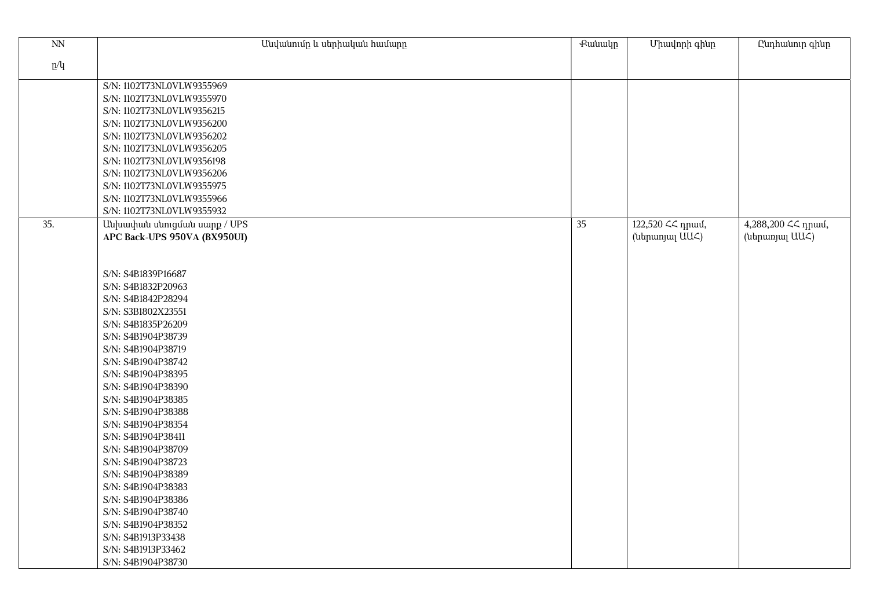| $N\!N$ | Անվանումը և սերիական համարը                                                                                                                                                                                                                                                                                                                                                                                                                                                                                                                  | <b></b> eutuulp | Միավորի գինը                       | Ընդհանուր գինը                       |
|--------|----------------------------------------------------------------------------------------------------------------------------------------------------------------------------------------------------------------------------------------------------------------------------------------------------------------------------------------------------------------------------------------------------------------------------------------------------------------------------------------------------------------------------------------------|-----------------|------------------------------------|--------------------------------------|
| p/q    |                                                                                                                                                                                                                                                                                                                                                                                                                                                                                                                                              |                 |                                    |                                      |
| 35.    | S/N: 1102T73NL0VLW9355969<br>S/N: 1102T73NL0VLW9355970<br>S/N: 1102T73NL0VLW9356215<br>S/N: 1102T73NL0VLW9356200<br>S/N: 1102T73NL0VLW9356202<br>S/N: 1102T73NL0VLW9356205<br>S/N: 1102T73NL0VLW9356198<br>S/N: 1102T73NL0VLW9356206<br>S/N: 1102T73NL0VLW9355975<br>S/N: 1102T73NL0VLW9355966<br>S/N: 1102T73NL0VLW9355932<br>Uuխափան սնուցման սարք / UPS<br>APC Back-UPS 950VA (BX950UI)                                                                                                                                                   | 35              | 122,520 << npuu,<br>(ներառյալ UUՀ) | 4,288,200 << npuu,<br>(ներառյալ UUՀ) |
|        | S/N: S4B1839P16687<br>S/N: S4B1832P20963<br>S/N: S4B1842P28294<br>S/N: S3B1802X23551<br>S/N: S4B1835P26209<br>S/N: S4B1904P38739<br>S/N: S4B1904P38719<br>S/N: S4B1904P38742<br>S/N: S4B1904P38395<br>S/N: S4B1904P38390<br>S/N: S4B1904P38385<br>S/N: S4B1904P38388<br>S/N: S4B1904P38354<br>S/N: S4B1904P38411<br>S/N: S4B1904P38709<br>S/N: S4B1904P38723<br>S/N: S4B1904P38389<br>S/N: S4B1904P38383<br>S/N: S4B1904P38386<br>S/N: S4B1904P38740<br>S/N: S4B1904P38352<br>S/N: S4B1913P33438<br>S/N: S4B1913P33462<br>S/N: S4B1904P38730 |                 |                                    |                                      |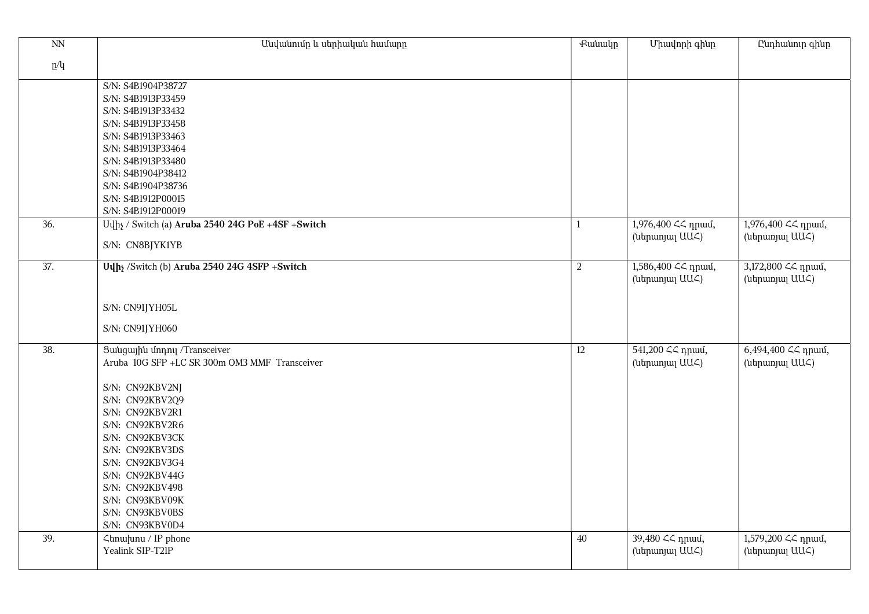| $\overline{NN}$ | Անվանումը և սերիական համարը                                                                                                                                                                                                                                                                                      | Pwwwlp | Միավորի գինը                               | Ընդհանուր գինը                        |
|-----------------|------------------------------------------------------------------------------------------------------------------------------------------------------------------------------------------------------------------------------------------------------------------------------------------------------------------|--------|--------------------------------------------|---------------------------------------|
| p/q             |                                                                                                                                                                                                                                                                                                                  |        |                                            |                                       |
|                 | S/N: S4B1904P38727<br>S/N: S4B1913P33459<br>S/N: S4B1913P33432<br>S/N: S4B1913P33458<br>S/N: S4B1913P33463<br>S/N: S4B1913P33464<br>S/N: S4B1913P33480<br>S/N: S4B1904P38412<br>S/N: S4B1904P38736                                                                                                               |        |                                            |                                       |
|                 | S/N: S4B1912P00015                                                                                                                                                                                                                                                                                               |        |                                            |                                       |
| 36.             | S/N: S4B1912P00019<br>Uylhy / Switch (a) Aruba 2540 24G PoE +4SF +Switch<br>S/N: CN8BJYK1YB                                                                                                                                                                                                                      | 1      | 1,976,400 << npuu,<br>(utipunjul UU<)      | 1,976,400 << npuu,<br>(utmunjuj UU<)  |
| 37.             | Uulhy /Switch (b) Aruba 2540 24G 4SFP +Switch<br>S/N: CN91JYH05L<br>S/N: CN91JYH060                                                                                                                                                                                                                              | 2      | 1,586,400 <<<nuu0,<br>(utipunjul UU<)      | 3,172,800 << npwu,<br>(utipunjuj UU<) |
| 38.             | Swugwihu unnni /Transceiver<br>Aruba 10G SFP +LC SR 300m OM3 MMF Transceiver<br>S/N: CN92KBV2NJ<br>S/N: CN92KBV2Q9<br>S/N: CN92KBV2R1<br>S/N: CN92KBV2R6<br>S/N: CN92KBV3CK<br>S/N: CN92KBV3DS<br>S/N: CN92KBV3G4<br>S/N: CN92KBV44G<br>S/N: CN92KBV498<br>S/N: CN93KBV09K<br>S/N: CN93KBV0BS<br>S/N: CN93KBV0D4 | 12     | 541,200 << npuu,<br>(ներառյալ UU<)         | 6,494,400 << npuu,<br>(utmunjuj UU<)  |
| 39.             | <b><i>Chnulunu</i></b> / IP phone<br>Yealink SIP-T21P                                                                                                                                                                                                                                                            | 40     | 39,480 <<<br>npuu<br>6,<br>(utipunjul UU<) | 1,579,200 << npuu,<br>(ներառյալ UUՀ)  |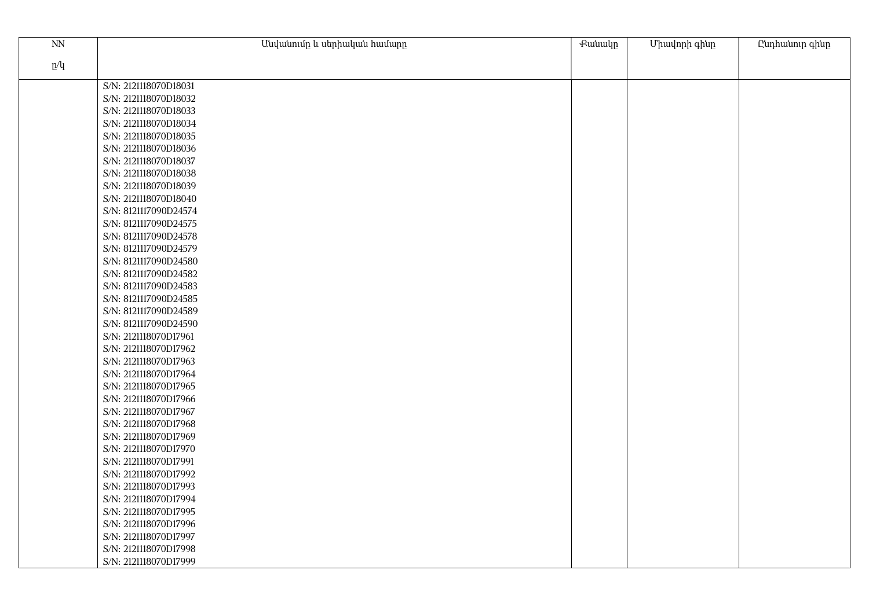| $\text{NN}$ | Անվանումը և սերիական համարը | Քանակը | Միավորի գինը | Ընդհանուր գինը |
|-------------|-----------------------------|--------|--------------|----------------|
| p/q         |                             |        |              |                |
|             |                             |        |              |                |
|             | S/N: 2121118070D18031       |        |              |                |
|             | S/N: 2121118070D18032       |        |              |                |
|             | S/N: 2121118070D18033       |        |              |                |
|             | S/N: 2121118070D18034       |        |              |                |
|             | S/N: 2121118070D18035       |        |              |                |
|             | S/N: 2121118070D18036       |        |              |                |
|             | S/N: 2121118070D18037       |        |              |                |
|             | S/N: 2121118070D18038       |        |              |                |
|             | S/N: 2121118070D18039       |        |              |                |
|             | S/N: 2121118070D18040       |        |              |                |
|             | S/N: 8121117090D24574       |        |              |                |
|             | S/N: 8121117090D24575       |        |              |                |
|             | S/N: 8121117090D24578       |        |              |                |
|             | S/N: 8121117090D24579       |        |              |                |
|             | S/N: 8121117090D24580       |        |              |                |
|             | S/N: 8121117090D24582       |        |              |                |
|             | S/N: 8121117090D24583       |        |              |                |
|             | S/N: 8121117090D24585       |        |              |                |
|             | S/N: 8121117090D24589       |        |              |                |
|             | S/N: 8121117090D24590       |        |              |                |
|             | S/N: 2121118070D17961       |        |              |                |
|             | S/N: 2121118070D17962       |        |              |                |
|             | S/N: 2121118070D17963       |        |              |                |
|             | S/N: 2121118070D17964       |        |              |                |
|             | S/N: 2121118070D17965       |        |              |                |
|             | S/N: 2121118070D17966       |        |              |                |
|             | S/N: 2121118070D17967       |        |              |                |
|             | S/N: 2121118070D17968       |        |              |                |
|             | S/N: 2121118070D17969       |        |              |                |
|             | S/N: 2121118070D17970       |        |              |                |
|             | S/N: 2121118070D17991       |        |              |                |
|             | S/N: 2121118070D17992       |        |              |                |
|             | S/N: 2121118070D17993       |        |              |                |
|             | S/N: 2121118070D17994       |        |              |                |
|             | S/N: 2121118070D17995       |        |              |                |
|             | S/N: 2121118070D17996       |        |              |                |
|             | S/N: 2121118070D17997       |        |              |                |
|             | S/N: 2121118070D17998       |        |              |                |
|             | S/N: 2121118070D17999       |        |              |                |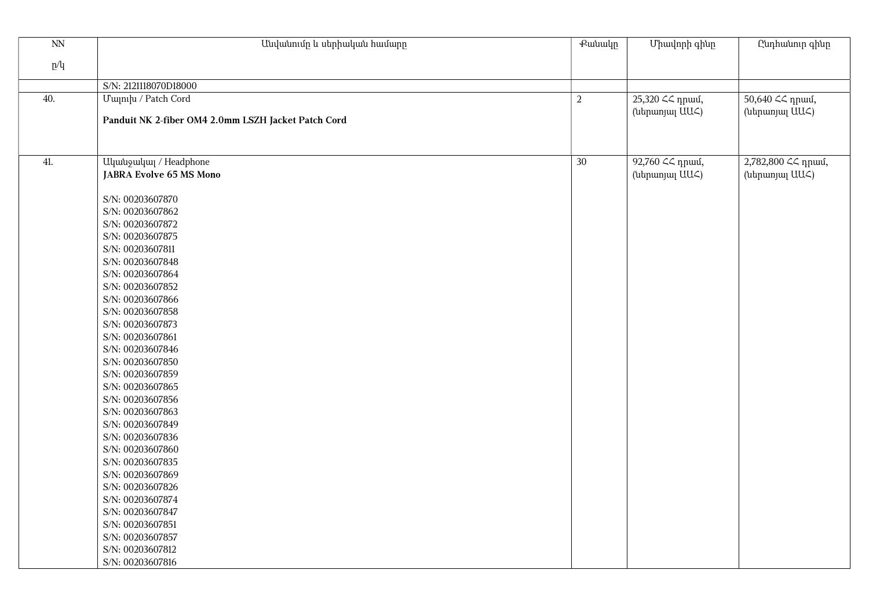| $\mathop{\rm NN}\nolimits$ | Անվանումը և սերիական համարը                         | <b></b> eutuulp | Միավորի գինը            | Ընդհանուր գինը          |
|----------------------------|-----------------------------------------------------|-----------------|-------------------------|-------------------------|
| p/q                        |                                                     |                 |                         |                         |
|                            |                                                     |                 |                         |                         |
|                            | S/N: 2121118070D18000                               |                 |                         |                         |
| 40.                        | Uwinihu / Patch Cord                                | $\overline{a}$  | 25,320 <<<br>npuu<br>6, | 50,640 <<<br>npuu<br>0, |
|                            | Panduit NK 2-fiber OM4 2.0mm LSZH Jacket Patch Cord |                 | (ներառյալ UU<)          | (ներառյալ UU<)          |
|                            |                                                     |                 |                         |                         |
|                            |                                                     |                 |                         |                         |
| 41.                        | Uluutiguuluu / Headphone                            | 30              | 92,760 <<<br>npuul,     | 2,782,800 ∠∠ դրամ,      |
|                            | JABRA Evolve 65 MS Mono                             |                 | (ներառյալ UUՀ)          | (ներառյալ UUՀ)          |
|                            |                                                     |                 |                         |                         |
|                            | S/N: 00203607870                                    |                 |                         |                         |
|                            | S/N: 00203607862                                    |                 |                         |                         |
|                            | S/N: 00203607872                                    |                 |                         |                         |
|                            | S/N: 00203607875                                    |                 |                         |                         |
|                            | S/N: 00203607811                                    |                 |                         |                         |
|                            | S/N: 00203607848                                    |                 |                         |                         |
|                            | S/N: 00203607864                                    |                 |                         |                         |
|                            | S/N: 00203607852                                    |                 |                         |                         |
|                            | S/N: 00203607866                                    |                 |                         |                         |
|                            | S/N: 00203607858<br>S/N: 00203607873                |                 |                         |                         |
|                            | S/N: 00203607861                                    |                 |                         |                         |
|                            | S/N: 00203607846                                    |                 |                         |                         |
|                            | S/N: 00203607850                                    |                 |                         |                         |
|                            | S/N: 00203607859                                    |                 |                         |                         |
|                            | S/N: 00203607865                                    |                 |                         |                         |
|                            | S/N: 00203607856                                    |                 |                         |                         |
|                            | S/N: 00203607863                                    |                 |                         |                         |
|                            | S/N: 00203607849                                    |                 |                         |                         |
|                            | S/N: 00203607836                                    |                 |                         |                         |
|                            | S/N: 00203607860                                    |                 |                         |                         |
|                            | S/N: 00203607835                                    |                 |                         |                         |
|                            | S/N: 00203607869                                    |                 |                         |                         |
|                            | S/N: 00203607826                                    |                 |                         |                         |
|                            | S/N: 00203607874                                    |                 |                         |                         |
|                            | S/N: 00203607847                                    |                 |                         |                         |
|                            | S/N: 00203607851                                    |                 |                         |                         |
|                            | S/N: 00203607857                                    |                 |                         |                         |
|                            | S/N: 00203607812                                    |                 |                         |                         |
|                            | S/N: 00203607816                                    |                 |                         |                         |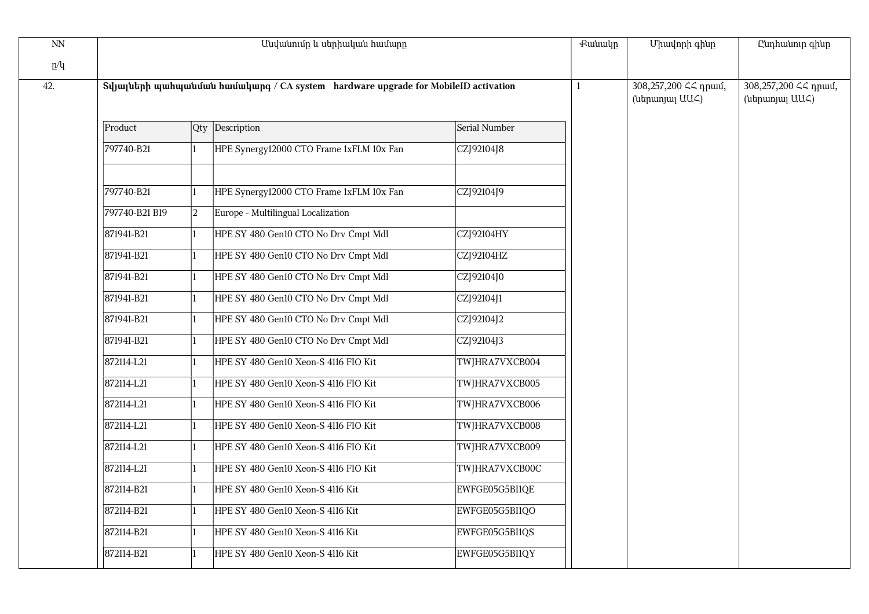| $\overline{NN}$ |                | Անվանումը և սերիական համարը |                                                                                          |                |  | Միավորի գինը                                    | Ընդհանուր գինը                          |
|-----------------|----------------|-----------------------------|------------------------------------------------------------------------------------------|----------------|--|-------------------------------------------------|-----------------------------------------|
| p/q             |                |                             |                                                                                          |                |  |                                                 |                                         |
| 42.             |                |                             | Suluu utuph uluu uu huu huu huu uu dhaa siyatem hardware upgrade for MobileID activation |                |  | 308,257,200 <<< <r></r> nnuu,<br>(ներառյալ UU<) | 308,257,200 << npuu,<br>(utipunjuj UU<) |
|                 | Product        |                             | $Qty$ Description                                                                        | Serial Number  |  |                                                 |                                         |
|                 | 797740-B21     |                             | HPE Synergy12000 CTO Frame 1xFLM 10x Fan                                                 | CZJ92104J8     |  |                                                 |                                         |
|                 | 797740-B21     |                             | HPE Synergy12000 CTO Frame 1xFLM 10x Fan                                                 | CZJ92104J9     |  |                                                 |                                         |
|                 | 797740-B21 B19 | $\overline{2}$              | Europe - Multilingual Localization                                                       |                |  |                                                 |                                         |
|                 | 871941-B21     |                             | HPE SY 480 Gen10 CTO No Drv Cmpt Mdl                                                     | CZJ92104HY     |  |                                                 |                                         |
|                 | 871941-B21     |                             | HPE SY 480 Gen10 CTO No Drv Cmpt Mdl                                                     | CZJ92104HZ     |  |                                                 |                                         |
|                 | 871941-B21     |                             | HPE SY 480 Gen10 CTO No Drv Cmpt Mdl                                                     | CZJ92104J0     |  |                                                 |                                         |
|                 | 871941-B21     |                             | HPE SY 480 Gen10 CTO No Drv Cmpt Mdl                                                     | CZJ92104J1     |  |                                                 |                                         |
|                 | 871941-B21     |                             | HPE SY 480 Gen10 CTO No Drv Cmpt Mdl                                                     | CZJ92104J2     |  |                                                 |                                         |
|                 | 871941-B21     |                             | HPE SY 480 Gen10 CTO No Drv Cmpt Mdl                                                     | CZJ92104J3     |  |                                                 |                                         |
|                 | 872114-L21     |                             | HPE SY 480 Gen10 Xeon-S 4116 FIO Kit                                                     | TWJHRA7VXCB004 |  |                                                 |                                         |
|                 | 872114-L21     |                             | HPE SY 480 Gen10 Xeon-S 4116 FIO Kit                                                     | TWJHRA7VXCB005 |  |                                                 |                                         |
|                 | 872114-L21     |                             | HPE SY 480 Gen10 Xeon-S 4116 FIO Kit                                                     | TWJHRA7VXCB006 |  |                                                 |                                         |
|                 | 872114-L21     |                             | HPE SY 480 Gen10 Xeon-S 4116 FIO Kit                                                     | TWJHRA7VXCB008 |  |                                                 |                                         |
|                 | 872114-L21     |                             | HPE SY 480 Gen10 Xeon-S 4116 FIO Kit                                                     | TWJHRA7VXCB009 |  |                                                 |                                         |
|                 | 872114-L21     |                             | HPE SY 480 Gen10 Xeon-S 4116 FIO Kit                                                     | TWJHRA7VXCB00C |  |                                                 |                                         |
|                 | 872114-B21     |                             | HPE SY 480 Gen10 Xeon-S 4116 Kit                                                         | EWFGE05G5BI1QE |  |                                                 |                                         |
|                 | 872114-B21     |                             | HPE SY 480 Gen10 Xeon-S 4116 Kit                                                         | EWFGE05G5BI1QO |  |                                                 |                                         |
|                 | 872114-B21     |                             | HPE SY 480 Gen10 Xeon-S 4116 Kit                                                         | EWFGE05G5BI1QS |  |                                                 |                                         |
|                 | 872114-B21     |                             | HPE SY 480 Gen10 Xeon-S 4116 Kit                                                         | EWFGE05G5BI1QY |  |                                                 |                                         |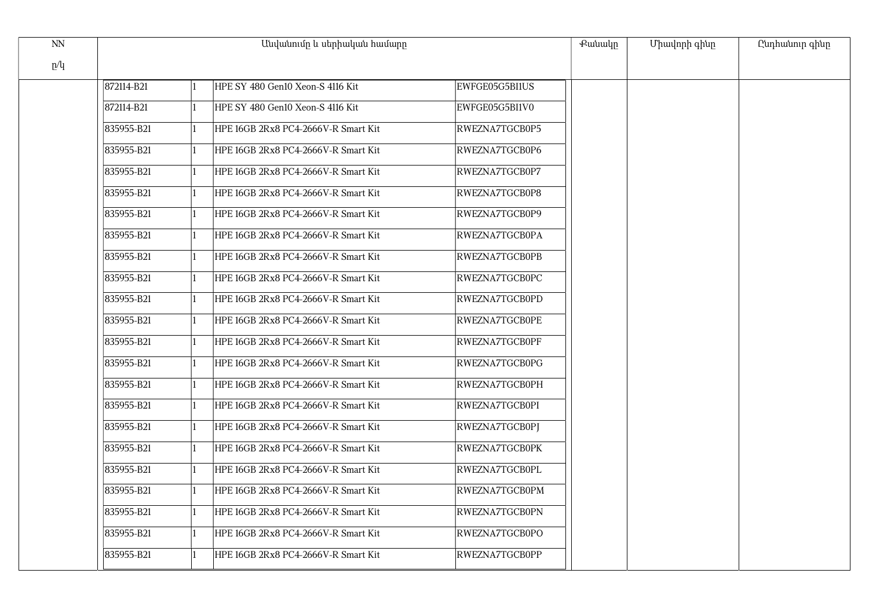|            | Անվանումը և սերիական համարը         |                | <b></b> eutuulp | Միավորի գինը | Ընդհանուր գինը |
|------------|-------------------------------------|----------------|-----------------|--------------|----------------|
|            |                                     |                |                 |              |                |
| 872114-B21 | HPE SY 480 Gen10 Xeon-S 4116 Kit    | EWFGE05G5BI1US |                 |              |                |
| 872114-B21 | HPE SY 480 Gen10 Xeon-S 4116 Kit    | EWFGE05G5BI1V0 |                 |              |                |
| 835955-B21 | HPE 16GB 2Rx8 PC4-2666V-R Smart Kit | RWEZNA7TGCB0P5 |                 |              |                |
| 835955-B21 | HPE 16GB 2Rx8 PC4-2666V-R Smart Kit | RWEZNA7TGCB0P6 |                 |              |                |
| 835955-B21 | HPE 16GB 2Rx8 PC4-2666V-R Smart Kit | RWEZNA7TGCB0P7 |                 |              |                |
| 835955-B21 | HPE 16GB 2Rx8 PC4-2666V-R Smart Kit | RWEZNA7TGCB0P8 |                 |              |                |
| 835955-B21 | HPE 16GB 2Rx8 PC4-2666V-R Smart Kit | RWEZNA7TGCB0P9 |                 |              |                |
| 835955-B21 | HPE 16GB 2Rx8 PC4-2666V-R Smart Kit | RWEZNA7TGCB0PA |                 |              |                |
| 835955-B21 | HPE 16GB 2Rx8 PC4-2666V-R Smart Kit | RWEZNA7TGCB0PB |                 |              |                |
| 835955-B21 | HPE 16GB 2Rx8 PC4-2666V-R Smart Kit | RWEZNA7TGCB0PC |                 |              |                |
| 835955-B21 | HPE 16GB 2Rx8 PC4-2666V-R Smart Kit | RWEZNA7TGCB0PD |                 |              |                |
| 835955-B21 | HPE 16GB 2Rx8 PC4-2666V-R Smart Kit | RWEZNA7TGCB0PE |                 |              |                |
| 835955-B21 | HPE 16GB 2Rx8 PC4-2666V-R Smart Kit | RWEZNA7TGCB0PF |                 |              |                |
| 835955-B21 | HPE 16GB 2Rx8 PC4-2666V-R Smart Kit | RWEZNA7TGCB0PG |                 |              |                |
| 835955-B21 | HPE 16GB 2Rx8 PC4-2666V-R Smart Kit | RWEZNA7TGCB0PH |                 |              |                |
| 835955-B21 | HPE 16GB 2Rx8 PC4-2666V-R Smart Kit | RWEZNA7TGCB0PI |                 |              |                |
| 835955-B21 | HPE 16GB 2Rx8 PC4-2666V-R Smart Kit | RWEZNA7TGCB0PJ |                 |              |                |
| 835955-B21 | HPE 16GB 2Rx8 PC4-2666V-R Smart Kit | RWEZNA7TGCB0PK |                 |              |                |
| 835955-B21 | HPE 16GB 2Rx8 PC4-2666V-R Smart Kit | RWEZNA7TGCB0PL |                 |              |                |
| 835955-B21 | HPE 16GB 2Rx8 PC4-2666V-R Smart Kit | RWEZNA7TGCB0PM |                 |              |                |
| 835955-B21 | HPE 16GB 2Rx8 PC4-2666V-R Smart Kit | RWEZNA7TGCB0PN |                 |              |                |
| 835955-B21 | HPE 16GB 2Rx8 PC4-2666V-R Smart Kit | RWEZNA7TGCB0PO |                 |              |                |
| 835955-B21 | HPE 16GB 2Rx8 PC4-2666V-R Smart Kit | RWEZNA7TGCB0PP |                 |              |                |
|            |                                     |                |                 |              |                |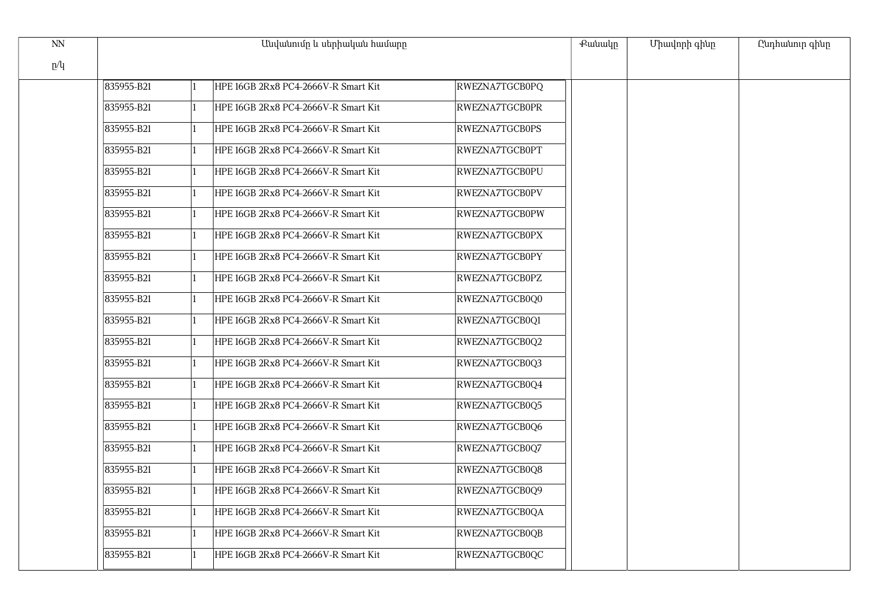| NN  |            | Անվանումը և սերիական համարը                |                | <b></b> eutuulp | Միավորի գինը | Ընդհանուր գինը |
|-----|------------|--------------------------------------------|----------------|-----------------|--------------|----------------|
| p/q |            |                                            |                |                 |              |                |
|     | 835955-B21 | HPE 16GB 2Rx8 PC4-2666V-R Smart Kit        | RWEZNA7TGCB0PQ |                 |              |                |
|     | 835955-B21 | HPE 16GB 2Rx8 PC4-2666V-R Smart Kit        | RWEZNA7TGCB0PR |                 |              |                |
|     | 835955-B21 | HPE 16GB 2Rx8 PC4-2666V-R Smart Kit        | RWEZNA7TGCB0PS |                 |              |                |
|     | 835955-B21 | HPE 16GB 2Rx8 PC4-2666V-R Smart Kit        | RWEZNA7TGCB0PT |                 |              |                |
|     | 835955-B21 | HPE 16GB 2Rx8 PC4-2666V-R Smart Kit        | RWEZNA7TGCB0PU |                 |              |                |
|     | 835955-B21 | HPE 16GB 2Rx8 PC4-2666V-R Smart Kit        | RWEZNA7TGCB0PV |                 |              |                |
|     | 835955-B21 | HPE 16GB 2Rx8 PC4-2666V-R Smart Kit        | RWEZNA7TGCB0PW |                 |              |                |
|     | 835955-B21 | HPE 16GB 2Rx8 PC4-2666V-R Smart Kit        | RWEZNA7TGCB0PX |                 |              |                |
|     | 835955-B21 | HPE 16GB 2Rx8 PC4-2666V-R Smart Kit        | RWEZNA7TGCB0PY |                 |              |                |
|     | 835955-B21 | HPE 16GB 2Rx8 PC4-2666V-R Smart Kit<br>11  | RWEZNA7TGCB0PZ |                 |              |                |
|     | 835955-B21 | HPE 16GB 2Rx8 PC4-2666V-R Smart Kit<br>11. | RWEZNA7TGCB0Q0 |                 |              |                |
|     | 835955-B21 | HPE 16GB 2Rx8 PC4-2666V-R Smart Kit<br>11. | RWEZNA7TGCB0Q1 |                 |              |                |
|     | 835955-B21 | HPE 16GB 2Rx8 PC4-2666V-R Smart Kit        | RWEZNA7TGCB0Q2 |                 |              |                |
|     | 835955-B21 | HPE 16GB 2Rx8 PC4-2666V-R Smart Kit<br>11  | RWEZNA7TGCB0Q3 |                 |              |                |
|     | 835955-B21 | HPE 16GB 2Rx8 PC4-2666V-R Smart Kit        | RWEZNA7TGCB0Q4 |                 |              |                |
|     | 835955-B21 | HPE 16GB 2Rx8 PC4-2666V-R Smart Kit        | RWEZNA7TGCB0Q5 |                 |              |                |
|     | 835955-B21 | HPE 16GB 2Rx8 PC4-2666V-R Smart Kit        | RWEZNA7TGCB0Q6 |                 |              |                |
|     | 835955-B21 | HPE 16GB 2Rx8 PC4-2666V-R Smart Kit        | RWEZNA7TGCB0Q7 |                 |              |                |
|     | 835955-B21 | HPE 16GB 2Rx8 PC4-2666V-R Smart Kit        | RWEZNA7TGCB0Q8 |                 |              |                |
|     | 835955-B21 | HPE 16GB 2Rx8 PC4-2666V-R Smart Kit        | RWEZNA7TGCB0Q9 |                 |              |                |
|     | 835955-B21 | HPE 16GB 2Rx8 PC4-2666V-R Smart Kit        | RWEZNA7TGCB0QA |                 |              |                |
|     | 835955-B21 | HPE 16GB 2Rx8 PC4-2666V-R Smart Kit        | RWEZNA7TGCB0QB |                 |              |                |
|     | 835955-B21 | HPE 16GB 2Rx8 PC4-2666V-R Smart Kit        | RWEZNA7TGCB0QC |                 |              |                |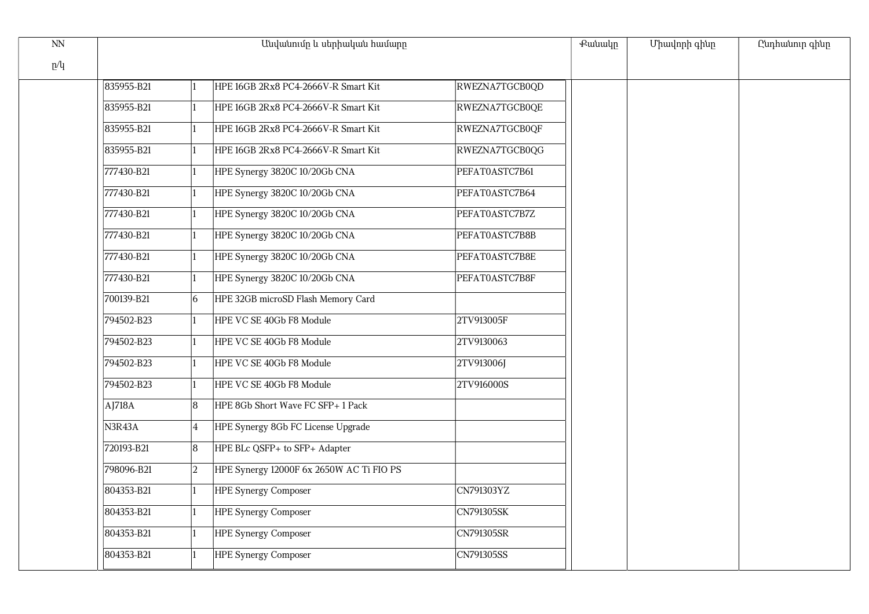| p/q<br>835955-B21<br>HPE 16GB 2Rx8 PC4-2666V-R Smart Kit<br>RWEZNA7TGCB0QD<br>835955-B21<br>HPE 16GB 2Rx8 PC4-2666V-R Smart Kit<br>RWEZNA7TGCB0QE<br>835955-B21<br>HPE 16GB 2Rx8 PC4-2666V-R Smart Kit<br>RWEZNA7TGCB0QF<br>835955-B21<br>HPE 16GB 2Rx8 PC4-2666V-R Smart Kit<br>RWEZNA7TGCB0QG<br>HPE Synergy 3820C 10/20Gb CNA<br>PEFAT0ASTC7B61<br>777430-B21<br>777430-B21<br>HPE Synergy 3820C 10/20Gb CNA<br>PEFAT0ASTC7B64<br>777430-B21<br>HPE Synergy 3820C 10/20Gb CNA<br>PEFAT0ASTC7B7Z<br>777430-B21<br>HPE Synergy 3820C 10/20Gb CNA<br>PEFAT0ASTC7B8B<br>HPE Synergy 3820C 10/20Gb CNA<br>777430-B21<br>PEFAT0ASTC7B8E<br>777430-B21<br>HPE Synergy 3820C 10/20Gb CNA<br>PEFAT0ASTC7B8F<br>HPE 32GB microSD Flash Memory Card<br>700139-B21<br>$\vert 6 \vert$<br>794502-B23<br>HPE VC SE 40Gb F8 Module<br>2TV913005F<br>794502-B23<br>HPE VC SE 40Gb F8 Module<br>2TV9130063<br>HPE VC SE 40Gb F8 Module<br>794502-B23<br>2TV913006J<br>HPE VC SE 40Gb F8 Module<br>794502-B23<br>2TV916000S<br>AI718A<br> 8 <br>HPE 8Gb Short Wave FC SFP+ 1 Pack<br>N3R43A<br>14<br>HPE Synergy 8Gb FC License Upgrade<br> 8 <br>720193-B21<br>HPE BLc QSFP+ to SFP+ Adapter<br>HPE Synergy 12000F 6x 2650W AC Ti FIO PS<br>798096-B21<br>$ 2\rangle$<br>804353-B21<br>HPE Synergy Composer<br>CN791303YZ<br>804353-B21<br><b>HPE Synergy Composer</b><br>CN791305SK<br>804353-B21<br><b>HPE Synergy Composer</b><br>CN791305SR | $\overline{NN}$ | Անվանումը և սերիական համարը |  |                             |            | <b></b> eutuulp | Միավորի գինը | Ընդհանուր գինը |
|-----------------------------------------------------------------------------------------------------------------------------------------------------------------------------------------------------------------------------------------------------------------------------------------------------------------------------------------------------------------------------------------------------------------------------------------------------------------------------------------------------------------------------------------------------------------------------------------------------------------------------------------------------------------------------------------------------------------------------------------------------------------------------------------------------------------------------------------------------------------------------------------------------------------------------------------------------------------------------------------------------------------------------------------------------------------------------------------------------------------------------------------------------------------------------------------------------------------------------------------------------------------------------------------------------------------------------------------------------------------------------------------------------------------------------------|-----------------|-----------------------------|--|-----------------------------|------------|-----------------|--------------|----------------|
|                                                                                                                                                                                                                                                                                                                                                                                                                                                                                                                                                                                                                                                                                                                                                                                                                                                                                                                                                                                                                                                                                                                                                                                                                                                                                                                                                                                                                                   |                 |                             |  |                             |            |                 |              |                |
|                                                                                                                                                                                                                                                                                                                                                                                                                                                                                                                                                                                                                                                                                                                                                                                                                                                                                                                                                                                                                                                                                                                                                                                                                                                                                                                                                                                                                                   |                 |                             |  |                             |            |                 |              |                |
|                                                                                                                                                                                                                                                                                                                                                                                                                                                                                                                                                                                                                                                                                                                                                                                                                                                                                                                                                                                                                                                                                                                                                                                                                                                                                                                                                                                                                                   |                 |                             |  |                             |            |                 |              |                |
|                                                                                                                                                                                                                                                                                                                                                                                                                                                                                                                                                                                                                                                                                                                                                                                                                                                                                                                                                                                                                                                                                                                                                                                                                                                                                                                                                                                                                                   |                 |                             |  |                             |            |                 |              |                |
|                                                                                                                                                                                                                                                                                                                                                                                                                                                                                                                                                                                                                                                                                                                                                                                                                                                                                                                                                                                                                                                                                                                                                                                                                                                                                                                                                                                                                                   |                 |                             |  |                             |            |                 |              |                |
|                                                                                                                                                                                                                                                                                                                                                                                                                                                                                                                                                                                                                                                                                                                                                                                                                                                                                                                                                                                                                                                                                                                                                                                                                                                                                                                                                                                                                                   |                 |                             |  |                             |            |                 |              |                |
|                                                                                                                                                                                                                                                                                                                                                                                                                                                                                                                                                                                                                                                                                                                                                                                                                                                                                                                                                                                                                                                                                                                                                                                                                                                                                                                                                                                                                                   |                 |                             |  |                             |            |                 |              |                |
|                                                                                                                                                                                                                                                                                                                                                                                                                                                                                                                                                                                                                                                                                                                                                                                                                                                                                                                                                                                                                                                                                                                                                                                                                                                                                                                                                                                                                                   |                 |                             |  |                             |            |                 |              |                |
|                                                                                                                                                                                                                                                                                                                                                                                                                                                                                                                                                                                                                                                                                                                                                                                                                                                                                                                                                                                                                                                                                                                                                                                                                                                                                                                                                                                                                                   |                 |                             |  |                             |            |                 |              |                |
|                                                                                                                                                                                                                                                                                                                                                                                                                                                                                                                                                                                                                                                                                                                                                                                                                                                                                                                                                                                                                                                                                                                                                                                                                                                                                                                                                                                                                                   |                 |                             |  |                             |            |                 |              |                |
|                                                                                                                                                                                                                                                                                                                                                                                                                                                                                                                                                                                                                                                                                                                                                                                                                                                                                                                                                                                                                                                                                                                                                                                                                                                                                                                                                                                                                                   |                 |                             |  |                             |            |                 |              |                |
|                                                                                                                                                                                                                                                                                                                                                                                                                                                                                                                                                                                                                                                                                                                                                                                                                                                                                                                                                                                                                                                                                                                                                                                                                                                                                                                                                                                                                                   |                 |                             |  |                             |            |                 |              |                |
|                                                                                                                                                                                                                                                                                                                                                                                                                                                                                                                                                                                                                                                                                                                                                                                                                                                                                                                                                                                                                                                                                                                                                                                                                                                                                                                                                                                                                                   |                 |                             |  |                             |            |                 |              |                |
|                                                                                                                                                                                                                                                                                                                                                                                                                                                                                                                                                                                                                                                                                                                                                                                                                                                                                                                                                                                                                                                                                                                                                                                                                                                                                                                                                                                                                                   |                 |                             |  |                             |            |                 |              |                |
|                                                                                                                                                                                                                                                                                                                                                                                                                                                                                                                                                                                                                                                                                                                                                                                                                                                                                                                                                                                                                                                                                                                                                                                                                                                                                                                                                                                                                                   |                 |                             |  |                             |            |                 |              |                |
|                                                                                                                                                                                                                                                                                                                                                                                                                                                                                                                                                                                                                                                                                                                                                                                                                                                                                                                                                                                                                                                                                                                                                                                                                                                                                                                                                                                                                                   |                 |                             |  |                             |            |                 |              |                |
|                                                                                                                                                                                                                                                                                                                                                                                                                                                                                                                                                                                                                                                                                                                                                                                                                                                                                                                                                                                                                                                                                                                                                                                                                                                                                                                                                                                                                                   |                 |                             |  |                             |            |                 |              |                |
|                                                                                                                                                                                                                                                                                                                                                                                                                                                                                                                                                                                                                                                                                                                                                                                                                                                                                                                                                                                                                                                                                                                                                                                                                                                                                                                                                                                                                                   |                 |                             |  |                             |            |                 |              |                |
|                                                                                                                                                                                                                                                                                                                                                                                                                                                                                                                                                                                                                                                                                                                                                                                                                                                                                                                                                                                                                                                                                                                                                                                                                                                                                                                                                                                                                                   |                 |                             |  |                             |            |                 |              |                |
|                                                                                                                                                                                                                                                                                                                                                                                                                                                                                                                                                                                                                                                                                                                                                                                                                                                                                                                                                                                                                                                                                                                                                                                                                                                                                                                                                                                                                                   |                 |                             |  |                             |            |                 |              |                |
|                                                                                                                                                                                                                                                                                                                                                                                                                                                                                                                                                                                                                                                                                                                                                                                                                                                                                                                                                                                                                                                                                                                                                                                                                                                                                                                                                                                                                                   |                 |                             |  |                             |            |                 |              |                |
|                                                                                                                                                                                                                                                                                                                                                                                                                                                                                                                                                                                                                                                                                                                                                                                                                                                                                                                                                                                                                                                                                                                                                                                                                                                                                                                                                                                                                                   |                 |                             |  |                             |            |                 |              |                |
|                                                                                                                                                                                                                                                                                                                                                                                                                                                                                                                                                                                                                                                                                                                                                                                                                                                                                                                                                                                                                                                                                                                                                                                                                                                                                                                                                                                                                                   |                 |                             |  |                             |            |                 |              |                |
|                                                                                                                                                                                                                                                                                                                                                                                                                                                                                                                                                                                                                                                                                                                                                                                                                                                                                                                                                                                                                                                                                                                                                                                                                                                                                                                                                                                                                                   |                 | 804353-B21                  |  | <b>HPE Synergy Composer</b> | CN791305SS |                 |              |                |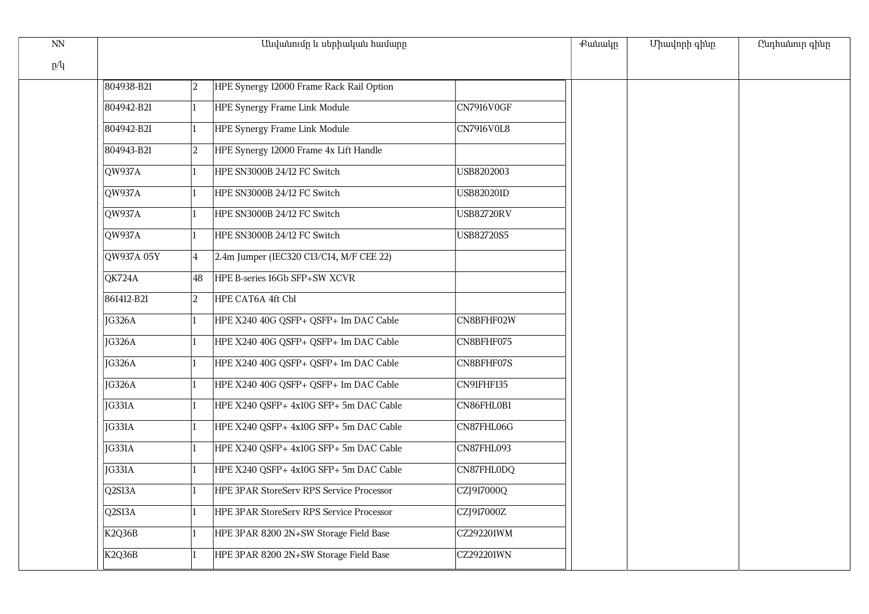| $\overline{N}$ | Անվանումը և սերիական համարը |                |                                                 | <b></b> eutuuln   | Միավորի գինը | Ընդհանուր գինը |  |
|----------------|-----------------------------|----------------|-------------------------------------------------|-------------------|--------------|----------------|--|
| p/q            |                             |                |                                                 |                   |              |                |  |
|                | 804938-B21                  | $ 2\rangle$    | HPE Synergy 12000 Frame Rack Rail Option        |                   |              |                |  |
|                | 804942-B21                  |                | <b>HPE Synergy Frame Link Module</b>            | CN7916V0GF        |              |                |  |
|                | 804942-B21                  |                | <b>HPE Synergy Frame Link Module</b>            | CN7916V0L8        |              |                |  |
|                | 804943-B21                  | $\overline{2}$ | HPE Synergy 12000 Frame 4x Lift Handle          |                   |              |                |  |
|                | QW937A                      |                | HPE SN3000B 24/12 FC Switch                     | USB8202003        |              |                |  |
|                | QW937A                      |                | HPE SN3000B 24/12 FC Switch                     | <b>USB820201D</b> |              |                |  |
|                | QW937A                      |                | HPE SN3000B 24/12 FC Switch                     | <b>USB82720RV</b> |              |                |  |
|                | QW937A                      |                | HPE SN3000B 24/12 FC Switch                     | USB82720S5        |              |                |  |
|                | QW937A 05Y                  | 4              | 2.4m Jumper (IEC320 C13/C14, M/F CEE 22)        |                   |              |                |  |
|                | QK724A                      | 48             | HPE B-series 16Gb SFP+SW XCVR                   |                   |              |                |  |
|                | 861412-B21                  | $\overline{2}$ | HPE CAT6A 4ft Cbl                               |                   |              |                |  |
|                | JG326A                      |                | HPE X240 40G QSFP+ QSFP+ 1m DAC Cable           | CN8BFHF02W        |              |                |  |
|                | <b>JG326A</b>               |                | HPE X240 40G QSFP+ QSFP+ 1m DAC Cable           | CN8BFHF075        |              |                |  |
|                | <b>JG326A</b>               |                | HPE X240 40G QSFP+ QSFP+ 1m DAC Cable           | CN8BFHF07S        |              |                |  |
|                | <b>JG326A</b>               |                | HPE X240 40G QSFP+ QSFP+ 1m DAC Cable           | CN91FHF135        |              |                |  |
|                | JG331A                      |                | HPE X240 QSFP+ 4x10G SFP+ 5m DAC Cable          | CN86FHL0B1        |              |                |  |
|                | JG331A                      |                | HPE X240 QSFP+ 4x10G SFP+ 5m DAC Cable          | CN87FHL06G        |              |                |  |
|                | <b>JG331A</b>               |                | HPE X240 QSFP+ 4x10G SFP+ 5m DAC Cable          | CN87FHL093        |              |                |  |
|                | JG331A                      |                | HPE X240 QSFP+ 4x10G SFP+ 5m DAC Cable          | CN87FHL0DQ        |              |                |  |
|                | Q2S13A                      |                | <b>HPE 3PAR StoreServ RPS Service Processor</b> | CZJ917000Q        |              |                |  |
|                | Q2S13A                      |                | HPE 3PAR StoreServ RPS Service Processor        | CZJ917000Z        |              |                |  |
|                | K2Q36B                      |                | HPE 3PAR 8200 2N+SW Storage Field Base          | CZ292201WM        |              |                |  |
|                | K2Q36B                      |                | HPE 3PAR 8200 2N+SW Storage Field Base          | CZ292201WN        |              |                |  |
|                |                             |                |                                                 |                   |              |                |  |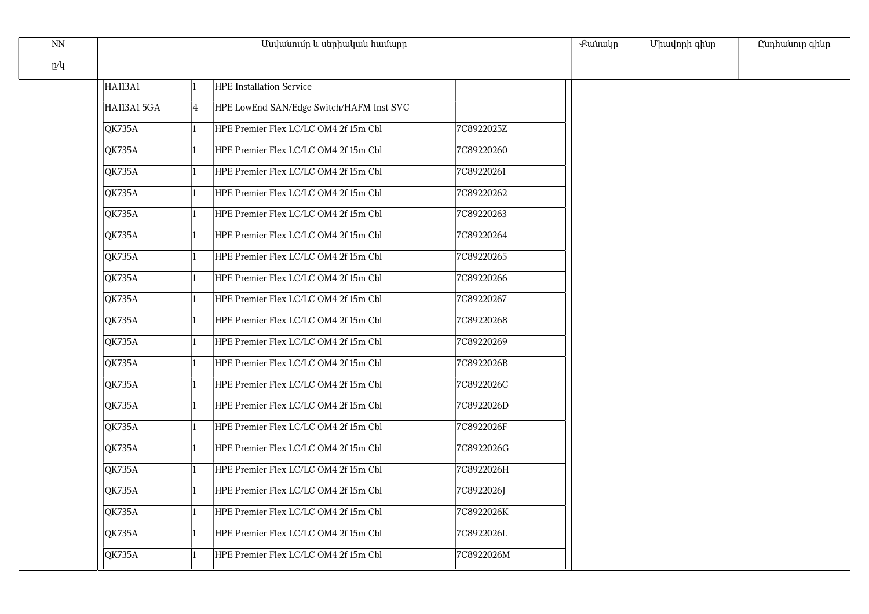| NN  |             |                | Անվանումը և սերիական համարը              |            | <b>Putuuln</b> | Միավորի գինը | Ընդհանուր գինը |
|-----|-------------|----------------|------------------------------------------|------------|----------------|--------------|----------------|
| p/q |             |                |                                          |            |                |              |                |
|     | HA113A1     |                | <b>HPE</b> Installation Service          |            |                |              |                |
|     | HA113A1 5GA | $\overline{4}$ | HPE LowEnd SAN/Edge Switch/HAFM Inst SVC |            |                |              |                |
|     | QK735A      |                | HPE Premier Flex LC/LC OM4 2f 15m Cbl    | 7C8922025Z |                |              |                |
|     | QK735A      |                | HPE Premier Flex LC/LC OM4 2f 15m Cbl    | 7C89220260 |                |              |                |
|     | QK735A      |                | HPE Premier Flex LC/LC OM4 2f 15m Cbl    | 7C89220261 |                |              |                |
|     | QK735A      |                | HPE Premier Flex LC/LC OM4 2f 15m Cbl    | 7C89220262 |                |              |                |
|     | QK735A      |                | HPE Premier Flex LC/LC OM4 2f 15m Cbl    | 7C89220263 |                |              |                |
|     | QK735A      |                | HPE Premier Flex LC/LC OM4 2f 15m Cbl    | 7C89220264 |                |              |                |
|     | QK735A      |                | HPE Premier Flex LC/LC OM4 2f 15m Cbl    | 7C89220265 |                |              |                |
|     | QK735A      |                | HPE Premier Flex LC/LC OM4 2f 15m Cbl    | 7C89220266 |                |              |                |
|     | QK735A      |                | HPE Premier Flex LC/LC OM4 2f 15m Cbl    | 7C89220267 |                |              |                |
|     | QK735A      |                | HPE Premier Flex LC/LC OM4 2f 15m Cbl    | 7C89220268 |                |              |                |
|     | QK735A      |                | HPE Premier Flex LC/LC OM4 2f 15m Cbl    | 7C89220269 |                |              |                |
|     | QK735A      |                | HPE Premier Flex LC/LC OM4 2f 15m Cbl    | 7C8922026B |                |              |                |
|     | QK735A      |                | HPE Premier Flex LC/LC OM4 2f 15m Cbl    | 7C8922026C |                |              |                |
|     | QK735A      |                | HPE Premier Flex LC/LC OM4 2f 15m Cbl    | 7C8922026D |                |              |                |
|     | QK735A      |                | HPE Premier Flex LC/LC OM4 2f 15m Cbl    | 7C8922026F |                |              |                |
|     | QK735A      |                | HPE Premier Flex LC/LC OM4 2f 15m Cbl    | 7C8922026G |                |              |                |
|     | QK735A      |                | HPE Premier Flex LC/LC OM4 2f 15m Cbl    | 7C8922026H |                |              |                |
|     | QK735A      |                | HPE Premier Flex LC/LC OM4 2f 15m Cbl    | 7C8922026J |                |              |                |
|     | QK735A      |                | HPE Premier Flex LC/LC OM4 2f 15m Cbl    | 7C8922026K |                |              |                |
|     | QK735A      |                | HPE Premier Flex LC/LC OM4 2f 15m Cbl    | 7C8922026L |                |              |                |
|     | QK735A      |                | HPE Premier Flex LC/LC OM4 2f 15m Cbl    | 7C8922026M |                |              |                |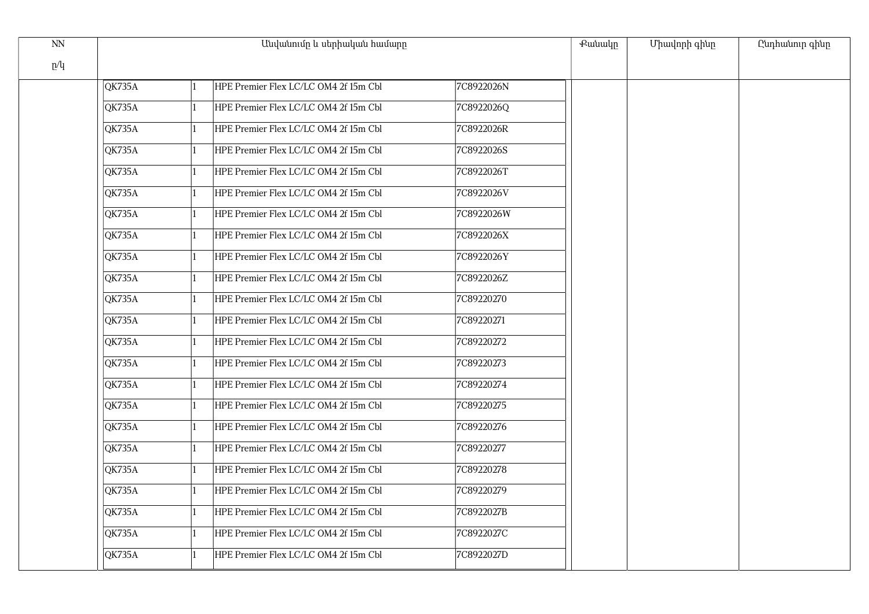| NN  |        | Անվանումը և սերիական համարը           |            | <b></b> eutuulp | Միավորի գինը | Ընդհանուր գինը |
|-----|--------|---------------------------------------|------------|-----------------|--------------|----------------|
| p/q |        |                                       |            |                 |              |                |
|     | QK735A | HPE Premier Flex LC/LC OM4 2f 15m Cbl | 7C8922026N |                 |              |                |
|     | QK735A | HPE Premier Flex LC/LC OM4 2f 15m Cbl | 7C8922026Q |                 |              |                |
|     | QK735A | HPE Premier Flex LC/LC OM4 2f 15m Cbl | 7C8922026R |                 |              |                |
|     | QK735A | HPE Premier Flex LC/LC OM4 2f 15m Cbl | 7C8922026S |                 |              |                |
|     | QK735A | HPE Premier Flex LC/LC OM4 2f 15m Cbl | 7C8922026T |                 |              |                |
|     | QK735A | HPE Premier Flex LC/LC OM4 2f 15m Cbl | 7C8922026V |                 |              |                |
|     | QK735A | HPE Premier Flex LC/LC OM4 2f 15m Cbl | 7C8922026W |                 |              |                |
|     | QK735A | HPE Premier Flex LC/LC OM4 2f 15m Cbl | 7C8922026X |                 |              |                |
|     | QK735A | HPE Premier Flex LC/LC OM4 2f 15m Cbl | 7C8922026Y |                 |              |                |
|     | QK735A | HPE Premier Flex LC/LC OM4 2f 15m Cbl | 7C8922026Z |                 |              |                |
|     | QK735A | HPE Premier Flex LC/LC OM4 2f 15m Cbl | 7C89220270 |                 |              |                |
|     | QK735A | HPE Premier Flex LC/LC OM4 2f 15m Cbl | 7C89220271 |                 |              |                |
|     | QK735A | HPE Premier Flex LC/LC OM4 2f 15m Cbl | 7C89220272 |                 |              |                |
|     | QK735A | HPE Premier Flex LC/LC OM4 2f 15m Cbl | 7C89220273 |                 |              |                |
|     | QK735A | HPE Premier Flex LC/LC OM4 2f 15m Cbl | 7C89220274 |                 |              |                |
|     | QK735A | HPE Premier Flex LC/LC OM4 2f 15m Cbl | 7C89220275 |                 |              |                |
|     | QK735A | HPE Premier Flex LC/LC OM4 2f 15m Cbl | 7C89220276 |                 |              |                |
|     | QK735A | HPE Premier Flex LC/LC OM4 2f 15m Cbl | 7C89220277 |                 |              |                |
|     | QK735A | HPE Premier Flex LC/LC OM4 2f 15m Cbl | 7C89220278 |                 |              |                |
|     | QK735A | HPE Premier Flex LC/LC OM4 2f 15m Cbl | 7C89220279 |                 |              |                |
|     | QK735A | HPE Premier Flex LC/LC OM4 2f 15m Cbl | 7C8922027B |                 |              |                |
|     | QK735A | HPE Premier Flex LC/LC OM4 2f 15m Cbl | 7C8922027C |                 |              |                |
|     | QK735A | HPE Premier Flex LC/LC OM4 2f 15m Cbl | 7C8922027D |                 |              |                |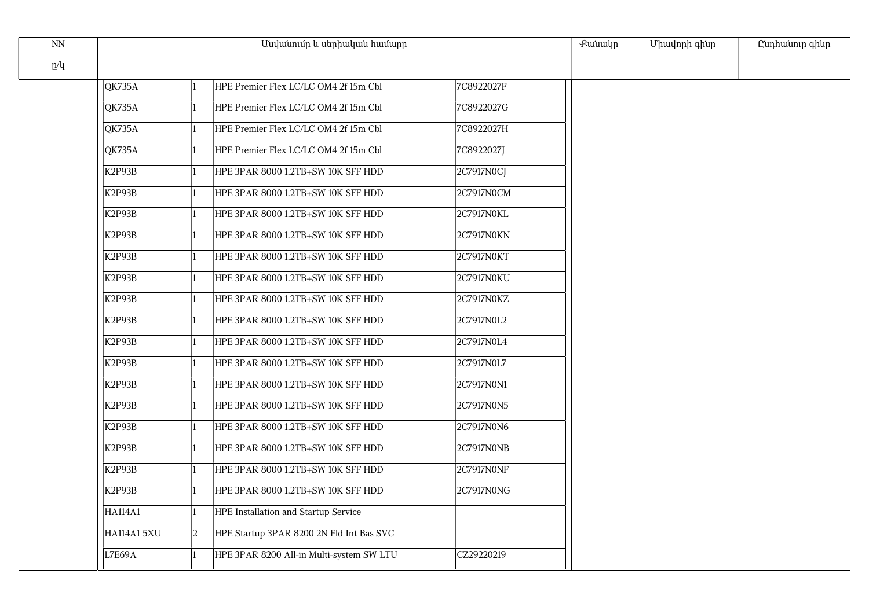| NN  |                             |     | Անվանումը և սերիական համարը              |            | Քանակր | Միավորի գինը | Ընդհանուր գինը |
|-----|-----------------------------|-----|------------------------------------------|------------|--------|--------------|----------------|
| p/q |                             |     |                                          |            |        |              |                |
|     | QK735A                      |     | HPE Premier Flex LC/LC OM4 2f 15m Cbl    | 7C8922027F |        |              |                |
|     | QK735A                      |     | HPE Premier Flex LC/LC OM4 2f 15m Cbl    | 7C8922027G |        |              |                |
|     | QK735A                      |     | HPE Premier Flex LC/LC OM4 2f 15m Cbl    | 7C8922027H |        |              |                |
|     | QK735A                      |     | HPE Premier Flex LC/LC OM4 2f 15m Cbl    | 7C8922027J |        |              |                |
|     | <b>K2P93B</b>               |     | HPE 3PAR 8000 1.2TB+SW 10K SFF HDD       | 2C7917N0CJ |        |              |                |
|     | K2P93B                      |     | HPE 3PAR 8000 1.2TB+SW 10K SFF HDD       | 2C7917N0CM |        |              |                |
|     | K2P93B                      |     | HPE 3PAR 8000 1.2TB+SW 10K SFF HDD       | 2C7917N0KL |        |              |                |
|     | K2P93B                      |     | HPE 3PAR 8000 1.2TB+SW 10K SFF HDD       | 2C7917N0KN |        |              |                |
|     | K2P93B                      |     | HPE 3PAR 8000 1.2TB+SW 10K SFF HDD       | 2C7917N0KT |        |              |                |
|     | K2P93B                      |     | HPE 3PAR 8000 1.2TB+SW 10K SFF HDD       | 2C7917N0KU |        |              |                |
|     | K2P93B                      |     | HPE 3PAR 8000 1.2TB+SW 10K SFF HDD       | 2C7917N0KZ |        |              |                |
|     | K2P93B                      |     | HPE 3PAR 8000 1.2TB+SW 10K SFF HDD       | 2C7917N0L2 |        |              |                |
|     | K2P93B                      |     | HPE 3PAR 8000 1.2TB+SW 10K SFF HDD       | 2C7917N0L4 |        |              |                |
|     | K2P93B                      |     | HPE 3PAR 8000 1.2TB+SW 10K SFF HDD       | 2C7917N0L7 |        |              |                |
|     | $\overline{\text{K2}P}$ 93B |     | HPE 3PAR 8000 1.2TB+SW 10K SFF HDD       | 2C7917N0N1 |        |              |                |
|     | <b>K2P93B</b>               |     | HPE 3PAR 8000 1.2TB+SW 10K SFF HDD       | 2C7917N0N5 |        |              |                |
|     | K2P93B                      |     | HPE 3PAR 8000 1.2TB+SW 10K SFF HDD       | 2C7917N0N6 |        |              |                |
|     | K2P93B                      |     | HPE 3PAR 8000 1.2TB+SW 10K SFF HDD       | 2C7917N0NB |        |              |                |
|     | K2P93B                      |     | HPE 3PAR 8000 1.2TB+SW 10K SFF HDD       | 2C7917N0NF |        |              |                |
|     | K2P93B                      |     | HPE 3PAR 8000 1.2TB+SW 10K SFF HDD       | 2C7917N0NG |        |              |                |
|     | HA114A1                     |     | HPE Installation and Startup Service     |            |        |              |                |
|     | HA114A15XU                  | 12. | HPE Startup 3PAR 8200 2N Fld Int Bas SVC |            |        |              |                |
|     | L7E69A                      |     | HPE 3PAR 8200 All-in Multi-system SW LTU | CZ29220219 |        |              |                |
|     |                             |     |                                          |            |        |              |                |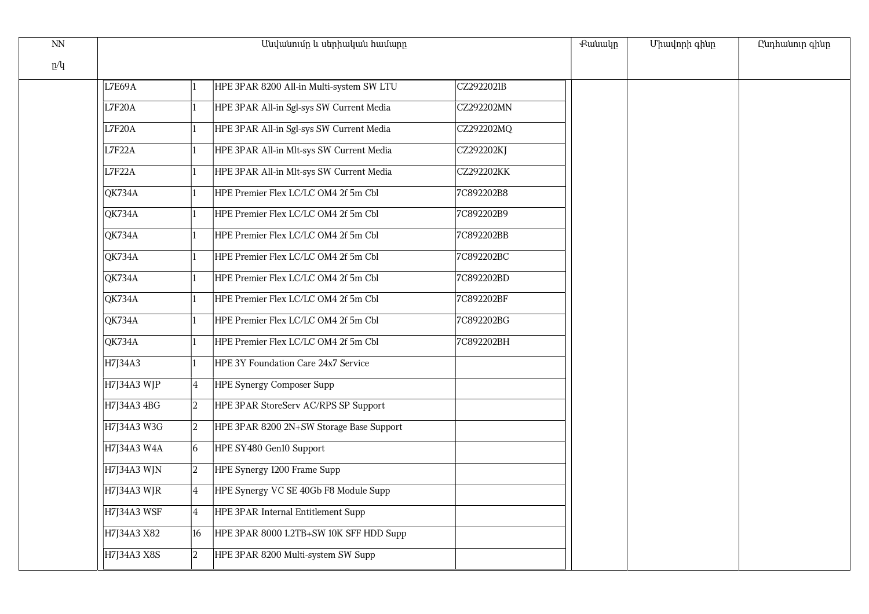| $\mathop{\rm NN}\nolimits$ | Անվանումը և սերիական համարը |                |                                          | <b>Putuulp</b> | Միավորի գինը | Ընդհանուր գինը |  |
|----------------------------|-----------------------------|----------------|------------------------------------------|----------------|--------------|----------------|--|
| p/q                        |                             |                |                                          |                |              |                |  |
|                            | L7E69A                      |                | HPE 3PAR 8200 All-in Multi-system SW LTU | CZ2922021B     |              |                |  |
|                            | L7F20A                      |                | HPE 3PAR All-in Sgl-sys SW Current Media | CZ292202MN     |              |                |  |
|                            | L7F20A                      |                | HPE 3PAR All-in Sgl-sys SW Current Media | CZ292202MQ     |              |                |  |
|                            | L7F22A                      |                | HPE 3PAR All-in Mlt-sys SW Current Media | CZ292202KJ     |              |                |  |
|                            | L7F22A                      |                | HPE 3PAR All-in Mlt-sys SW Current Media | CZ292202KK     |              |                |  |
|                            | QK734A                      |                | HPE Premier Flex LC/LC OM4 2f 5m Cbl     | 7C892202B8     |              |                |  |
|                            | QK734A                      |                | HPE Premier Flex LC/LC OM4 2f 5m Cbl     | 7C892202B9     |              |                |  |
|                            | QK734A                      |                | HPE Premier Flex LC/LC OM4 2f 5m Cbl     | 7C892202BB     |              |                |  |
|                            | QK734A                      |                | HPE Premier Flex LC/LC OM4 2f 5m Cbl     | 7C892202BC     |              |                |  |
|                            | QK734A                      |                | HPE Premier Flex LC/LC OM4 2f 5m Cbl     | 7C892202BD     |              |                |  |
|                            | QK734A                      |                | HPE Premier Flex LC/LC OM4 2f 5m Cbl     | 7C892202BF     |              |                |  |
|                            | QK734A                      |                | HPE Premier Flex LC/LC OM4 2f 5m Cbl     | 7C892202BG     |              |                |  |
|                            | QK734A                      |                | HPE Premier Flex LC/LC OM4 2f 5m Cbl     | 7C892202BH     |              |                |  |
|                            | H7J34A3                     |                | HPE 3Y Foundation Care 24x7 Service      |                |              |                |  |
|                            | H7J34A3 WJP                 | 4              | HPE Synergy Composer Supp                |                |              |                |  |
|                            | H7J34A3 4BG                 | 2              | HPE 3PAR StoreServ AC/RPS SP Support     |                |              |                |  |
|                            | H7J34A3 W3G                 | $ 2\rangle$    | HPE 3PAR 8200 2N+SW Storage Base Support |                |              |                |  |
|                            | <b>H7J34A3 W4A</b>          | 6              | HPE SY480 Gen10 Support                  |                |              |                |  |
|                            | H7J34A3 WJN                 | $ 2\rangle$    | HPE Synergy 1200 Frame Supp              |                |              |                |  |
|                            | H7J34A3 WJR                 | $\overline{4}$ | HPE Synergy VC SE 40Gb F8 Module Supp    |                |              |                |  |
|                            | H7J34A3 WSF                 | $\overline{4}$ | HPE 3PAR Internal Entitlement Supp       |                |              |                |  |
|                            | H7J34A3 X82                 | $ 16\rangle$   | HPE 3PAR 8000 1.2TB+SW 10K SFF HDD Supp  |                |              |                |  |
|                            | H7J34A3 X8S                 |                | HPE 3PAR 8200 Multi-system SW Supp       |                |              |                |  |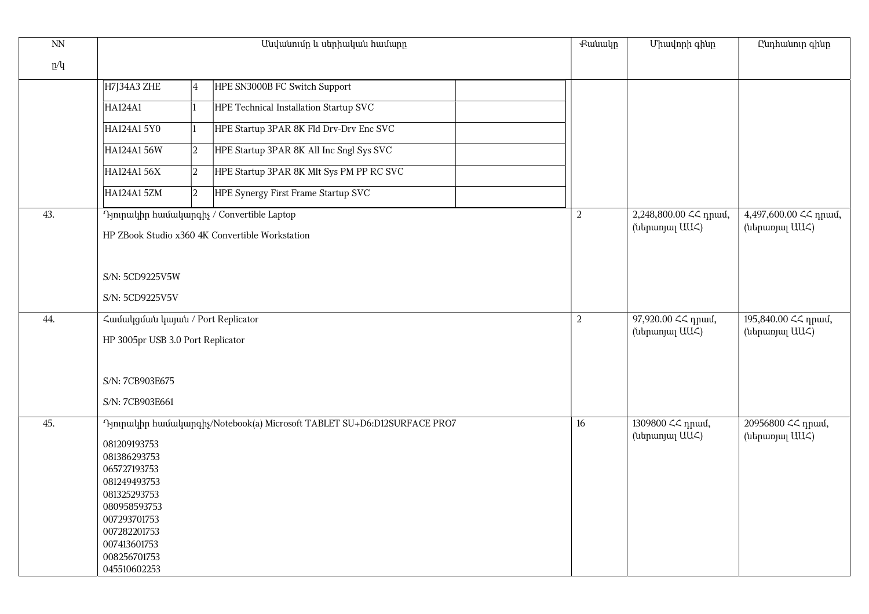| $\mbox{NN}$ | Անվանումը և սերիական համարը                                                      | <b>Putuulp</b> | Միավորի գինը                            | Ընդհանուր գինը                          |
|-------------|----------------------------------------------------------------------------------|----------------|-----------------------------------------|-----------------------------------------|
| p/q         |                                                                                  |                |                                         |                                         |
|             | H7J34A3 ZHE<br>HPE SN3000B FC Switch Support<br> 4                               |                |                                         |                                         |
|             | HPE Technical Installation Startup SVC<br><b>HA124A1</b>                         |                |                                         |                                         |
|             | HA124A1 5Y0<br>HPE Startup 3PAR 8K Fld Drv-Drv Enc SVC                           |                |                                         |                                         |
|             | HPE Startup 3PAR 8K All Inc Sngl Sys SVC<br>HA124A1 56W<br>$ 2\rangle$           |                |                                         |                                         |
|             | HPE Startup 3PAR 8K Mlt Sys PM PP RC SVC<br><b>HA124A156X</b><br>$ 2\rangle$     |                |                                         |                                         |
|             | HA124A1 5ZM<br>HPE Synergy First Frame Startup SVC<br>2                          |                |                                         |                                         |
| 43.         | <b>Bynipully humanique Automation</b> Convertible Laptop                         | 2              | 2,248,800.00 << npuu,<br>(ներառյալ UU<) | 4,497,600.00 << npmu,<br>(ներառյալ UUՀ) |
|             | HP ZBook Studio x360 4K Convertible Workstation                                  |                |                                         |                                         |
|             |                                                                                  |                |                                         |                                         |
|             | S/N: 5CD9225V5W                                                                  |                |                                         |                                         |
|             | S/N: 5CD9225V5V                                                                  |                |                                         |                                         |
| 44.         | <b><i><u>Cuufulgufuitulumumus</u></i></b> / Port Replicator                      | $\overline{2}$ | 97,920.00 << npwu,                      | 195,840.00 << npuu f,<br>(ներառյալ UUՀ) |
|             | HP 3005pr USB 3.0 Port Replicator                                                |                | (ներառյալ UUՀ)                          |                                         |
|             |                                                                                  |                |                                         |                                         |
|             | S/N: 7CB903E675                                                                  |                |                                         |                                         |
|             | S/N: 7CB903E661                                                                  |                |                                         |                                         |
| 45.         | <b>Bynnuulph huuuuluunqhy/Notebook(a) Microsoft TABLET SU+D6:D12SURFACE PRO7</b> | 16             | 1309800 ∠∠ դրամ,                        | 20956800 ՀՀ դրամ,                       |
|             | 081209193753<br>081386293753                                                     |                | (ներառյալ UUՀ)                          | (utipunjul UU<)                         |
|             | 065727193753                                                                     |                |                                         |                                         |
|             | 081249493753                                                                     |                |                                         |                                         |
|             | 081325293753<br>080958593753                                                     |                |                                         |                                         |
|             | 007293701753                                                                     |                |                                         |                                         |
|             | 007282201753                                                                     |                |                                         |                                         |
|             | 007413601753<br>008256701753                                                     |                |                                         |                                         |
|             | 045510602253                                                                     |                |                                         |                                         |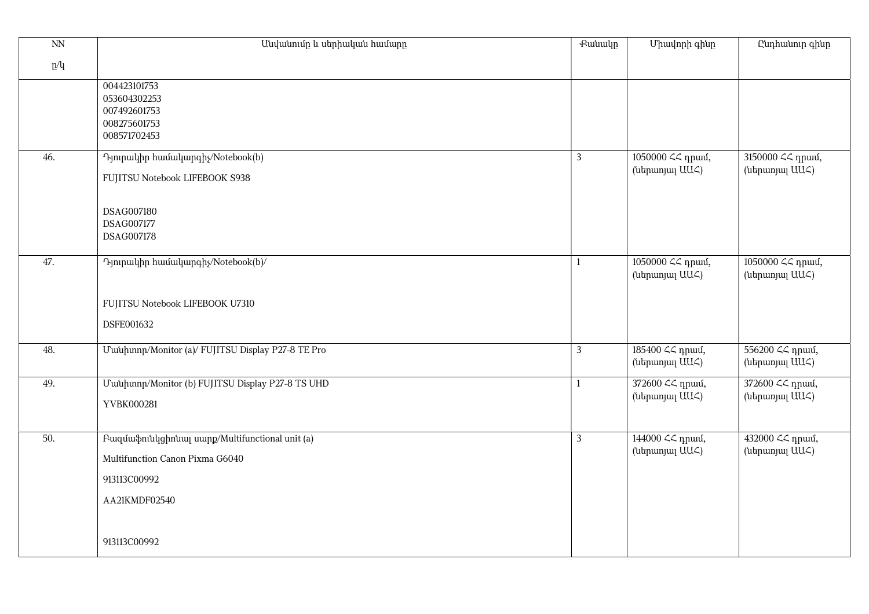| N <sub>N</sub> | Անվանումը և սերիական համարը                                                                                                        | Քանակը         | Միավորի գինը                                                                                                                                                                      | Ընդհանուր գինը                                                                                                                                                                                                                                                                               |
|----------------|------------------------------------------------------------------------------------------------------------------------------------|----------------|-----------------------------------------------------------------------------------------------------------------------------------------------------------------------------------|----------------------------------------------------------------------------------------------------------------------------------------------------------------------------------------------------------------------------------------------------------------------------------------------|
| p/q            |                                                                                                                                    |                |                                                                                                                                                                                   |                                                                                                                                                                                                                                                                                              |
|                | 004423101753<br>053604302253<br>007492601753<br>008275601753<br>008571702453                                                       |                |                                                                                                                                                                                   |                                                                                                                                                                                                                                                                                              |
| 46.            | <b>Pynnuulphy</b> huuuuluunqhy/Notebook(b)<br>FUJITSU Notebook LIFEBOOK S938<br>DSAG007180<br>DSAG007177<br>DSAG007178             | 3              | 1050000 << <a> 1050000</a> 1050000 1050000 1050000 1050000 1050000 1050000 1050000 1050000 1050000 1050000 1050000 1050000 1050000 1050000 1050000 1050000 105<br>(utipunjul UU<) | 3150000 <<<br>npuu<br>6,<br>(ներառյալ UUՀ)                                                                                                                                                                                                                                                   |
| 47.            | <b>1-</b> <i><b>Computer Apply</b> Computer Apply/Notebook(b)</i><br>FUJITSU Notebook LIFEBOOK U7310<br>DSFE001632                 | $\mathbf{1}$   | 1050000 ՀՀ դրամ,<br>(ներառյալ UUՀ)                                                                                                                                                | 1050000 ՀՀ դրամ,<br>(ներառյալ UUՀ)                                                                                                                                                                                                                                                           |
| 48.            | Uwuhunnp/Monitor (a)/ FUJITSU Display P27-8 TE Pro                                                                                 | $\mathfrak{Z}$ | 185400 ՀՀ դրամ,<br>(ներառյալ UU<)                                                                                                                                                 | 556200 <<<br>npuu<br>0,<br>(ներառյալ UUՀ)                                                                                                                                                                                                                                                    |
| 49.            | Uwuhunnp/Monitor (b) FUJITSU Display P27-8 TS UHD<br>YVBK000281                                                                    | 1              | 372600 ՀՀ դրամ,<br>(ներառյալ UUՀ)                                                                                                                                                 | 372600 ՀՀ դրամ,<br>(ներառյալ UU<)                                                                                                                                                                                                                                                            |
| 50.            | Բազմաֆունկցիոնալ սարք/Multifunctional unit (a)<br>Multifunction Canon Pixma G6040<br>913113C00992<br>AA21KMDF02540<br>913113C00992 | 3              | 144000 ՀՀ դրամ,<br>(utipunjul UU<)                                                                                                                                                | 432000 << <a> <i>A32000</i>&lt;<br/> <i>A32000</i>&lt;</a> « <i>A32000</i> < « <i>A32000</i> < « <i>A32000</i> < « <i>A32000</i> < « <i>A52000</i> < « <i>A52000</i> < « <i>A52000</i> < « <i>A52000</i> < « <i>A52000</i> < « <i>A52000</i> < « <i>A52000</i> < « <i></i><br>(ներառյալ UUՀ) |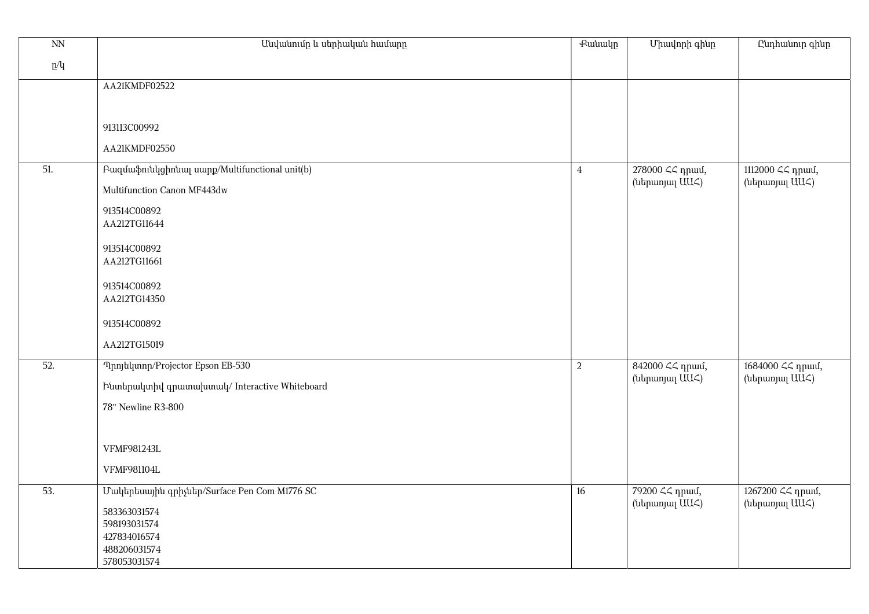| $\overline{\text{NN}}$ | Անվանումը և սերիական համարը                                  | <b></b> eutuulp | Միավորի գինը                            | Ընդհանուր գինը                                               |
|------------------------|--------------------------------------------------------------|-----------------|-----------------------------------------|--------------------------------------------------------------|
| p/q                    |                                                              |                 |                                         |                                                              |
|                        | AA21KMDF02522                                                |                 |                                         |                                                              |
|                        |                                                              |                 |                                         |                                                              |
|                        | 913113C00992                                                 |                 |                                         |                                                              |
|                        | AA21KMDF02550                                                |                 |                                         |                                                              |
| 51.                    | Բազմաֆունկցիոնալ սարք/Multifunctional unit(b)                | $\overline{4}$  | 278000 << <a> Ω<br/> 78000 &lt;&lt;</a> | 1112000 << npwu,                                             |
|                        | Multifunction Canon MF443dw                                  |                 | (ներառյալ $UU\zeta$ )                   | (ներառյալ UU<)                                               |
|                        | 913514C00892<br>AA212TG11644                                 |                 |                                         |                                                              |
|                        | 913514C00892<br>AA212TG11661                                 |                 |                                         |                                                              |
|                        | 913514C00892<br>AA212TG14350                                 |                 |                                         |                                                              |
|                        | 913514C00892                                                 |                 |                                         |                                                              |
|                        | AA212TG15019                                                 |                 |                                         |                                                              |
| 52.                    | Thpnjulunnp/Projector Epson EB-530                           | 2               | 842000 <<<br>npuu,                      | 1684000 << <a> 1684000 &lt;&lt;</a> 1684000 << K ηρι<br>ωιί, |
|                        | huntipulunhul qnuunulunulu/ Interactive Whiteboard           |                 | (utmunjul UU<)                          | (ներառյալ UUՀ)                                               |
|                        | 78" Newline R3-800                                           |                 |                                         |                                                              |
|                        |                                                              |                 |                                         |                                                              |
|                        | <b>VFMF981243L</b>                                           |                 |                                         |                                                              |
|                        | <b>VFMF981104L</b>                                           |                 |                                         |                                                              |
| 53.                    | Մակերեսային գրիչներ/Surface Pen Com M1776 SC                 | 16              | 79200 ՀՀ դրամ,                          | 1267200 <<<br>npuu,                                          |
|                        | 583363031574<br>598193031574<br>427834016574<br>488206031574 |                 | (utmunjul UU<)                          | (ներառյալ UU<)                                               |
|                        | 578053031574                                                 |                 |                                         |                                                              |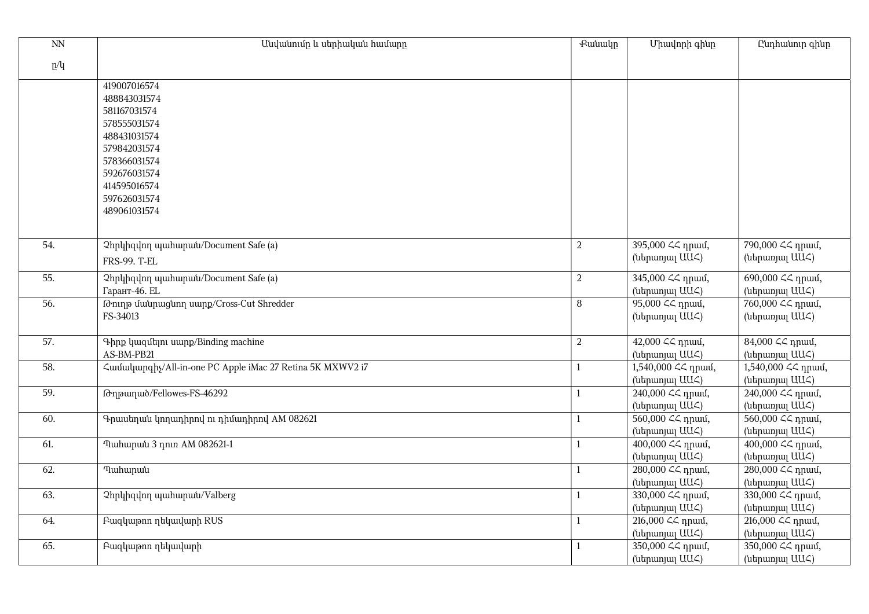| $\mathop{\rm NN}\nolimits$ | Անվանումը և սերիական համարը                                   | <b>Putuulp</b> | Միավորի գինը                        | Ընդհանուր գինը                                                                                                                                                 |
|----------------------------|---------------------------------------------------------------|----------------|-------------------------------------|----------------------------------------------------------------------------------------------------------------------------------------------------------------|
| p/q                        |                                                               |                |                                     |                                                                                                                                                                |
|                            |                                                               |                |                                     |                                                                                                                                                                |
|                            | 419007016574                                                  |                |                                     |                                                                                                                                                                |
|                            | 488843031574                                                  |                |                                     |                                                                                                                                                                |
|                            | 581167031574                                                  |                |                                     |                                                                                                                                                                |
|                            | 578555031574                                                  |                |                                     |                                                                                                                                                                |
|                            | 488431031574                                                  |                |                                     |                                                                                                                                                                |
|                            | 579842031574                                                  |                |                                     |                                                                                                                                                                |
|                            | 578366031574                                                  |                |                                     |                                                                                                                                                                |
|                            | 592676031574                                                  |                |                                     |                                                                                                                                                                |
|                            | 414595016574                                                  |                |                                     |                                                                                                                                                                |
|                            | 597626031574                                                  |                |                                     |                                                                                                                                                                |
|                            | 489061031574                                                  |                |                                     |                                                                                                                                                                |
|                            |                                                               |                |                                     |                                                                                                                                                                |
| 54.                        | 2hplypqlnn www.hupwu/Document Safe (a)                        | $\overline{a}$ | 395,000 <<< <r a="" npuu<="">0.</r> | 790,000 ՀՀ դրամ,                                                                                                                                               |
|                            | <b>FRS-99. T-EL</b>                                           |                | (ներառյալ UUՀ)                      | (utmunjul UU<)                                                                                                                                                 |
|                            |                                                               |                |                                     |                                                                                                                                                                |
| 55.                        | 2hplypqlnn www.hupwu/Document Safe (a)                        | 2              | 345,000 <<< <r></r> npuu<br>0,      | $\sqrt{690,000}$ $\leq$ npuul,                                                                                                                                 |
|                            | Гарант-46. EL                                                 |                | (ներառյալ UUՀ)                      | (ներառյալ UUՀ)                                                                                                                                                 |
| 56.                        | Թուղթ մանրացնող սարք/Cross-Cut Shredder                       | 8              | 95,000 << npuu,                     | 760,000 ՀՀ դրամ,                                                                                                                                               |
|                            | FS-34013                                                      |                | (utipunjuj UU<)                     | (ներառյալ UUՀ)                                                                                                                                                 |
|                            |                                                               |                |                                     |                                                                                                                                                                |
| 57.                        | Գիրք կազմելու սարք/Binding machine                            | $\overline{a}$ | 42,000 << npuu,                     | 84,000 << npuu,                                                                                                                                                |
|                            | AS-BM-PB21                                                    |                | (ներառյալ UUՀ)                      | (ներառյալ UUՀ)                                                                                                                                                 |
| 58.                        | Cuuuuuuuuuuqhy/All-in-one PC Apple iMac 27 Retina 5K MXWV2 i7 | $\mathbf{1}$   | 1,540,000 << npuu,                  | 1,540,000 << npuu,                                                                                                                                             |
|                            |                                                               |                | (ներառյալ UUՀ)                      | (ներառյալ UUՀ)                                                                                                                                                 |
| 59.                        | Γσηριωη μιδ/Fellowes-FS-46292                                 | $\mathbf{1}$   | 240,000 << npuu,                    | 240,000 << npuu,                                                                                                                                               |
|                            |                                                               |                | (utmunjuj UU<)                      | (ներառյալ UUՀ)                                                                                                                                                 |
| 60.                        | Գրասեղան կողադիրով ու դիմադիրով AM 082621                     | $\mathbf{1}$   | 560,000 ՀՀ դրամ,                    | 560,000 ՀՀ դրամ,                                                                                                                                               |
|                            |                                                               |                | (ներառյալ UUՀ)                      | (ներառյալ UU<)                                                                                                                                                 |
| 61.                        | Պահարան 3 դուռ AM 082621-1                                    | $\mathbf{1}$   |                                     | 400,000 << <a> 101,000</a> 101,000 101,000 101,000 101,000 101,000 101,000 101,000 101,000 101,000 101,000 101,000 101,000 101,000 101,000 101,000 101,000 101 |
|                            |                                                               |                | (ներառյալ UUՀ)                      | (ներառյալ UUՀ)                                                                                                                                                 |
| 62.                        | <b>Tuhupuu</b>                                                | 1              | 280,000 << npuu 6,                  | 280,000 << npuu,                                                                                                                                               |
|                            |                                                               |                | (ներառյալ UU<)                      | (ներառյալ UU<)                                                                                                                                                 |
| 63.                        | 2hplhqunn wwhwpww/Valberg                                     | $\mathbf{1}$   | 330,000 <<< <r></r> npuu<br>0,      | 330,000 <<< <r></r> npuu<br>0,                                                                                                                                 |
|                            |                                                               |                | (ներառյալ UU<)                      | (ներառյալ UUՀ)                                                                                                                                                 |
| 64.                        | Բազկաթոռ ղեկավարի RUS                                         | $\mathbf{1}$   | 216,000 << <a>&lt;</a> 16,000 <<    | 216,000 << <a>&lt;</a> 16,000 <<                                                                                                                               |
|                            |                                                               |                | (ներառյալ UUՀ)                      | (ներառյալ UUՀ)                                                                                                                                                 |
| 65.                        | Բազկաթոռ ղեկավարի                                             |                | 350,000 << npuu,                    | 350,000 ∠< դրամ,                                                                                                                                               |
|                            |                                                               |                | (ներառյալ UUՀ)                      | (ներառյալ UUՀ)                                                                                                                                                 |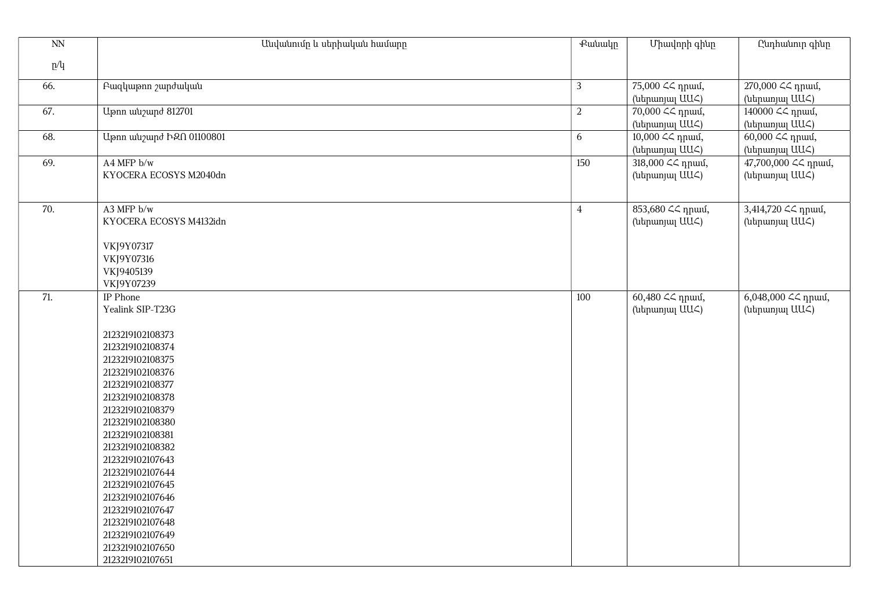| $\overline{NN}$   | Անվանումը և սերիական համարը                                                                                                                                                                                                                                                                                                                                                                                              | <b></b>        | Միավորի գինը                                     | Ընդհանուր գինը                          |
|-------------------|--------------------------------------------------------------------------------------------------------------------------------------------------------------------------------------------------------------------------------------------------------------------------------------------------------------------------------------------------------------------------------------------------------------------------|----------------|--------------------------------------------------|-----------------------------------------|
| p/q               |                                                                                                                                                                                                                                                                                                                                                                                                                          |                |                                                  |                                         |
| 66.               | Բազկաթոռ շարժական                                                                                                                                                                                                                                                                                                                                                                                                        | $\overline{3}$ | 75,000 ՀՀ դրամ,<br>(ներառյալ UU<)                | 270,000 ՀՀ դրամ,<br>(utmunjul UU<)      |
| 67.               | Upnn wuzund 812701                                                                                                                                                                                                                                                                                                                                                                                                       | $\overline{a}$ | 70,000 << npuu,<br>(ներառյալ UU<)                | 140000 <<<br>npuu<br>(utipunjul UU<)    |
| 68.               | Աթոռ անշարժ ԻԶՈ 01100801                                                                                                                                                                                                                                                                                                                                                                                                 | 6              | 10,000 ∠∠ դրամ,<br>(ներառյալ UU<)                | 60,000 ∠< դրամ,<br>(ներառյալ UUՀ)       |
| 69.               | A4 MFP b/w<br>KYOCERA ECOSYS M2040dn                                                                                                                                                                                                                                                                                                                                                                                     | 150            | 318,000 << npuu,<br>(utipunjul UU<)              | 47,700,000 << ηριαιή,<br>(utmunjul UU<) |
| 70.               | A3 MFP b/w<br>KYOCERA ECOSYS M4132idn<br>VKJ9Y07317<br>VKJ9Y07316<br>VKJ9405139<br>VKJ9Y07239                                                                                                                                                                                                                                                                                                                            | $\overline{4}$ | 853,680 <<<br>npuu<br>0,<br>(ներառյալ UUՀ)       | 3,414,720 << npuu,<br>(ներառյալ UUՀ)    |
| $\overline{71}$ . | IP Phone<br>Yealink SIP-T23G<br>2123219102108373<br>2123219102108374<br>2123219102108375<br>2123219102108376<br>2123219102108377<br>2123219102108378<br>2123219102108379<br>2123219102108380<br>2123219102108381<br>2123219102108382<br>2123219102107643<br>2123219102107644<br>2123219102107645<br>2123219102107646<br>2123219102107647<br>2123219102107648<br>2123219102107649<br>2123219102107650<br>2123219102107651 | 100            | $60,480 \leq \text{q}$ npuul,<br>(utipunjul UU<) | 6,048,000 ՀՀ դրամ,<br>(utipunjuj UU<)   |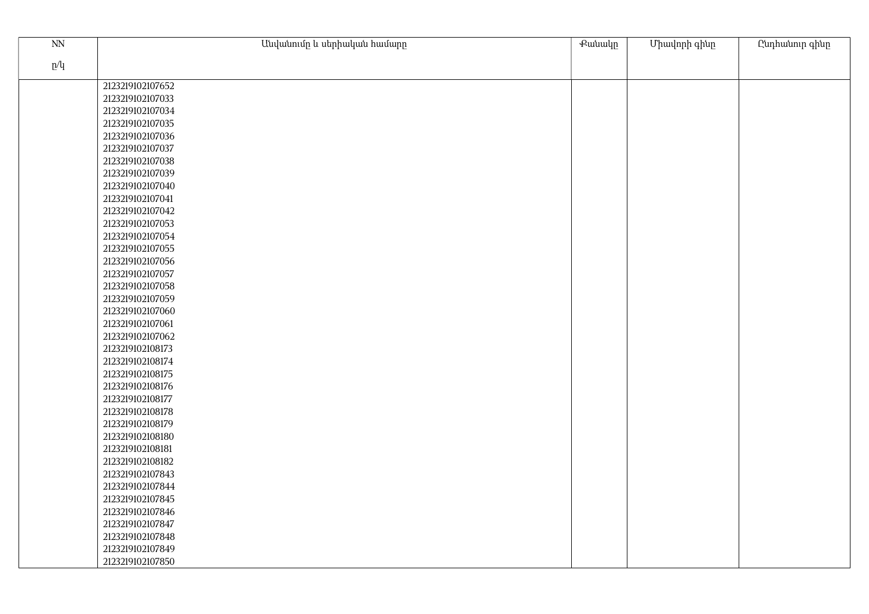| $\mathop{\rm NN}\nolimits$ | Անվանումը և սերիական համարը | <b>Putuulp</b> | Միավորի գինը | Ընդհանուր գինը |
|----------------------------|-----------------------------|----------------|--------------|----------------|
| p/q                        |                             |                |              |                |
|                            |                             |                |              |                |
|                            | 2123219102107652            |                |              |                |
|                            | 2123219102107033            |                |              |                |
|                            | 2123219102107034            |                |              |                |
|                            | 2123219102107035            |                |              |                |
|                            | 2123219102107036            |                |              |                |
|                            | 2123219102107037            |                |              |                |
|                            | 2123219102107038            |                |              |                |
|                            | 2123219102107039            |                |              |                |
|                            | 2123219102107040            |                |              |                |
|                            | 2123219102107041            |                |              |                |
|                            | 2123219102107042            |                |              |                |
|                            | 2123219102107053            |                |              |                |
|                            | 2123219102107054            |                |              |                |
|                            | 2123219102107055            |                |              |                |
|                            | 2123219102107056            |                |              |                |
|                            | 2123219102107057            |                |              |                |
|                            | 2123219102107058            |                |              |                |
|                            | 2123219102107059            |                |              |                |
|                            | 2123219102107060            |                |              |                |
|                            | 2123219102107061            |                |              |                |
|                            | 2123219102107062            |                |              |                |
|                            | 2123219102108173            |                |              |                |
|                            | 2123219102108174            |                |              |                |
|                            | 2123219102108175            |                |              |                |
|                            | 2123219102108176            |                |              |                |
|                            | 2123219102108177            |                |              |                |
|                            | 2123219102108178            |                |              |                |
|                            | 2123219102108179            |                |              |                |
|                            | 2123219102108180            |                |              |                |
|                            | 2123219102108181            |                |              |                |
|                            | 2123219102108182            |                |              |                |
|                            | 2123219102107843            |                |              |                |
|                            | 2123219102107844            |                |              |                |
|                            | 2123219102107845            |                |              |                |
|                            | 2123219102107846            |                |              |                |
|                            | 2123219102107847            |                |              |                |
|                            | 2123219102107848            |                |              |                |
|                            | 2123219102107849            |                |              |                |
|                            | 2123219102107850            |                |              |                |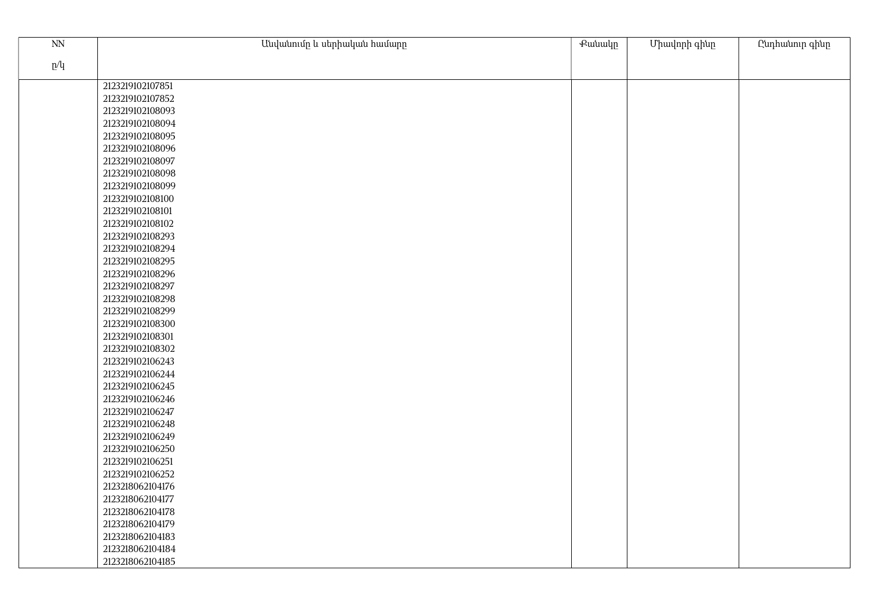| $\text{NN}$ | Անվանումը և սերիական համարը | <b>Putuulp</b> | Միավորի գինը | Ընդհանուր գինը |
|-------------|-----------------------------|----------------|--------------|----------------|
| p/q         |                             |                |              |                |
|             |                             |                |              |                |
|             | 2123219102107851            |                |              |                |
|             | 2123219102107852            |                |              |                |
|             | 2123219102108093            |                |              |                |
|             | 2123219102108094            |                |              |                |
|             | 2123219102108095            |                |              |                |
|             | 2123219102108096            |                |              |                |
|             | 2123219102108097            |                |              |                |
|             | 2123219102108098            |                |              |                |
|             | 2123219102108099            |                |              |                |
|             | 2123219102108100            |                |              |                |
|             | 2123219102108101            |                |              |                |
|             | 2123219102108102            |                |              |                |
|             | 2123219102108293            |                |              |                |
|             | 2123219102108294            |                |              |                |
|             | 2123219102108295            |                |              |                |
|             | 2123219102108296            |                |              |                |
|             | 2123219102108297            |                |              |                |
|             | 2123219102108298            |                |              |                |
|             | 2123219102108299            |                |              |                |
|             | 2123219102108300            |                |              |                |
|             | 2123219102108301            |                |              |                |
|             | 2123219102108302            |                |              |                |
|             | 2123219102106243            |                |              |                |
|             | 2123219102106244            |                |              |                |
|             | 2123219102106245            |                |              |                |
|             | 2123219102106246            |                |              |                |
|             | 2123219102106247            |                |              |                |
|             | 2123219102106248            |                |              |                |
|             | 2123219102106249            |                |              |                |
|             | 2123219102106250            |                |              |                |
|             | 2123219102106251            |                |              |                |
|             | 2123219102106252            |                |              |                |
|             | 2123218062104176            |                |              |                |
|             | 2123218062104177            |                |              |                |
|             | 2123218062104178            |                |              |                |
|             | 2123218062104179            |                |              |                |
|             | 2123218062104183            |                |              |                |
|             | 2123218062104184            |                |              |                |
|             | 2123218062104185            |                |              |                |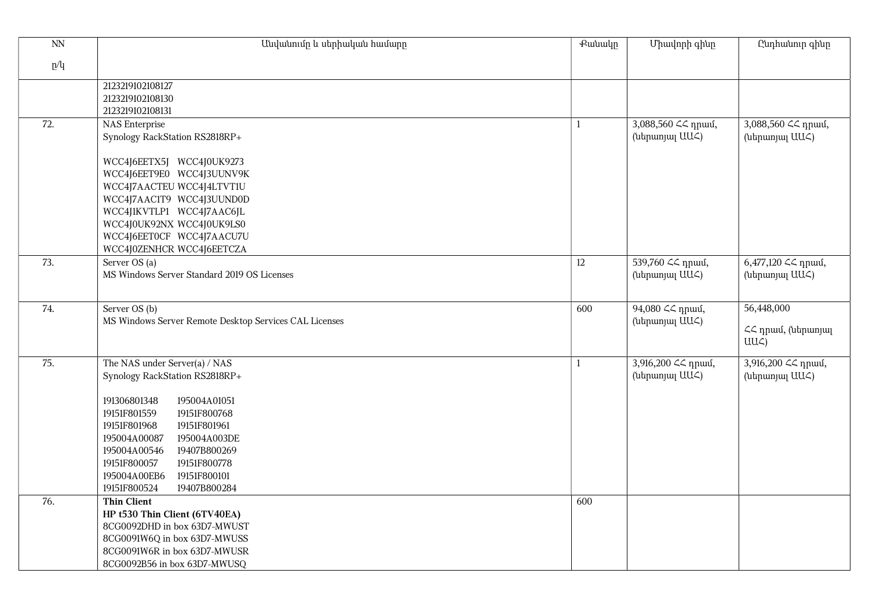| $\mathop{\rm NN}\nolimits$ | Անվանումը և սերիական համարը                                  | <b></b> eutuulp | Միավորի գինը                              | Ընդհանուր գինը                                                                             |
|----------------------------|--------------------------------------------------------------|-----------------|-------------------------------------------|--------------------------------------------------------------------------------------------|
| p/q                        |                                                              |                 |                                           |                                                                                            |
|                            | 2123219102108127                                             |                 |                                           |                                                                                            |
|                            | 2123219102108130                                             |                 |                                           |                                                                                            |
|                            | 2123219102108131                                             |                 |                                           |                                                                                            |
| 72.                        | <b>NAS</b> Enterprise                                        | $\mathbf{1}$    | 3,088,560 $\text{\textless}\xspace$ դրամ, | 3,088,560 << npuu,                                                                         |
|                            | Synology RackStation RS2818RP+                               |                 | (utipunjuj UU<)                           | (ներառյալ UUՀ)                                                                             |
|                            |                                                              |                 |                                           |                                                                                            |
|                            | WCC4J6EETX5J WCC4J0UK9273                                    |                 |                                           |                                                                                            |
|                            | WCC4J6EET9E0 WCC4J3UUNV9K                                    |                 |                                           |                                                                                            |
|                            | WCC4J7AACTEU WCC4J4LTVT1U<br>WCC4J7AAC1T9 WCC4J3UUND0D       |                 |                                           |                                                                                            |
|                            | WCC4J1KVTLP1 WCC4J7AAC6JL                                    |                 |                                           |                                                                                            |
|                            | WCC4J0UK92NX WCC4J0UK9LS0                                    |                 |                                           |                                                                                            |
|                            | WCC4J6EET0CF WCC4J7AACU7U                                    |                 |                                           |                                                                                            |
|                            | WCC4J0ZENHCR WCC4J6EETCZA                                    |                 |                                           |                                                                                            |
| 73.                        | Server OS (a)                                                | 12              | 539,760 <<<br>1701                        | 6,477,120 << npuu,                                                                         |
|                            | MS Windows Server Standard 2019 OS Licenses                  |                 | (utinumuu UU<)                            | (ներառյալ UUՀ)                                                                             |
|                            |                                                              |                 |                                           |                                                                                            |
| 74.                        | Server OS (b)                                                | 600             | 94,080 <<<br>npuu<br>6,                   | 56,448,000                                                                                 |
|                            | MS Windows Server Remote Desktop Services CAL Licenses       |                 | (ներառյալ UU<)                            |                                                                                            |
|                            |                                                              |                 |                                           | ՀՀ դրամ, (ներառյալ<br>$UU\mathcal{L}$                                                      |
|                            |                                                              |                 |                                           |                                                                                            |
| 75.                        | The NAS under Server(a) / NAS                                | $\mathbf{1}$    | 3,916,200 << npuu f,                      | 3,916,200 << <a> 1</a> 1 1 1 1 1 1 1 1 1 1 1 1 1 1 1 1 1 1 1 1 1 1 1 1 1 1 1 1 1 1 1 1 1 1 |
|                            | Synology RackStation RS2818RP+                               |                 | (utinumuu UU<)                            | (ներառյալ UUՀ)                                                                             |
|                            |                                                              |                 |                                           |                                                                                            |
|                            | 191306801348<br>195004A01051<br>19151F801559<br>19151F800768 |                 |                                           |                                                                                            |
|                            | 19151F801968<br>19151F801961                                 |                 |                                           |                                                                                            |
|                            | 195004A00087<br>195004A003DE                                 |                 |                                           |                                                                                            |
|                            | 19407B800269<br>195004A00546                                 |                 |                                           |                                                                                            |
|                            | 19151F800057<br>19151F800778                                 |                 |                                           |                                                                                            |
|                            | 19151F800101<br>195004A00EB6                                 |                 |                                           |                                                                                            |
|                            | 19151F800524<br>19407B800284                                 |                 |                                           |                                                                                            |
| 76.                        | <b>Thin Client</b>                                           | 600             |                                           |                                                                                            |
|                            | HP t530 Thin Client (6TV40EA)                                |                 |                                           |                                                                                            |
|                            | 8CG0092DHD in box 63D7-MWUST                                 |                 |                                           |                                                                                            |
|                            | 8CG0091W6Q in box 63D7-MWUSS<br>8CG0091W6R in box 63D7-MWUSR |                 |                                           |                                                                                            |
|                            | 8CG0092B56 in box 63D7-MWUSQ                                 |                 |                                           |                                                                                            |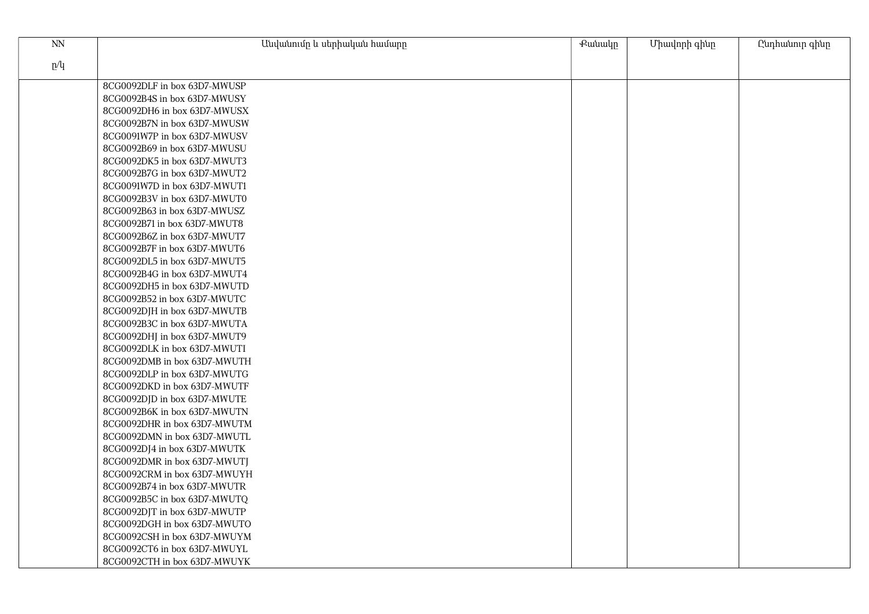| $\text{NN}$ | Անվանումը և սերիական համարը  | Քանակը | Միավորի գինը | Ընդհանուր գինը |
|-------------|------------------------------|--------|--------------|----------------|
| p/q         |                              |        |              |                |
|             | 8CG0092DLF in box 63D7-MWUSP |        |              |                |
|             | 8CG0092B4S in box 63D7-MWUSY |        |              |                |
|             | 8CG0092DH6 in box 63D7-MWUSX |        |              |                |
|             | 8CG0092B7N in box 63D7-MWUSW |        |              |                |
|             | 8CG0091W7P in box 63D7-MWUSV |        |              |                |
|             | 8CG0092B69 in box 63D7-MWUSU |        |              |                |
|             | 8CG0092DK5 in box 63D7-MWUT3 |        |              |                |
|             | 8CG0092B7G in box 63D7-MWUT2 |        |              |                |
|             | 8CG0091W7D in box 63D7-MWUT1 |        |              |                |
|             | 8CG0092B3V in box 63D7-MWUT0 |        |              |                |
|             | 8CG0092B63 in box 63D7-MWUSZ |        |              |                |
|             | 8CG0092B71 in box 63D7-MWUT8 |        |              |                |
|             | 8CG0092B6Z in box 63D7-MWUT7 |        |              |                |
|             | 8CG0092B7F in box 63D7-MWUT6 |        |              |                |
|             | 8CG0092DL5 in box 63D7-MWUT5 |        |              |                |
|             | 8CG0092B4G in box 63D7-MWUT4 |        |              |                |
|             | 8CG0092DH5 in box 63D7-MWUTD |        |              |                |
|             | 8CG0092B52 in box 63D7-MWUTC |        |              |                |
|             | 8CG0092DJH in box 63D7-MWUTB |        |              |                |
|             | 8CG0092B3C in box 63D7-MWUTA |        |              |                |
|             | 8CG0092DHJ in box 63D7-MWUT9 |        |              |                |
|             | 8CG0092DLK in box 63D7-MWUTI |        |              |                |
|             | 8CG0092DMB in box 63D7-MWUTH |        |              |                |
|             | 8CG0092DLP in box 63D7-MWUTG |        |              |                |
|             | 8CG0092DKD in box 63D7-MWUTF |        |              |                |
|             | 8CG0092DJD in box 63D7-MWUTE |        |              |                |
|             | 8CG0092B6K in box 63D7-MWUTN |        |              |                |
|             | 8CG0092DHR in box 63D7-MWUTM |        |              |                |
|             | 8CG0092DMN in box 63D7-MWUTL |        |              |                |
|             | 8CG0092DJ4 in box 63D7-MWUTK |        |              |                |
|             | 8CG0092DMR in box 63D7-MWUTJ |        |              |                |
|             | 8CG0092CRM in box 63D7-MWUYH |        |              |                |
|             | 8CG0092B74 in box 63D7-MWUTR |        |              |                |
|             | 8CG0092B5C in box 63D7-MWUTQ |        |              |                |
|             | 8CG0092DJT in box 63D7-MWUTP |        |              |                |
|             | 8CG0092DGH in box 63D7-MWUTO |        |              |                |
|             | 8CG0092CSH in box 63D7-MWUYM |        |              |                |
|             | 8CG0092CT6 in box 63D7-MWUYL |        |              |                |
|             | 8CG0092CTH in box 63D7-MWUYK |        |              |                |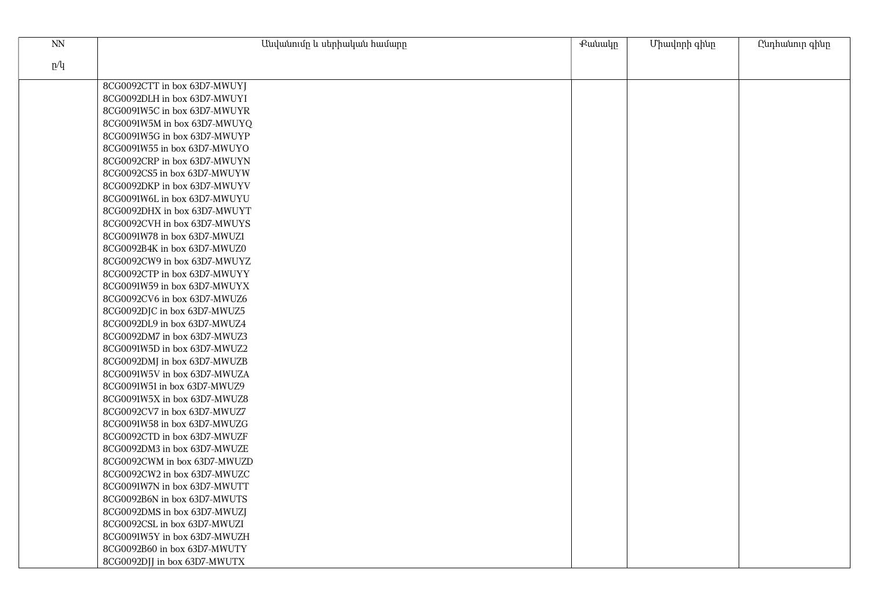| $\ensuremath{\text{NN}}$ | Անվանումը և սերիական համարը  | Քանակը | Միավորի գինը | Ընդհանուր գինը |
|--------------------------|------------------------------|--------|--------------|----------------|
|                          |                              |        |              |                |
| p/q                      |                              |        |              |                |
|                          | 8CG0092CTT in box 63D7-MWUYJ |        |              |                |
|                          | 8CG0092DLH in box 63D7-MWUYI |        |              |                |
|                          | 8CG0091W5C in box 63D7-MWUYR |        |              |                |
|                          | 8CG0091W5M in box 63D7-MWUYQ |        |              |                |
|                          | 8CG0091W5G in box 63D7-MWUYP |        |              |                |
|                          | 8CG0091W55 in box 63D7-MWUYO |        |              |                |
|                          | 8CG0092CRP in box 63D7-MWUYN |        |              |                |
|                          | 8CG0092CS5 in box 63D7-MWUYW |        |              |                |
|                          | 8CG0092DKP in box 63D7-MWUYV |        |              |                |
|                          | 8CG0091W6L in box 63D7-MWUYU |        |              |                |
|                          | 8CG0092DHX in box 63D7-MWUYT |        |              |                |
|                          | 8CG0092CVH in box 63D7-MWUYS |        |              |                |
|                          | 8CG0091W78 in box 63D7-MWUZ1 |        |              |                |
|                          | 8CG0092B4K in box 63D7-MWUZ0 |        |              |                |
|                          | 8CG0092CW9 in box 63D7-MWUYZ |        |              |                |
|                          | 8CG0092CTP in box 63D7-MWUYY |        |              |                |
|                          | 8CG0091W59 in box 63D7-MWUYX |        |              |                |
|                          | 8CG0092CV6 in box 63D7-MWUZ6 |        |              |                |
|                          | 8CG0092DJC in box 63D7-MWUZ5 |        |              |                |
|                          | 8CG0092DL9 in box 63D7-MWUZ4 |        |              |                |
|                          | 8CG0092DM7 in box 63D7-MWUZ3 |        |              |                |
|                          | 8CG0091W5D in box 63D7-MWUZ2 |        |              |                |
|                          | 8CG0092DMJ in box 63D7-MWUZB |        |              |                |
|                          | 8CG0091W5V in box 63D7-MWUZA |        |              |                |
|                          | 8CG0091W51 in box 63D7-MWUZ9 |        |              |                |
|                          | 8CG0091W5X in box 63D7-MWUZ8 |        |              |                |
|                          | 8CG0092CV7 in box 63D7-MWUZ7 |        |              |                |
|                          | 8CG0091W58 in box 63D7-MWUZG |        |              |                |
|                          | 8CG0092CTD in box 63D7-MWUZF |        |              |                |
|                          | 8CG0092DM3 in box 63D7-MWUZE |        |              |                |
|                          | 8CG0092CWM in box 63D7-MWUZD |        |              |                |
|                          | 8CG0092CW2 in box 63D7-MWUZC |        |              |                |
|                          | 8CG0091W7N in box 63D7-MWUTT |        |              |                |
|                          | 8CG0092B6N in box 63D7-MWUTS |        |              |                |
|                          | 8CG0092DMS in box 63D7-MWUZJ |        |              |                |
|                          | 8CG0092CSL in box 63D7-MWUZI |        |              |                |
|                          | 8CG0091W5Y in box 63D7-MWUZH |        |              |                |
|                          | 8CG0092B60 in box 63D7-MWUTY |        |              |                |
|                          | 8CG0092DJJ in box 63D7-MWUTX |        |              |                |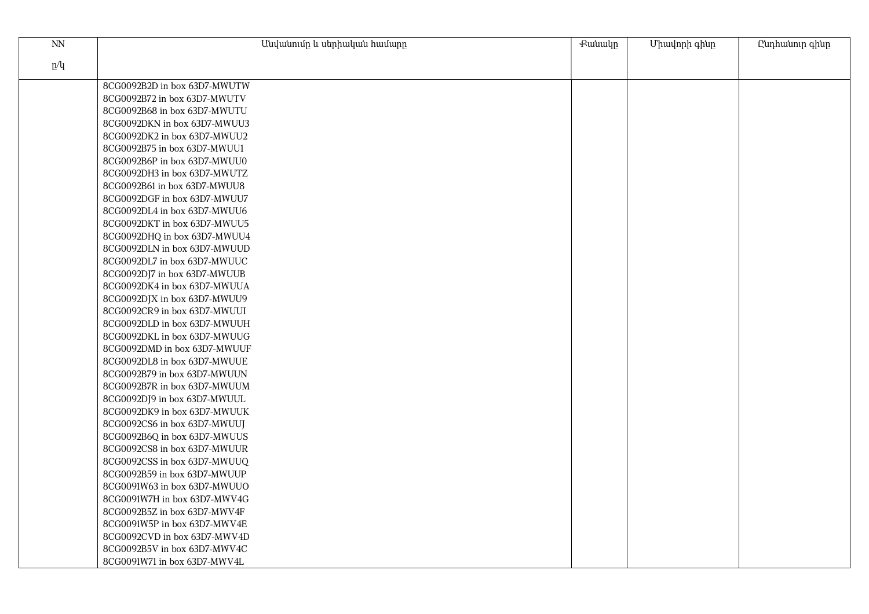| $\rm NN$ | Անվանումը և սերիական համարը  | Քանակը | Միավորի գինը | Ընդհանուր գինը |
|----------|------------------------------|--------|--------------|----------------|
| p/q      |                              |        |              |                |
|          |                              |        |              |                |
|          | 8CG0092B2D in box 63D7-MWUTW |        |              |                |
|          | 8CG0092B72 in box 63D7-MWUTV |        |              |                |
|          | 8CG0092B68 in box 63D7-MWUTU |        |              |                |
|          | 8CG0092DKN in box 63D7-MWUU3 |        |              |                |
|          | 8CG0092DK2 in box 63D7-MWUU2 |        |              |                |
|          | 8CG0092B75 in box 63D7-MWUU1 |        |              |                |
|          | 8CG0092B6P in box 63D7-MWUU0 |        |              |                |
|          | 8CG0092DH3 in box 63D7-MWUTZ |        |              |                |
|          | 8CG0092B61 in box 63D7-MWUU8 |        |              |                |
|          | 8CG0092DGF in box 63D7-MWUU7 |        |              |                |
|          | 8CG0092DL4 in box 63D7-MWUU6 |        |              |                |
|          | 8CG0092DKT in box 63D7-MWUU5 |        |              |                |
|          | 8CG0092DHQ in box 63D7-MWUU4 |        |              |                |
|          | 8CG0092DLN in box 63D7-MWUUD |        |              |                |
|          | 8CG0092DL7 in box 63D7-MWUUC |        |              |                |
|          | 8CG0092DJ7 in box 63D7-MWUUB |        |              |                |
|          | 8CG0092DK4 in box 63D7-MWUUA |        |              |                |
|          | 8CG0092DJX in box 63D7-MWUU9 |        |              |                |
|          | 8CG0092CR9 in box 63D7-MWUUI |        |              |                |
|          | 8CG0092DLD in box 63D7-MWUUH |        |              |                |
|          | 8CG0092DKL in box 63D7-MWUUG |        |              |                |
|          | 8CG0092DMD in box 63D7-MWUUF |        |              |                |
|          | 8CG0092DL8 in box 63D7-MWUUE |        |              |                |
|          | 8CG0092B79 in box 63D7-MWUUN |        |              |                |
|          | 8CG0092B7R in box 63D7-MWUUM |        |              |                |
|          | 8CG0092DJ9 in box 63D7-MWUUL |        |              |                |
|          | 8CG0092DK9 in box 63D7-MWUUK |        |              |                |
|          | 8CG0092CS6 in box 63D7-MWUUJ |        |              |                |
|          | 8CG0092B6Q in box 63D7-MWUUS |        |              |                |
|          | 8CG0092CS8 in box 63D7-MWUUR |        |              |                |
|          | 8CG0092CSS in box 63D7-MWUUQ |        |              |                |
|          | 8CG0092B59 in box 63D7-MWUUP |        |              |                |
|          | 8CG0091W63 in box 63D7-MWUUO |        |              |                |
|          | 8CG0091W7H in box 63D7-MWV4G |        |              |                |
|          | 8CG0092B5Z in box 63D7-MWV4F |        |              |                |
|          | 8CG0091W5P in box 63D7-MWV4E |        |              |                |
|          | 8CG0092CVD in box 63D7-MWV4D |        |              |                |
|          | 8CG0092B5V in box 63D7-MWV4C |        |              |                |
|          | 8CG0091W71 in box 63D7-MWV4L |        |              |                |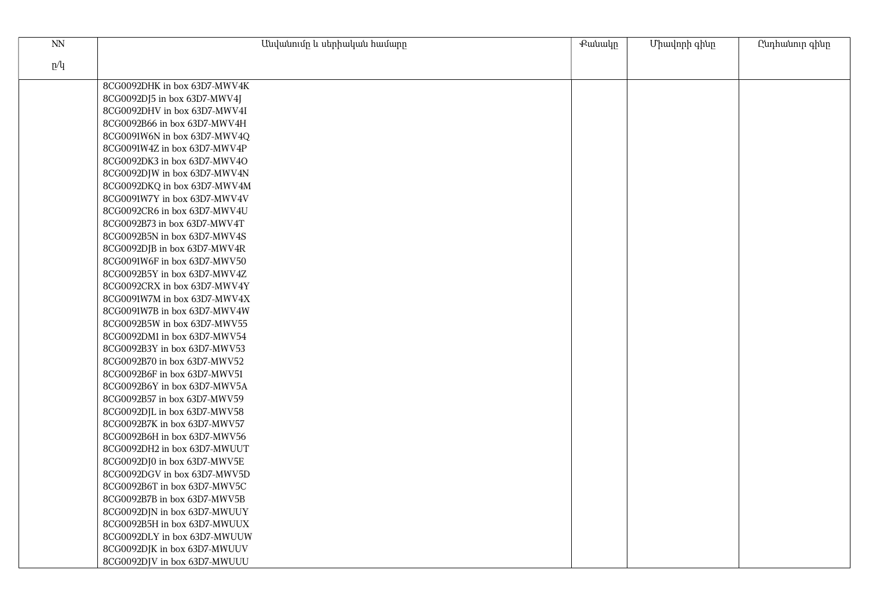| $\mathop{\rm NN}\nolimits$ | Անվանումը և սերիական համարը  | Քանակը | Միավորի գինը | Ընդհանուր գինը |
|----------------------------|------------------------------|--------|--------------|----------------|
| p/q                        |                              |        |              |                |
|                            | 8CG0092DHK in box 63D7-MWV4K |        |              |                |
|                            | 8CG0092DJ5 in box 63D7-MWV4J |        |              |                |
|                            | 8CG0092DHV in box 63D7-MWV4I |        |              |                |
|                            | 8CG0092B66 in box 63D7-MWV4H |        |              |                |
|                            | 8CG0091W6N in box 63D7-MWV4Q |        |              |                |
|                            | 8CG0091W4Z in box 63D7-MWV4P |        |              |                |
|                            | 8CG0092DK3 in box 63D7-MWV4O |        |              |                |
|                            | 8CG0092DJW in box 63D7-MWV4N |        |              |                |
|                            | 8CG0092DKQ in box 63D7-MWV4M |        |              |                |
|                            | 8CG0091W7Y in box 63D7-MWV4V |        |              |                |
|                            | 8CG0092CR6 in box 63D7-MWV4U |        |              |                |
|                            | 8CG0092B73 in box 63D7-MWV4T |        |              |                |
|                            | 8CG0092B5N in box 63D7-MWV4S |        |              |                |
|                            | 8CG0092DJB in box 63D7-MWV4R |        |              |                |
|                            | 8CG0091W6F in box 63D7-MWV50 |        |              |                |
|                            | 8CG0092B5Y in box 63D7-MWV4Z |        |              |                |
|                            | 8CG0092CRX in box 63D7-MWV4Y |        |              |                |
|                            | 8CG0091W7M in box 63D7-MWV4X |        |              |                |
|                            | 8CG0091W7B in box 63D7-MWV4W |        |              |                |
|                            | 8CG0092B5W in box 63D7-MWV55 |        |              |                |
|                            | 8CG0092DM1 in box 63D7-MWV54 |        |              |                |
|                            | 8CG0092B3Y in box 63D7-MWV53 |        |              |                |
|                            | 8CG0092B70 in box 63D7-MWV52 |        |              |                |
|                            | 8CG0092B6F in box 63D7-MWV51 |        |              |                |
|                            | 8CG0092B6Y in box 63D7-MWV5A |        |              |                |
|                            | 8CG0092B57 in box 63D7-MWV59 |        |              |                |
|                            | 8CG0092DJL in box 63D7-MWV58 |        |              |                |
|                            | 8CG0092B7K in box 63D7-MWV57 |        |              |                |
|                            | 8CG0092B6H in box 63D7-MWV56 |        |              |                |
|                            | 8CG0092DH2 in box 63D7-MWUUT |        |              |                |
|                            | 8CG0092DJ0 in box 63D7-MWV5E |        |              |                |
|                            | 8CG0092DGV in box 63D7-MWV5D |        |              |                |
|                            | 8CG0092B6T in box 63D7-MWV5C |        |              |                |
|                            | 8CG0092B7B in box 63D7-MWV5B |        |              |                |
|                            | 8CG0092DJN in box 63D7-MWUUY |        |              |                |
|                            | 8CG0092B5H in box 63D7-MWUUX |        |              |                |
|                            | 8CG0092DLY in box 63D7-MWUUW |        |              |                |
|                            | 8CG0092DJK in box 63D7-MWUUV |        |              |                |
|                            | 8CG0092DJV in box 63D7-MWUUU |        |              |                |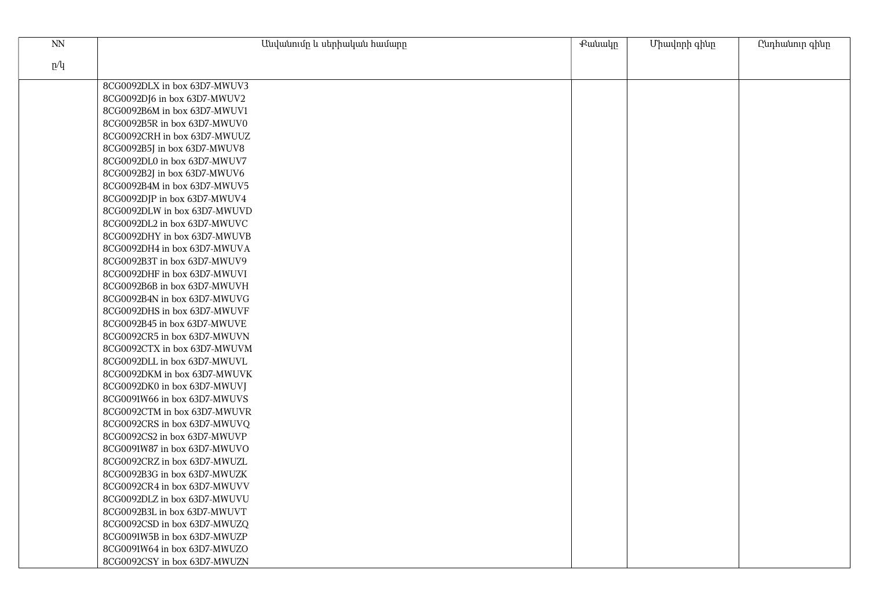| $\ensuremath{\text{NN}}$ | Անվանումը և սերիական համարը  | Քանակը | Միավորի գինը | Ընդհանուր գինը |
|--------------------------|------------------------------|--------|--------------|----------------|
| p/q                      |                              |        |              |                |
|                          |                              |        |              |                |
|                          | 8CG0092DLX in box 63D7-MWUV3 |        |              |                |
|                          | 8CG0092DJ6 in box 63D7-MWUV2 |        |              |                |
|                          | 8CG0092B6M in box 63D7-MWUV1 |        |              |                |
|                          | 8CG0092B5R in box 63D7-MWUV0 |        |              |                |
|                          | 8CG0092CRH in box 63D7-MWUUZ |        |              |                |
|                          | 8CG0092B5J in box 63D7-MWUV8 |        |              |                |
|                          | 8CG0092DL0 in box 63D7-MWUV7 |        |              |                |
|                          | 8CG0092B2J in box 63D7-MWUV6 |        |              |                |
|                          | 8CG0092B4M in box 63D7-MWUV5 |        |              |                |
|                          | 8CG0092DJP in box 63D7-MWUV4 |        |              |                |
|                          | 8CG0092DLW in box 63D7-MWUVD |        |              |                |
|                          | 8CG0092DL2 in box 63D7-MWUVC |        |              |                |
|                          | 8CG0092DHY in box 63D7-MWUVB |        |              |                |
|                          | 8CG0092DH4 in box 63D7-MWUVA |        |              |                |
|                          | 8CG0092B3T in box 63D7-MWUV9 |        |              |                |
|                          | 8CG0092DHF in box 63D7-MWUVI |        |              |                |
|                          | 8CG0092B6B in box 63D7-MWUVH |        |              |                |
|                          | 8CG0092B4N in box 63D7-MWUVG |        |              |                |
|                          | 8CG0092DHS in box 63D7-MWUVF |        |              |                |
|                          | 8CG0092B45 in box 63D7-MWUVE |        |              |                |
|                          | 8CG0092CR5 in box 63D7-MWUVN |        |              |                |
|                          | 8CG0092CTX in box 63D7-MWUVM |        |              |                |
|                          | 8CG0092DLL in box 63D7-MWUVL |        |              |                |
|                          | 8CG0092DKM in box 63D7-MWUVK |        |              |                |
|                          | 8CG0092DK0 in box 63D7-MWUVJ |        |              |                |
|                          | 8CG0091W66 in box 63D7-MWUVS |        |              |                |
|                          | 8CG0092CTM in box 63D7-MWUVR |        |              |                |
|                          | 8CG0092CRS in box 63D7-MWUVQ |        |              |                |
|                          | 8CG0092CS2 in box 63D7-MWUVP |        |              |                |
|                          | 8CG0091W87 in box 63D7-MWUVO |        |              |                |
|                          | 8CG0092CRZ in box 63D7-MWUZL |        |              |                |
|                          | 8CG0092B3G in box 63D7-MWUZK |        |              |                |
|                          | 8CG0092CR4 in box 63D7-MWUVV |        |              |                |
|                          | 8CG0092DLZ in box 63D7-MWUVU |        |              |                |
|                          | 8CG0092B3L in box 63D7-MWUVT |        |              |                |
|                          | 8CG0092CSD in box 63D7-MWUZQ |        |              |                |
|                          | 8CG0091W5B in box 63D7-MWUZP |        |              |                |
|                          | 8CG0091W64 in box 63D7-MWUZO |        |              |                |
|                          | 8CG0092CSY in box 63D7-MWUZN |        |              |                |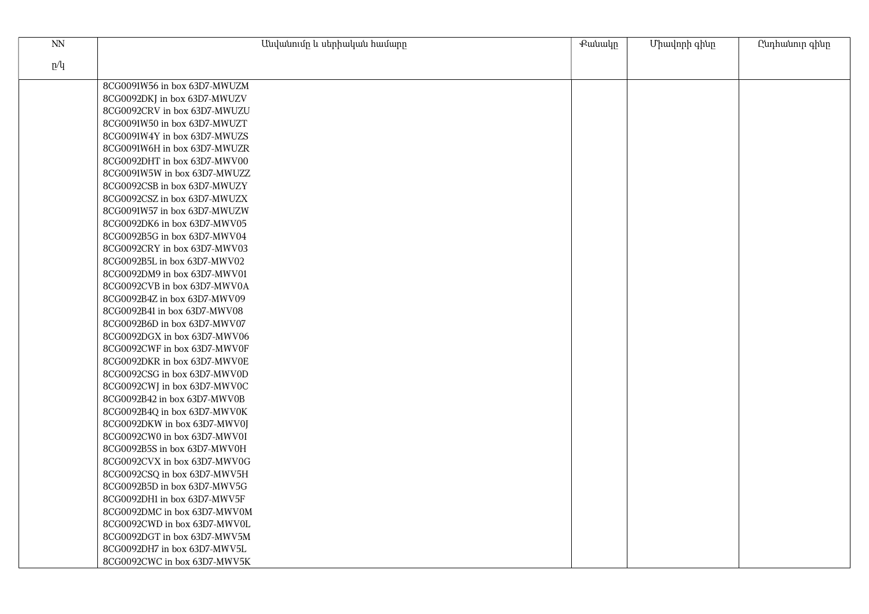| $\ensuremath{\text{NN}}$ | Անվանումը և սերիական համարը  | Քանակը | Միավորի գինը | Ընդհանուր գինը |
|--------------------------|------------------------------|--------|--------------|----------------|
|                          |                              |        |              |                |
| p/q                      |                              |        |              |                |
|                          | 8CG0091W56 in box 63D7-MWUZM |        |              |                |
|                          | 8CG0092DKJ in box 63D7-MWUZV |        |              |                |
|                          | 8CG0092CRV in box 63D7-MWUZU |        |              |                |
|                          | 8CG0091W50 in box 63D7-MWUZT |        |              |                |
|                          | 8CG0091W4Y in box 63D7-MWUZS |        |              |                |
|                          | 8CG0091W6H in box 63D7-MWUZR |        |              |                |
|                          | 8CG0092DHT in box 63D7-MWV00 |        |              |                |
|                          | 8CG0091W5W in box 63D7-MWUZZ |        |              |                |
|                          | 8CG0092CSB in box 63D7-MWUZY |        |              |                |
|                          | 8CG0092CSZ in box 63D7-MWUZX |        |              |                |
|                          | 8CG0091W57 in box 63D7-MWUZW |        |              |                |
|                          | 8CG0092DK6 in box 63D7-MWV05 |        |              |                |
|                          | 8CG0092B5G in box 63D7-MWV04 |        |              |                |
|                          | 8CG0092CRY in box 63D7-MWV03 |        |              |                |
|                          | 8CG0092B5L in box 63D7-MWV02 |        |              |                |
|                          | 8CG0092DM9 in box 63D7-MWV01 |        |              |                |
|                          | 8CG0092CVB in box 63D7-MWV0A |        |              |                |
|                          | 8CG0092B4Z in box 63D7-MWV09 |        |              |                |
|                          | 8CG0092B41 in box 63D7-MWV08 |        |              |                |
|                          | 8CG0092B6D in box 63D7-MWV07 |        |              |                |
|                          | 8CG0092DGX in box 63D7-MWV06 |        |              |                |
|                          | 8CG0092CWF in box 63D7-MWV0F |        |              |                |
|                          | 8CG0092DKR in box 63D7-MWV0E |        |              |                |
|                          | 8CG0092CSG in box 63D7-MWV0D |        |              |                |
|                          | 8CG0092CWJ in box 63D7-MWV0C |        |              |                |
|                          | 8CG0092B42 in box 63D7-MWV0B |        |              |                |
|                          | 8CG0092B4Q in box 63D7-MWV0K |        |              |                |
|                          | 8CG0092DKW in box 63D7-MWV0J |        |              |                |
|                          | 8CG0092CW0 in box 63D7-MWV0I |        |              |                |
|                          | 8CG0092B5S in box 63D7-MWV0H |        |              |                |
|                          | 8CG0092CVX in box 63D7-MWV0G |        |              |                |
|                          | 8CG0092CSQ in box 63D7-MWV5H |        |              |                |
|                          | 8CG0092B5D in box 63D7-MWV5G |        |              |                |
|                          | 8CG0092DH1 in box 63D7-MWV5F |        |              |                |
|                          | 8CG0092DMC in box 63D7-MWV0M |        |              |                |
|                          | 8CG0092CWD in box 63D7-MWV0L |        |              |                |
|                          | 8CG0092DGT in box 63D7-MWV5M |        |              |                |
|                          | 8CG0092DH7 in box 63D7-MWV5L |        |              |                |
|                          | 8CG0092CWC in box 63D7-MWV5K |        |              |                |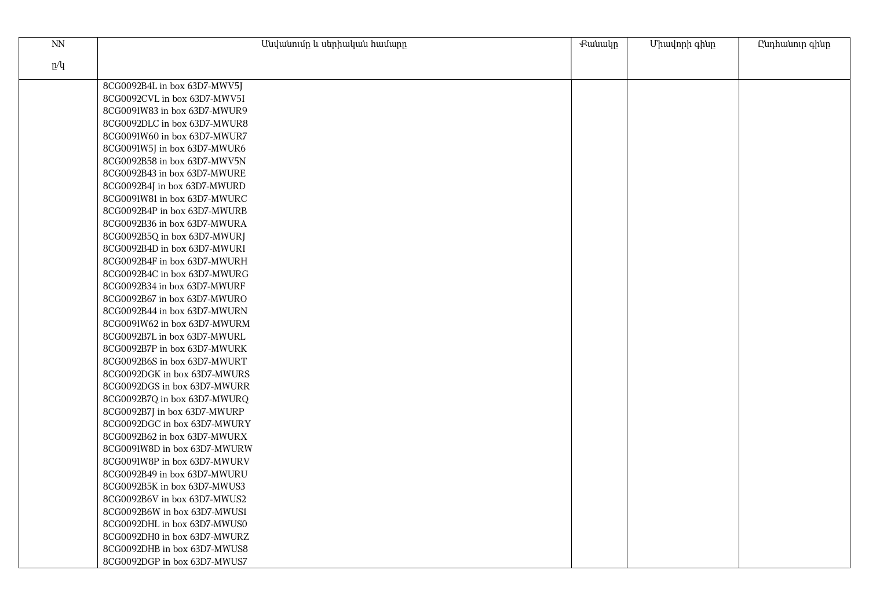| $\ensuremath{\text{NN}}$ | Անվանումը և սերիական համարը  | Քանակը | Միավորի գինը | Ընդհանուր գինը |
|--------------------------|------------------------------|--------|--------------|----------------|
|                          |                              |        |              |                |
| p/q                      |                              |        |              |                |
|                          | 8CG0092B4L in box 63D7-MWV5J |        |              |                |
|                          | 8CG0092CVL in box 63D7-MWV5I |        |              |                |
|                          | 8CG0091W83 in box 63D7-MWUR9 |        |              |                |
|                          | 8CG0092DLC in box 63D7-MWUR8 |        |              |                |
|                          | 8CG0091W60 in box 63D7-MWUR7 |        |              |                |
|                          | 8CG0091W5J in box 63D7-MWUR6 |        |              |                |
|                          | 8CG0092B58 in box 63D7-MWV5N |        |              |                |
|                          | 8CG0092B43 in box 63D7-MWURE |        |              |                |
|                          | 8CG0092B4J in box 63D7-MWURD |        |              |                |
|                          | 8CG0091W81 in box 63D7-MWURC |        |              |                |
|                          | 8CG0092B4P in box 63D7-MWURB |        |              |                |
|                          | 8CG0092B36 in box 63D7-MWURA |        |              |                |
|                          | 8CG0092B5Q in box 63D7-MWURJ |        |              |                |
|                          | 8CG0092B4D in box 63D7-MWURI |        |              |                |
|                          | 8CG0092B4F in box 63D7-MWURH |        |              |                |
|                          | 8CG0092B4C in box 63D7-MWURG |        |              |                |
|                          | 8CG0092B34 in box 63D7-MWURF |        |              |                |
|                          | 8CG0092B67 in box 63D7-MWURO |        |              |                |
|                          | 8CG0092B44 in box 63D7-MWURN |        |              |                |
|                          | 8CG0091W62 in box 63D7-MWURM |        |              |                |
|                          | 8CG0092B7L in box 63D7-MWURL |        |              |                |
|                          | 8CG0092B7P in box 63D7-MWURK |        |              |                |
|                          | 8CG0092B6S in box 63D7-MWURT |        |              |                |
|                          | 8CG0092DGK in box 63D7-MWURS |        |              |                |
|                          | 8CG0092DGS in box 63D7-MWURR |        |              |                |
|                          | 8CG0092B7Q in box 63D7-MWURQ |        |              |                |
|                          | 8CG0092B7J in box 63D7-MWURP |        |              |                |
|                          | 8CG0092DGC in box 63D7-MWURY |        |              |                |
|                          | 8CG0092B62 in box 63D7-MWURX |        |              |                |
|                          | 8CG0091W8D in box 63D7-MWURW |        |              |                |
|                          | 8CG0091W8P in box 63D7-MWURV |        |              |                |
|                          | 8CG0092B49 in box 63D7-MWURU |        |              |                |
|                          | 8CG0092B5K in box 63D7-MWUS3 |        |              |                |
|                          | 8CG0092B6V in box 63D7-MWUS2 |        |              |                |
|                          | 8CG0092B6W in box 63D7-MWUS1 |        |              |                |
|                          | 8CG0092DHL in box 63D7-MWUS0 |        |              |                |
|                          | 8CG0092DH0 in box 63D7-MWURZ |        |              |                |
|                          | 8CG0092DHB in box 63D7-MWUS8 |        |              |                |
|                          | 8CG0092DGP in box 63D7-MWUS7 |        |              |                |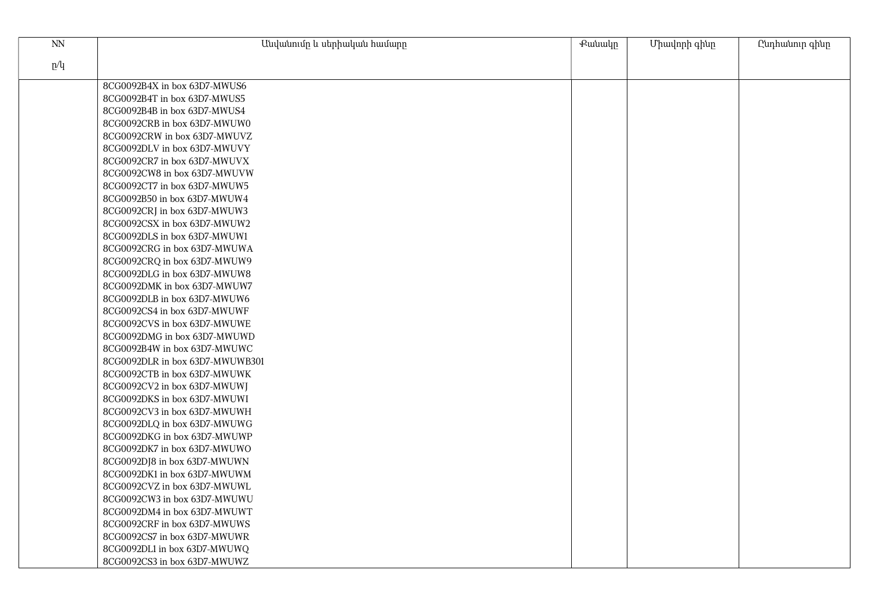| NN  | Անվանումը և սերիական համարը     | Քանակը | Միավորի գինը | Ընդհանուր գինը |
|-----|---------------------------------|--------|--------------|----------------|
| p/q |                                 |        |              |                |
|     |                                 |        |              |                |
|     | 8CG0092B4X in box 63D7-MWUS6    |        |              |                |
|     | 8CG0092B4T in box 63D7-MWUS5    |        |              |                |
|     | 8CG0092B4B in box 63D7-MWUS4    |        |              |                |
|     | 8CG0092CRB in box 63D7-MWUW0    |        |              |                |
|     | 8CG0092CRW in box 63D7-MWUVZ    |        |              |                |
|     | 8CG0092DLV in box 63D7-MWUVY    |        |              |                |
|     | 8CG0092CR7 in box 63D7-MWUVX    |        |              |                |
|     | 8CG0092CW8 in box 63D7-MWUVW    |        |              |                |
|     | 8CG0092CT7 in box 63D7-MWUW5    |        |              |                |
|     | 8CG0092B50 in box 63D7-MWUW4    |        |              |                |
|     | 8CG0092CRJ in box 63D7-MWUW3    |        |              |                |
|     | 8CG0092CSX in box 63D7-MWUW2    |        |              |                |
|     | 8CG0092DLS in box 63D7-MWUW1    |        |              |                |
|     | 8CG0092CRG in box 63D7-MWUWA    |        |              |                |
|     | 8CG0092CRQ in box 63D7-MWUW9    |        |              |                |
|     | 8CG0092DLG in box 63D7-MWUW8    |        |              |                |
|     | 8CG0092DMK in box 63D7-MWUW7    |        |              |                |
|     | 8CG0092DLB in box 63D7-MWUW6    |        |              |                |
|     | 8CG0092CS4 in box 63D7-MWUWF    |        |              |                |
|     | 8CG0092CVS in box 63D7-MWUWE    |        |              |                |
|     | 8CG0092DMG in box 63D7-MWUWD    |        |              |                |
|     | 8CG0092B4W in box 63D7-MWUWC    |        |              |                |
|     | 8CG0092DLR in box 63D7-MWUWB301 |        |              |                |
|     | 8CG0092CTB in box 63D7-MWUWK    |        |              |                |
|     | 8CG0092CV2 in box 63D7-MWUWJ    |        |              |                |
|     | 8CG0092DKS in box 63D7-MWUWI    |        |              |                |
|     | 8CG0092CV3 in box 63D7-MWUWH    |        |              |                |
|     | 8CG0092DLQ in box 63D7-MWUWG    |        |              |                |
|     | 8CG0092DKG in box 63D7-MWUWP    |        |              |                |
|     | 8CG0092DK7 in box 63D7-MWUWO    |        |              |                |
|     | 8CG0092DJ8 in box 63D7-MWUWN    |        |              |                |
|     | 8CG0092DK1 in box 63D7-MWUWM    |        |              |                |
|     | 8CG0092CVZ in box 63D7-MWUWL    |        |              |                |
|     | 8CG0092CW3 in box 63D7-MWUWU    |        |              |                |
|     | 8CG0092DM4 in box 63D7-MWUWT    |        |              |                |
|     | 8CG0092CRF in box 63D7-MWUWS    |        |              |                |
|     | 8CG0092CS7 in box 63D7-MWUWR    |        |              |                |
|     | 8CG0092DL1 in box 63D7-MWUWQ    |        |              |                |
|     | 8CG0092CS3 in box 63D7-MWUWZ    |        |              |                |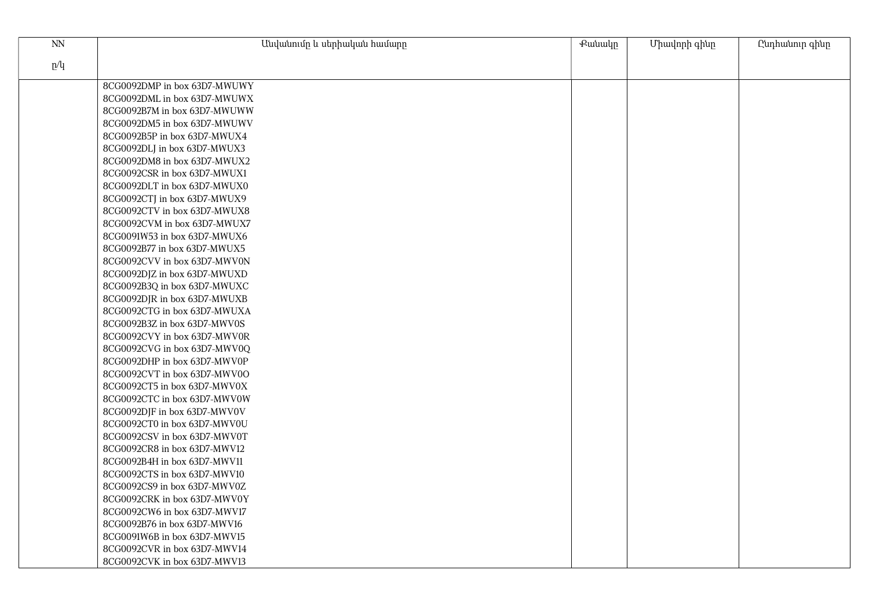| $\text{NN}$ | Անվանումը և սերիական համարը  | Քանակը | Միավորի գինը | Ընդհանուր գինը |
|-------------|------------------------------|--------|--------------|----------------|
| p/q         |                              |        |              |                |
|             |                              |        |              |                |
|             | 8CG0092DMP in box 63D7-MWUWY |        |              |                |
|             | 8CG0092DML in box 63D7-MWUWX |        |              |                |
|             | 8CG0092B7M in box 63D7-MWUWW |        |              |                |
|             | 8CG0092DM5 in box 63D7-MWUWV |        |              |                |
|             | 8CG0092B5P in box 63D7-MWUX4 |        |              |                |
|             | 8CG0092DLJ in box 63D7-MWUX3 |        |              |                |
|             | 8CG0092DM8 in box 63D7-MWUX2 |        |              |                |
|             | 8CG0092CSR in box 63D7-MWUX1 |        |              |                |
|             | 8CG0092DLT in box 63D7-MWUX0 |        |              |                |
|             | 8CG0092CTJ in box 63D7-MWUX9 |        |              |                |
|             | 8CG0092CTV in box 63D7-MWUX8 |        |              |                |
|             | 8CG0092CVM in box 63D7-MWUX7 |        |              |                |
|             | 8CG0091W53 in box 63D7-MWUX6 |        |              |                |
|             | 8CG0092B77 in box 63D7-MWUX5 |        |              |                |
|             | 8CG0092CVV in box 63D7-MWV0N |        |              |                |
|             | 8CG0092DJZ in box 63D7-MWUXD |        |              |                |
|             | 8CG0092B3Q in box 63D7-MWUXC |        |              |                |
|             | 8CG0092DJR in box 63D7-MWUXB |        |              |                |
|             | 8CG0092CTG in box 63D7-MWUXA |        |              |                |
|             | 8CG0092B3Z in box 63D7-MWV0S |        |              |                |
|             | 8CG0092CVY in box 63D7-MWV0R |        |              |                |
|             | 8CG0092CVG in box 63D7-MWV0Q |        |              |                |
|             | 8CG0092DHP in box 63D7-MWV0P |        |              |                |
|             | 8CG0092CVT in box 63D7-MWV0O |        |              |                |
|             | 8CG0092CT5 in box 63D7-MWV0X |        |              |                |
|             | 8CG0092CTC in box 63D7-MWV0W |        |              |                |
|             | 8CG0092DJF in box 63D7-MWV0V |        |              |                |
|             | 8CG0092CT0 in box 63D7-MWV0U |        |              |                |
|             | 8CG0092CSV in box 63D7-MWV0T |        |              |                |
|             | 8CG0092CR8 in box 63D7-MWV12 |        |              |                |
|             | 8CG0092B4H in box 63D7-MWV11 |        |              |                |
|             | 8CG0092CTS in box 63D7-MWV10 |        |              |                |
|             | 8CG0092CS9 in box 63D7-MWV0Z |        |              |                |
|             | 8CG0092CRK in box 63D7-MWV0Y |        |              |                |
|             | 8CG0092CW6 in box 63D7-MWV17 |        |              |                |
|             | 8CG0092B76 in box 63D7-MWV16 |        |              |                |
|             | 8CG0091W6B in box 63D7-MWV15 |        |              |                |
|             | 8CG0092CVR in box 63D7-MWV14 |        |              |                |
|             | 8CG0092CVK in box 63D7-MWV13 |        |              |                |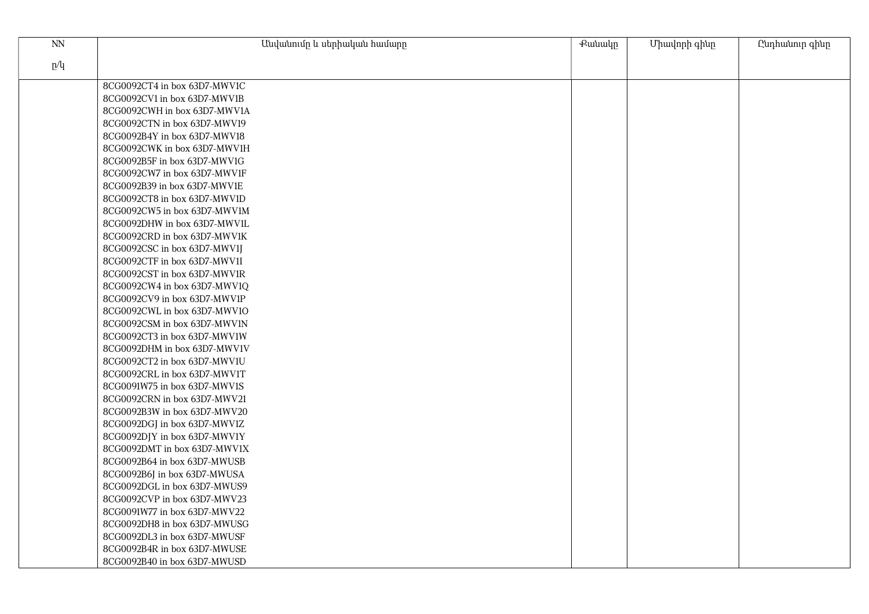| $\ensuremath{\text{NN}}$ | Անվանումը և սերիական համարը  | Քանակը | Միավորի գինը | Ընդհանուր գինը |
|--------------------------|------------------------------|--------|--------------|----------------|
| p/q                      |                              |        |              |                |
|                          |                              |        |              |                |
|                          | 8CG0092CT4 in box 63D7-MWV1C |        |              |                |
|                          | 8CG0092CV1 in box 63D7-MWV1B |        |              |                |
|                          | 8CG0092CWH in box 63D7-MWV1A |        |              |                |
|                          | 8CG0092CTN in box 63D7-MWV19 |        |              |                |
|                          | 8CG0092B4Y in box 63D7-MWV18 |        |              |                |
|                          | 8CG0092CWK in box 63D7-MWV1H |        |              |                |
|                          | 8CG0092B5F in box 63D7-MWV1G |        |              |                |
|                          | 8CG0092CW7 in box 63D7-MWV1F |        |              |                |
|                          | 8CG0092B39 in box 63D7-MWV1E |        |              |                |
|                          | 8CG0092CT8 in box 63D7-MWV1D |        |              |                |
|                          | 8CG0092CW5 in box 63D7-MWV1M |        |              |                |
|                          | 8CG0092DHW in box 63D7-MWV1L |        |              |                |
|                          | 8CG0092CRD in box 63D7-MWV1K |        |              |                |
|                          | 8CG0092CSC in box 63D7-MWV1J |        |              |                |
|                          | 8CG0092CTF in box 63D7-MWV1I |        |              |                |
|                          | 8CG0092CST in box 63D7-MWV1R |        |              |                |
|                          | 8CG0092CW4 in box 63D7-MWV1Q |        |              |                |
|                          | 8CG0092CV9 in box 63D7-MWV1P |        |              |                |
|                          | 8CG0092CWL in box 63D7-MWV1O |        |              |                |
|                          | 8CG0092CSM in box 63D7-MWV1N |        |              |                |
|                          | 8CG0092CT3 in box 63D7-MWV1W |        |              |                |
|                          | 8CG0092DHM in box 63D7-MWV1V |        |              |                |
|                          | 8CG0092CT2 in box 63D7-MWV1U |        |              |                |
|                          | 8CG0092CRL in box 63D7-MWV1T |        |              |                |
|                          | 8CG0091W75 in box 63D7-MWV1S |        |              |                |
|                          | 8CG0092CRN in box 63D7-MWV21 |        |              |                |
|                          | 8CG0092B3W in box 63D7-MWV20 |        |              |                |
|                          | 8CG0092DGJ in box 63D7-MWV1Z |        |              |                |
|                          | 8CG0092DJY in box 63D7-MWV1Y |        |              |                |
|                          | 8CG0092DMT in box 63D7-MWV1X |        |              |                |
|                          | 8CG0092B64 in box 63D7-MWUSB |        |              |                |
|                          | 8CG0092B6J in box 63D7-MWUSA |        |              |                |
|                          | 8CG0092DGL in box 63D7-MWUS9 |        |              |                |
|                          | 8CG0092CVP in box 63D7-MWV23 |        |              |                |
|                          | 8CG0091W77 in box 63D7-MWV22 |        |              |                |
|                          | 8CG0092DH8 in box 63D7-MWUSG |        |              |                |
|                          | 8CG0092DL3 in box 63D7-MWUSF |        |              |                |
|                          | 8CG0092B4R in box 63D7-MWUSE |        |              |                |
|                          | 8CG0092B40 in box 63D7-MWUSD |        |              |                |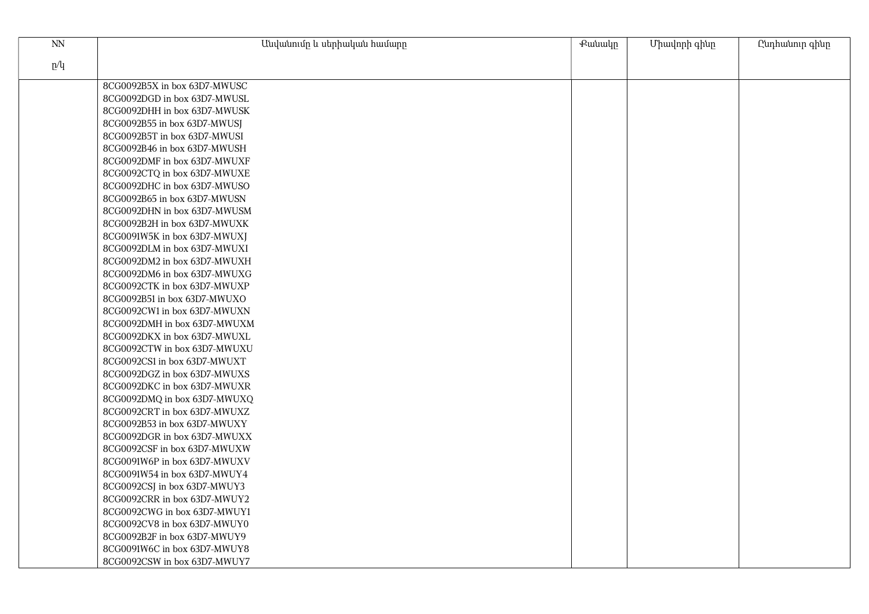| NN  | Անվանումը և սերիական համարը  | Քանակը | Միավորի գինը | Ընդհանուր գինը |
|-----|------------------------------|--------|--------------|----------------|
| p/q |                              |        |              |                |
|     |                              |        |              |                |
|     | 8CG0092B5X in box 63D7-MWUSC |        |              |                |
|     | 8CG0092DGD in box 63D7-MWUSL |        |              |                |
|     | 8CG0092DHH in box 63D7-MWUSK |        |              |                |
|     | 8CG0092B55 in box 63D7-MWUSJ |        |              |                |
|     | 8CG0092B5T in box 63D7-MWUSI |        |              |                |
|     | 8CG0092B46 in box 63D7-MWUSH |        |              |                |
|     | 8CG0092DMF in box 63D7-MWUXF |        |              |                |
|     | 8CG0092CTQ in box 63D7-MWUXE |        |              |                |
|     | 8CG0092DHC in box 63D7-MWUSO |        |              |                |
|     | 8CG0092B65 in box 63D7-MWUSN |        |              |                |
|     | 8CG0092DHN in box 63D7-MWUSM |        |              |                |
|     | 8CG0092B2H in box 63D7-MWUXK |        |              |                |
|     | 8CG0091W5K in box 63D7-MWUXJ |        |              |                |
|     | 8CG0092DLM in box 63D7-MWUXI |        |              |                |
|     | 8CG0092DM2 in box 63D7-MWUXH |        |              |                |
|     | 8CG0092DM6 in box 63D7-MWUXG |        |              |                |
|     | 8CG0092CTK in box 63D7-MWUXP |        |              |                |
|     | 8CG0092B51 in box 63D7-MWUXO |        |              |                |
|     | 8CG0092CW1 in box 63D7-MWUXN |        |              |                |
|     | 8CG0092DMH in box 63D7-MWUXM |        |              |                |
|     | 8CG0092DKX in box 63D7-MWUXL |        |              |                |
|     | 8CG0092CTW in box 63D7-MWUXU |        |              |                |
|     | 8CG0092CS1 in box 63D7-MWUXT |        |              |                |
|     | 8CG0092DGZ in box 63D7-MWUXS |        |              |                |
|     | 8CG0092DKC in box 63D7-MWUXR |        |              |                |
|     | 8CG0092DMQ in box 63D7-MWUXQ |        |              |                |
|     | 8CG0092CRT in box 63D7-MWUXZ |        |              |                |
|     | 8CG0092B53 in box 63D7-MWUXY |        |              |                |
|     | 8CG0092DGR in box 63D7-MWUXX |        |              |                |
|     | 8CG0092CSF in box 63D7-MWUXW |        |              |                |
|     | 8CG0091W6P in box 63D7-MWUXV |        |              |                |
|     | 8CG0091W54 in box 63D7-MWUY4 |        |              |                |
|     | 8CG0092CSJ in box 63D7-MWUY3 |        |              |                |
|     | 8CG0092CRR in box 63D7-MWUY2 |        |              |                |
|     | 8CG0092CWG in box 63D7-MWUY1 |        |              |                |
|     | 8CG0092CV8 in box 63D7-MWUY0 |        |              |                |
|     | 8CG0092B2F in box 63D7-MWUY9 |        |              |                |
|     | 8CG0091W6C in box 63D7-MWUY8 |        |              |                |
|     | 8CG0092CSW in box 63D7-MWUY7 |        |              |                |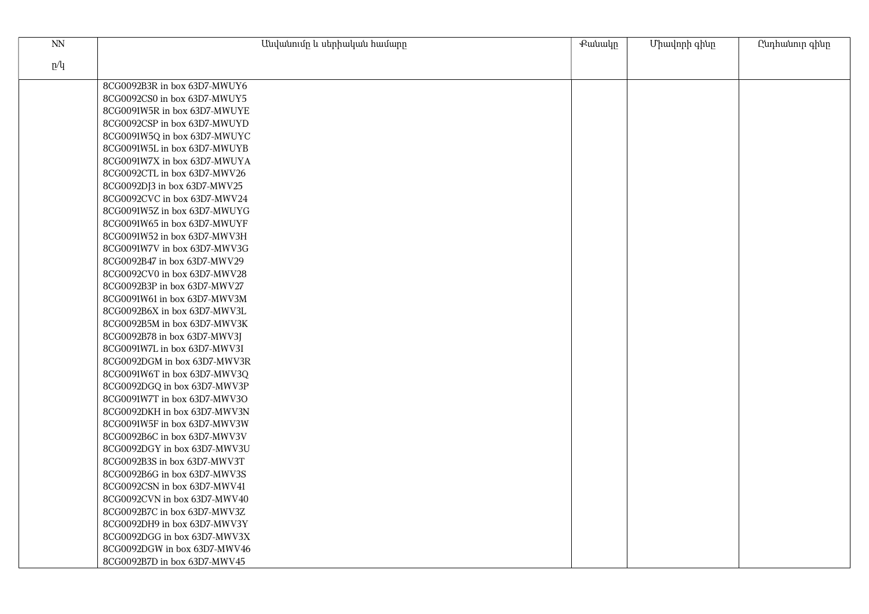| $\ensuremath{\text{NN}}$ | Անվանումը և սերիական համարը  | Քանակը | Միավորի գինը | Ընդհանուր գինը |
|--------------------------|------------------------------|--------|--------------|----------------|
|                          |                              |        |              |                |
| p/q                      |                              |        |              |                |
|                          | 8CG0092B3R in box 63D7-MWUY6 |        |              |                |
|                          | 8CG0092CS0 in box 63D7-MWUY5 |        |              |                |
|                          | 8CG0091W5R in box 63D7-MWUYE |        |              |                |
|                          | 8CG0092CSP in box 63D7-MWUYD |        |              |                |
|                          | 8CG0091W5Q in box 63D7-MWUYC |        |              |                |
|                          | 8CG0091W5L in box 63D7-MWUYB |        |              |                |
|                          | 8CG0091W7X in box 63D7-MWUYA |        |              |                |
|                          | 8CG0092CTL in box 63D7-MWV26 |        |              |                |
|                          | 8CG0092DJ3 in box 63D7-MWV25 |        |              |                |
|                          | 8CG0092CVC in box 63D7-MWV24 |        |              |                |
|                          | 8CG0091W5Z in box 63D7-MWUYG |        |              |                |
|                          | 8CG0091W65 in box 63D7-MWUYF |        |              |                |
|                          | 8CG0091W52 in box 63D7-MWV3H |        |              |                |
|                          | 8CG0091W7V in box 63D7-MWV3G |        |              |                |
|                          | 8CG0092B47 in box 63D7-MWV29 |        |              |                |
|                          | 8CG0092CV0 in box 63D7-MWV28 |        |              |                |
|                          | 8CG0092B3P in box 63D7-MWV27 |        |              |                |
|                          | 8CG0091W61 in box 63D7-MWV3M |        |              |                |
|                          | 8CG0092B6X in box 63D7-MWV3L |        |              |                |
|                          | 8CG0092B5M in box 63D7-MWV3K |        |              |                |
|                          | 8CG0092B78 in box 63D7-MWV3J |        |              |                |
|                          | 8CG0091W7L in box 63D7-MWV3I |        |              |                |
|                          | 8CG0092DGM in box 63D7-MWV3R |        |              |                |
|                          | 8CG0091W6T in box 63D7-MWV3Q |        |              |                |
|                          | 8CG0092DGQ in box 63D7-MWV3P |        |              |                |
|                          | 8CG0091W7T in box 63D7-MWV3O |        |              |                |
|                          | 8CG0092DKH in box 63D7-MWV3N |        |              |                |
|                          | 8CG0091W5F in box 63D7-MWV3W |        |              |                |
|                          | 8CG0092B6C in box 63D7-MWV3V |        |              |                |
|                          | 8CG0092DGY in box 63D7-MWV3U |        |              |                |
|                          | 8CG0092B3S in box 63D7-MWV3T |        |              |                |
|                          | 8CG0092B6G in box 63D7-MWV3S |        |              |                |
|                          | 8CG0092CSN in box 63D7-MWV41 |        |              |                |
|                          | 8CG0092CVN in box 63D7-MWV40 |        |              |                |
|                          | 8CG0092B7C in box 63D7-MWV3Z |        |              |                |
|                          | 8CG0092DH9 in box 63D7-MWV3Y |        |              |                |
|                          | 8CG0092DGG in box 63D7-MWV3X |        |              |                |
|                          | 8CG0092DGW in box 63D7-MWV46 |        |              |                |
|                          | 8CG0092B7D in box 63D7-MWV45 |        |              |                |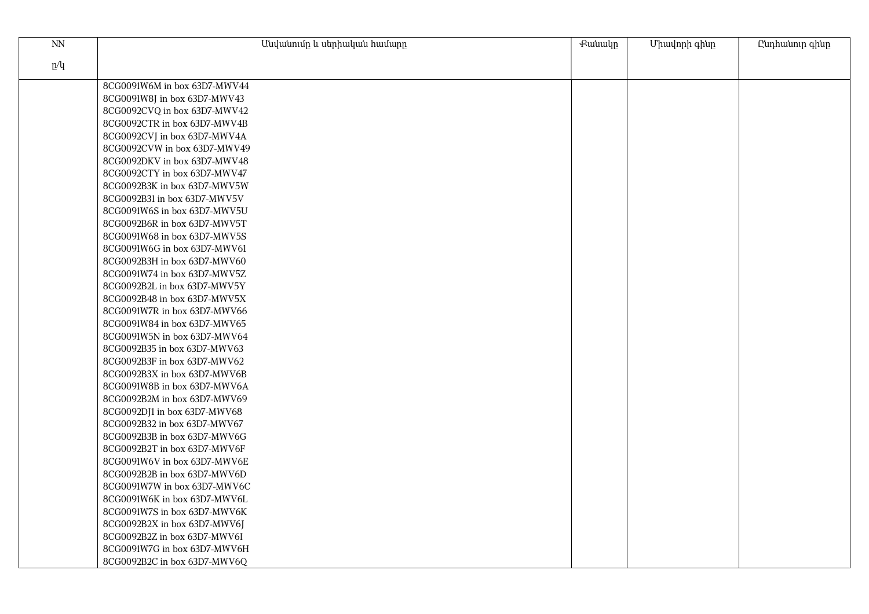| $\mathop{\rm NN}\nolimits$ | Անվանումը և սերիական համարը  | Քանակը | Միավորի գինը | Ընդհանուր գինը |
|----------------------------|------------------------------|--------|--------------|----------------|
| p/q                        |                              |        |              |                |
|                            | 8CG0091W6M in box 63D7-MWV44 |        |              |                |
|                            | 8CG0091W8J in box 63D7-MWV43 |        |              |                |
|                            | 8CG0092CVQ in box 63D7-MWV42 |        |              |                |
|                            | 8CG0092CTR in box 63D7-MWV4B |        |              |                |
|                            | 8CG0092CVJ in box 63D7-MWV4A |        |              |                |
|                            | 8CG0092CVW in box 63D7-MWV49 |        |              |                |
|                            | 8CG0092DKV in box 63D7-MWV48 |        |              |                |
|                            | 8CG0092CTY in box 63D7-MWV47 |        |              |                |
|                            | 8CG0092B3K in box 63D7-MWV5W |        |              |                |
|                            | 8CG0092B31 in box 63D7-MWV5V |        |              |                |
|                            | 8CG0091W6S in box 63D7-MWV5U |        |              |                |
|                            | 8CG0092B6R in box 63D7-MWV5T |        |              |                |
|                            | 8CG0091W68 in box 63D7-MWV5S |        |              |                |
|                            | 8CG0091W6G in box 63D7-MWV61 |        |              |                |
|                            | 8CG0092B3H in box 63D7-MWV60 |        |              |                |
|                            | 8CG0091W74 in box 63D7-MWV5Z |        |              |                |
|                            | 8CG0092B2L in box 63D7-MWV5Y |        |              |                |
|                            | 8CG0092B48 in box 63D7-MWV5X |        |              |                |
|                            | 8CG0091W7R in box 63D7-MWV66 |        |              |                |
|                            | 8CG0091W84 in box 63D7-MWV65 |        |              |                |
|                            | 8CG0091W5N in box 63D7-MWV64 |        |              |                |
|                            | 8CG0092B35 in box 63D7-MWV63 |        |              |                |
|                            | 8CG0092B3F in box 63D7-MWV62 |        |              |                |
|                            | 8CG0092B3X in box 63D7-MWV6B |        |              |                |
|                            | 8CG0091W8B in box 63D7-MWV6A |        |              |                |
|                            | 8CG0092B2M in box 63D7-MWV69 |        |              |                |
|                            | 8CG0092DJ1 in box 63D7-MWV68 |        |              |                |
|                            | 8CG0092B32 in box 63D7-MWV67 |        |              |                |
|                            | 8CG0092B3B in box 63D7-MWV6G |        |              |                |
|                            | 8CG0092B2T in box 63D7-MWV6F |        |              |                |
|                            | 8CG0091W6V in box 63D7-MWV6E |        |              |                |
|                            | 8CG0092B2B in box 63D7-MWV6D |        |              |                |
|                            | 8CG0091W7W in box 63D7-MWV6C |        |              |                |
|                            | 8CG0091W6K in box 63D7-MWV6L |        |              |                |
|                            | 8CG0091W7S in box 63D7-MWV6K |        |              |                |
|                            | 8CG0092B2X in box 63D7-MWV6J |        |              |                |
|                            | 8CG0092B2Z in box 63D7-MWV6I |        |              |                |
|                            | 8CG0091W7G in box 63D7-MWV6H |        |              |                |
|                            | 8CG0092B2C in box 63D7-MWV6Q |        |              |                |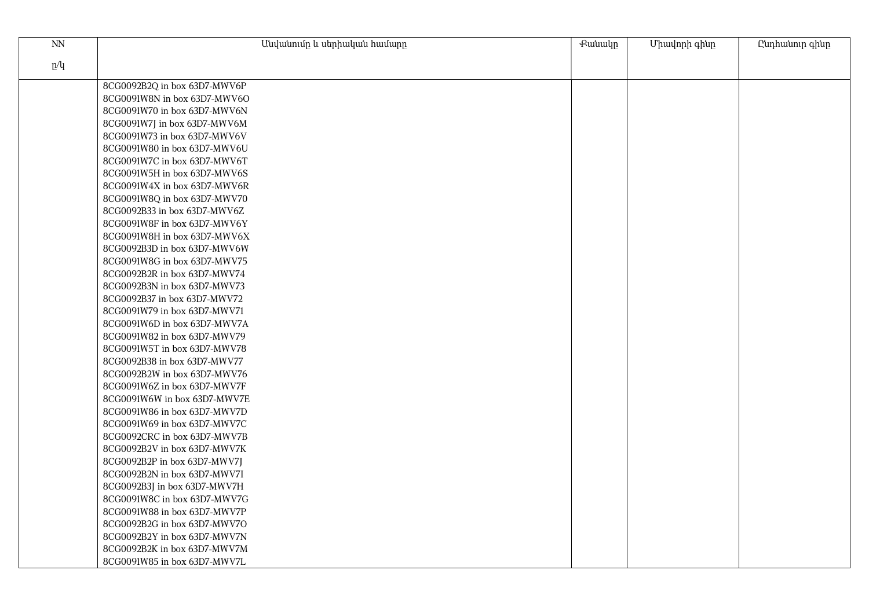| NN  | Անվանումը և սերիական համարը  | Քանակը | Միավորի գինը | Ընդհանուր գինը |
|-----|------------------------------|--------|--------------|----------------|
| p/q |                              |        |              |                |
|     |                              |        |              |                |
|     | 8CG0092B2Q in box 63D7-MWV6P |        |              |                |
|     | 8CG0091W8N in box 63D7-MWV6O |        |              |                |
|     | 8CG0091W70 in box 63D7-MWV6N |        |              |                |
|     | 8CG0091W7J in box 63D7-MWV6M |        |              |                |
|     | 8CG0091W73 in box 63D7-MWV6V |        |              |                |
|     | 8CG0091W80 in box 63D7-MWV6U |        |              |                |
|     | 8CG0091W7C in box 63D7-MWV6T |        |              |                |
|     | 8CG0091W5H in box 63D7-MWV6S |        |              |                |
|     | 8CG0091W4X in box 63D7-MWV6R |        |              |                |
|     | 8CG0091W8Q in box 63D7-MWV70 |        |              |                |
|     | 8CG0092B33 in box 63D7-MWV6Z |        |              |                |
|     | 8CG0091W8F in box 63D7-MWV6Y |        |              |                |
|     | 8CG0091W8H in box 63D7-MWV6X |        |              |                |
|     | 8CG0092B3D in box 63D7-MWV6W |        |              |                |
|     | 8CG0091W8G in box 63D7-MWV75 |        |              |                |
|     | 8CG0092B2R in box 63D7-MWV74 |        |              |                |
|     | 8CG0092B3N in box 63D7-MWV73 |        |              |                |
|     | 8CG0092B37 in box 63D7-MWV72 |        |              |                |
|     | 8CG0091W79 in box 63D7-MWV71 |        |              |                |
|     | 8CG0091W6D in box 63D7-MWV7A |        |              |                |
|     | 8CG0091W82 in box 63D7-MWV79 |        |              |                |
|     | 8CG0091W5T in box 63D7-MWV78 |        |              |                |
|     | 8CG0092B38 in box 63D7-MWV77 |        |              |                |
|     | 8CG0092B2W in box 63D7-MWV76 |        |              |                |
|     | 8CG0091W6Z in box 63D7-MWV7F |        |              |                |
|     | 8CG0091W6W in box 63D7-MWV7E |        |              |                |
|     | 8CG0091W86 in box 63D7-MWV7D |        |              |                |
|     | 8CG0091W69 in box 63D7-MWV7C |        |              |                |
|     | 8CG0092CRC in box 63D7-MWV7B |        |              |                |
|     | 8CG0092B2V in box 63D7-MWV7K |        |              |                |
|     | 8CG0092B2P in box 63D7-MWV7J |        |              |                |
|     | 8CG0092B2N in box 63D7-MWV7I |        |              |                |
|     | 8CG0092B3J in box 63D7-MWV7H |        |              |                |
|     | 8CG0091W8C in box 63D7-MWV7G |        |              |                |
|     | 8CG0091W88 in box 63D7-MWV7P |        |              |                |
|     | 8CG0092B2G in box 63D7-MWV7O |        |              |                |
|     | 8CG0092B2Y in box 63D7-MWV7N |        |              |                |
|     | 8CG0092B2K in box 63D7-MWV7M |        |              |                |
|     | 8CG0091W85 in box 63D7-MWV7L |        |              |                |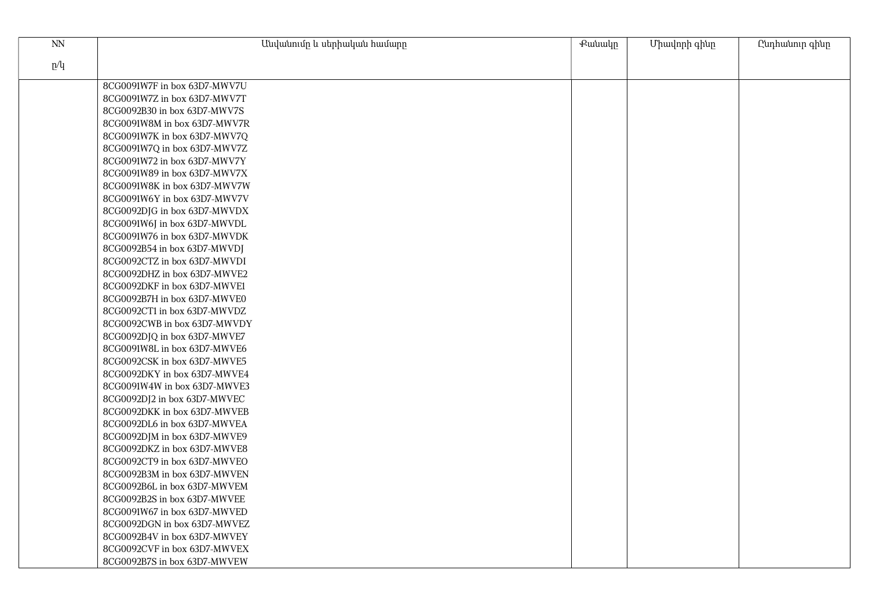| $\ensuremath{\text{NN}}$ | Անվանումը և սերիական համարը  | Քանակը | Միավորի գինը | Ընդհանուր գինը |
|--------------------------|------------------------------|--------|--------------|----------------|
| p/q                      |                              |        |              |                |
|                          |                              |        |              |                |
|                          | 8CG0091W7F in box 63D7-MWV7U |        |              |                |
|                          | 8CG0091W7Z in box 63D7-MWV7T |        |              |                |
|                          | 8CG0092B30 in box 63D7-MWV7S |        |              |                |
|                          | 8CG0091W8M in box 63D7-MWV7R |        |              |                |
|                          | 8CG0091W7K in box 63D7-MWV7Q |        |              |                |
|                          | 8CG0091W7Q in box 63D7-MWV7Z |        |              |                |
|                          | 8CG0091W72 in box 63D7-MWV7Y |        |              |                |
|                          | 8CG0091W89 in box 63D7-MWV7X |        |              |                |
|                          | 8CG0091W8K in box 63D7-MWV7W |        |              |                |
|                          | 8CG0091W6Y in box 63D7-MWV7V |        |              |                |
|                          | 8CG0092DJG in box 63D7-MWVDX |        |              |                |
|                          | 8CG0091W6J in box 63D7-MWVDL |        |              |                |
|                          | 8CG0091W76 in box 63D7-MWVDK |        |              |                |
|                          | 8CG0092B54 in box 63D7-MWVDJ |        |              |                |
|                          | 8CG0092CTZ in box 63D7-MWVDI |        |              |                |
|                          | 8CG0092DHZ in box 63D7-MWVE2 |        |              |                |
|                          | 8CG0092DKF in box 63D7-MWVE1 |        |              |                |
|                          | 8CG0092B7H in box 63D7-MWVE0 |        |              |                |
|                          | 8CG0092CT1 in box 63D7-MWVDZ |        |              |                |
|                          | 8CG0092CWB in box 63D7-MWVDY |        |              |                |
|                          | 8CG0092DJQ in box 63D7-MWVE7 |        |              |                |
|                          | 8CG0091W8L in box 63D7-MWVE6 |        |              |                |
|                          | 8CG0092CSK in box 63D7-MWVE5 |        |              |                |
|                          | 8CG0092DKY in box 63D7-MWVE4 |        |              |                |
|                          | 8CG0091W4W in box 63D7-MWVE3 |        |              |                |
|                          | 8CG0092DJ2 in box 63D7-MWVEC |        |              |                |
|                          | 8CG0092DKK in box 63D7-MWVEB |        |              |                |
|                          | 8CG0092DL6 in box 63D7-MWVEA |        |              |                |
|                          | 8CG0092DJM in box 63D7-MWVE9 |        |              |                |
|                          | 8CG0092DKZ in box 63D7-MWVE8 |        |              |                |
|                          | 8CG0092CT9 in box 63D7-MWVEO |        |              |                |
|                          | 8CG0092B3M in box 63D7-MWVEN |        |              |                |
|                          | 8CG0092B6L in box 63D7-MWVEM |        |              |                |
|                          | 8CG0092B2S in box 63D7-MWVEE |        |              |                |
|                          | 8CG0091W67 in box 63D7-MWVED |        |              |                |
|                          | 8CG0092DGN in box 63D7-MWVEZ |        |              |                |
|                          | 8CG0092B4V in box 63D7-MWVEY |        |              |                |
|                          | 8CG0092CVF in box 63D7-MWVEX |        |              |                |
|                          | 8CG0092B7S in box 63D7-MWVEW |        |              |                |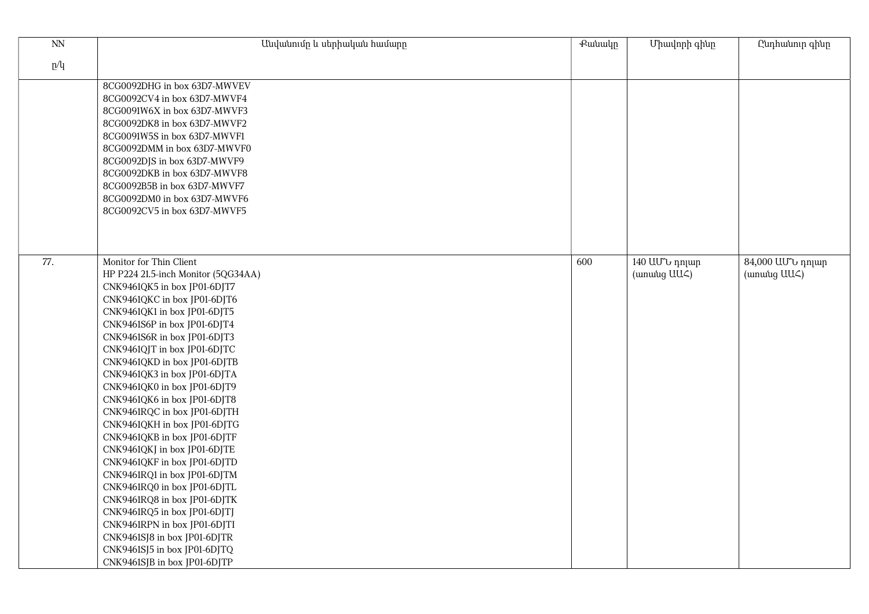| $\overline{N}$ | Անվանումը և սերիական համարը                                                                                                                                                                                                                                                                                                                                                                                                                                                                                                                                                                                                                                                                                                                                                                                                    | <b></b> eutuulp | Միավորի գինը                    | Ընդհանուր գինը                               |
|----------------|--------------------------------------------------------------------------------------------------------------------------------------------------------------------------------------------------------------------------------------------------------------------------------------------------------------------------------------------------------------------------------------------------------------------------------------------------------------------------------------------------------------------------------------------------------------------------------------------------------------------------------------------------------------------------------------------------------------------------------------------------------------------------------------------------------------------------------|-----------------|---------------------------------|----------------------------------------------|
| p/q            |                                                                                                                                                                                                                                                                                                                                                                                                                                                                                                                                                                                                                                                                                                                                                                                                                                |                 |                                 |                                              |
|                | 8CG0092DHG in box 63D7-MWVEV<br>8CG0092CV4 in box 63D7-MWVF4<br>8CG0091W6X in box 63D7-MWVF3<br>8CG0092DK8 in box 63D7-MWVF2<br>8CG0091W5S in box 63D7-MWVF1<br>8CG0092DMM in box 63D7-MWVF0<br>8CG0092DJS in box 63D7-MWVF9<br>8CG0092DKB in box 63D7-MWVF8<br>8CG0092B5B in box 63D7-MWVF7<br>8CG0092DM0 in box 63D7-MWVF6<br>8CG0092CV5 in box 63D7-MWVF5                                                                                                                                                                                                                                                                                                                                                                                                                                                                   |                 |                                 |                                              |
| 77.            | Monitor for Thin Client<br>HP P224 21.5-inch Monitor (5QG34AA)<br>CNK9461QK5 in box JP01-6DJT7<br>CNK9461QKC in box JP01-6DJT6<br>CNK9461QK1 in box JP01-6DJT5<br>CNK9461S6P in box JP01-6DJT4<br>CNK9461S6R in box JP01-6DJT3<br>CNK9461QJT in box JP01-6DJTC<br>CNK9461QKD in box JP01-6DJTB<br>CNK9461QK3 in box JP01-6DJTA<br>CNK9461QK0 in box JP01-6DJT9<br>CNK9461QK6 in box JP01-6DJT8<br>CNK9461RQC in box JP01-6DJTH<br>CNK9461QKH in box JP01-6DJTG<br>CNK9461QKB in box JP01-6DJTF<br>CNK9461QKJ in box JP01-6DJTE<br>CNK9461QKF in box JP01-6DJTD<br>CNK9461RQ1 in box JP01-6DJTM<br>CNK9461RQ0 in box JP01-6DJTL<br>CNK9461RQ8 in box JP01-6DJTK<br>CNK9461RQ5 in box JP01-6DJTJ<br>CNK9461RPN in box JP01-6DJTI<br>CNK9461SJ8 in box JP01-6DJTR<br>CNK9461SJ5 in box JP01-6DJTQ<br>CNK9461SJB in box JP01-6DJTP | 600             | 140 UU"u nnjuin<br>(unuing UU<) | 84,000 UU <sup>t</sup> դոլար<br>(unuing UU<) |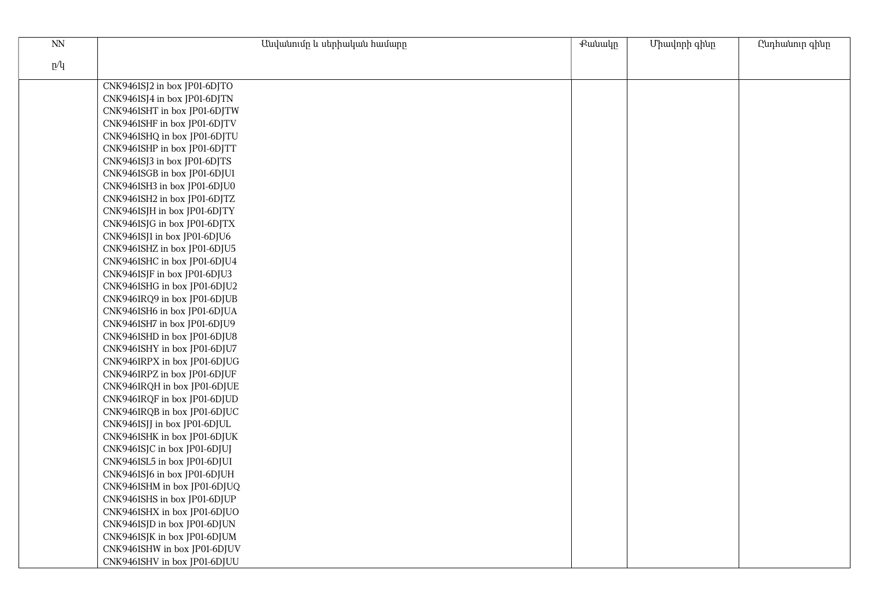| $\mathop{\rm NN}\nolimits$ | Անվանումը և սերիական համարը  | <b>Putuulp</b> | Միավորի գինը | Ընդհանուր գինը |
|----------------------------|------------------------------|----------------|--------------|----------------|
| p/q                        |                              |                |              |                |
|                            |                              |                |              |                |
|                            | CNK9461SJ2 in box JP01-6DJTO |                |              |                |
|                            | CNK9461SJ4 in box JP01-6DJTN |                |              |                |
|                            | CNK9461SHT in box JP01-6DJTW |                |              |                |
|                            | CNK9461SHF in box JP01-6DJTV |                |              |                |
|                            | CNK9461SHQ in box JP01-6DJTU |                |              |                |
|                            | CNK9461SHP in box JP01-6DJTT |                |              |                |
|                            | CNK9461SJ3 in box JP01-6DJTS |                |              |                |
|                            | CNK9461SGB in box JP01-6DJU1 |                |              |                |
|                            | CNK9461SH3 in box JP01-6DJU0 |                |              |                |
|                            | CNK9461SH2 in box JP01-6DJTZ |                |              |                |
|                            | CNK9461SJH in box JP01-6DJTY |                |              |                |
|                            | CNK9461SJG in box JP01-6DJTX |                |              |                |
|                            | CNK9461SJ1 in box JP01-6DJU6 |                |              |                |
|                            | CNK9461SHZ in box JP01-6DJU5 |                |              |                |
|                            | CNK9461SHC in box JP01-6DJU4 |                |              |                |
|                            | CNK9461SJF in box JP01-6DJU3 |                |              |                |
|                            | CNK9461SHG in box JP01-6DJU2 |                |              |                |
|                            | CNK9461RQ9 in box JP01-6DJUB |                |              |                |
|                            | CNK9461SH6 in box JP01-6DJUA |                |              |                |
|                            | CNK9461SH7 in box JP01-6DJU9 |                |              |                |
|                            | CNK9461SHD in box JP01-6DJU8 |                |              |                |
|                            | CNK9461SHY in box JP01-6DJU7 |                |              |                |
|                            | CNK9461RPX in box JP01-6DJUG |                |              |                |
|                            | CNK9461RPZ in box JP01-6DJUF |                |              |                |
|                            | CNK9461RQH in box JP01-6DJUE |                |              |                |
|                            | CNK9461RQF in box JP01-6DJUD |                |              |                |
|                            | CNK9461RQB in box JP01-6DJUC |                |              |                |
|                            | CNK9461SJJ in box JP01-6DJUL |                |              |                |
|                            | CNK9461SHK in box JP01-6DJUK |                |              |                |
|                            | CNK9461SJC in box JP01-6DJUJ |                |              |                |
|                            | CNK9461SL5 in box JP01-6DJUI |                |              |                |
|                            | CNK9461SJ6 in box JP01-6DJUH |                |              |                |
|                            | CNK9461SHM in box JP01-6DJUQ |                |              |                |
|                            | CNK9461SHS in box JP01-6DJUP |                |              |                |
|                            | CNK9461SHX in box JP01-6DJUO |                |              |                |
|                            | CNK9461SJD in box JP01-6DJUN |                |              |                |
|                            | CNK9461SJK in box JP01-6DJUM |                |              |                |
|                            | CNK9461SHW in box JP01-6DJUV |                |              |                |
|                            | CNK9461SHV in box JP01-6DJUU |                |              |                |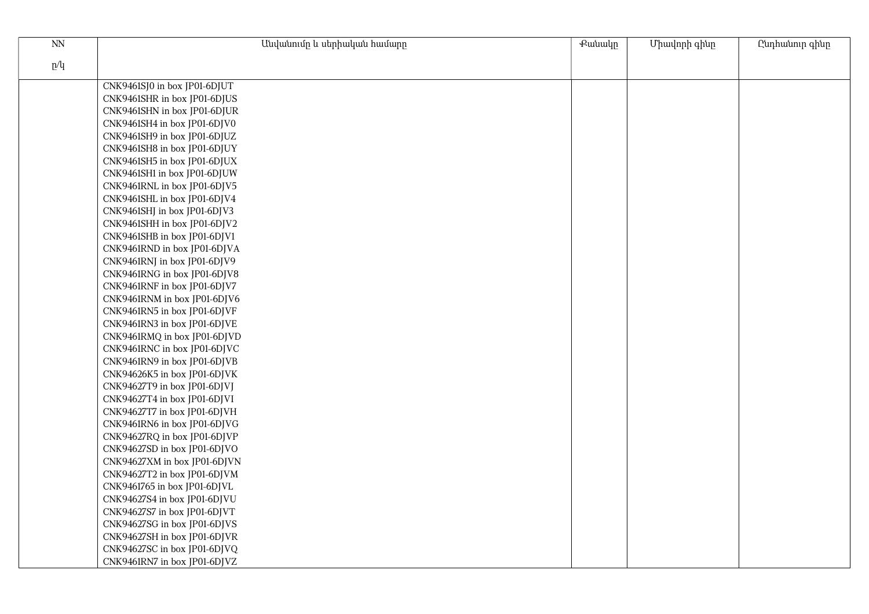| NN  | Անվանումը և սերիական համարը  | Քանակը | Միավորի գինը | Ընդհանուր գինը |
|-----|------------------------------|--------|--------------|----------------|
| p/q |                              |        |              |                |
|     |                              |        |              |                |
|     | CNK9461SJ0 in box JP01-6DJUT |        |              |                |
|     | CNK9461SHR in box JP01-6DJUS |        |              |                |
|     | CNK9461SHN in box JP01-6DJUR |        |              |                |
|     | CNK9461SH4 in box JP01-6DJV0 |        |              |                |
|     | CNK9461SH9 in box JP01-6DJUZ |        |              |                |
|     | CNK9461SH8 in box JP01-6DJUY |        |              |                |
|     | CNK9461SH5 in box JP01-6DJUX |        |              |                |
|     | CNK9461SH1 in box JP01-6DJUW |        |              |                |
|     | CNK9461RNL in box JP01-6DJV5 |        |              |                |
|     | CNK9461SHL in box JP01-6DJV4 |        |              |                |
|     | CNK9461SHJ in box JP01-6DJV3 |        |              |                |
|     | CNK9461SHH in box JP01-6DJV2 |        |              |                |
|     | CNK9461SHB in box JP01-6DJV1 |        |              |                |
|     | CNK9461RND in box JP01-6DJVA |        |              |                |
|     | CNK9461RNJ in box JP01-6DJV9 |        |              |                |
|     | CNK9461RNG in box JP01-6DJV8 |        |              |                |
|     | CNK9461RNF in box JP01-6DJV7 |        |              |                |
|     | CNK9461RNM in box JP01-6DJV6 |        |              |                |
|     | CNK9461RN5 in box JP01-6DJVF |        |              |                |
|     | CNK9461RN3 in box JP01-6DJVE |        |              |                |
|     | CNK9461RMQ in box JP01-6DJVD |        |              |                |
|     | CNK9461RNC in box JP01-6DJVC |        |              |                |
|     | CNK9461RN9 in box JP01-6DJVB |        |              |                |
|     | CNK94626K5 in box JP01-6DJVK |        |              |                |
|     | CNK94627T9 in box JP01-6DJVJ |        |              |                |
|     | CNK94627T4 in box JP01-6DJVI |        |              |                |
|     | CNK94627T7 in box JP01-6DJVH |        |              |                |
|     | CNK9461RN6 in box JP01-6DJVG |        |              |                |
|     | CNK94627RQ in box JP01-6DJVP |        |              |                |
|     | CNK94627SD in box JP01-6DJVO |        |              |                |
|     | CNK94627XM in box JP01-6DJVN |        |              |                |
|     | CNK94627T2 in box JP01-6DJVM |        |              |                |
|     | CNK9461765 in box JP01-6DJVL |        |              |                |
|     | CNK94627S4 in box JP01-6DJVU |        |              |                |
|     | CNK94627S7 in box JP01-6DJVT |        |              |                |
|     | CNK94627SG in box JP01-6DJVS |        |              |                |
|     | CNK94627SH in box JP01-6DJVR |        |              |                |
|     | CNK94627SC in box JP01-6DJVQ |        |              |                |
|     | CNK9461RN7 in box JP01-6DJVZ |        |              |                |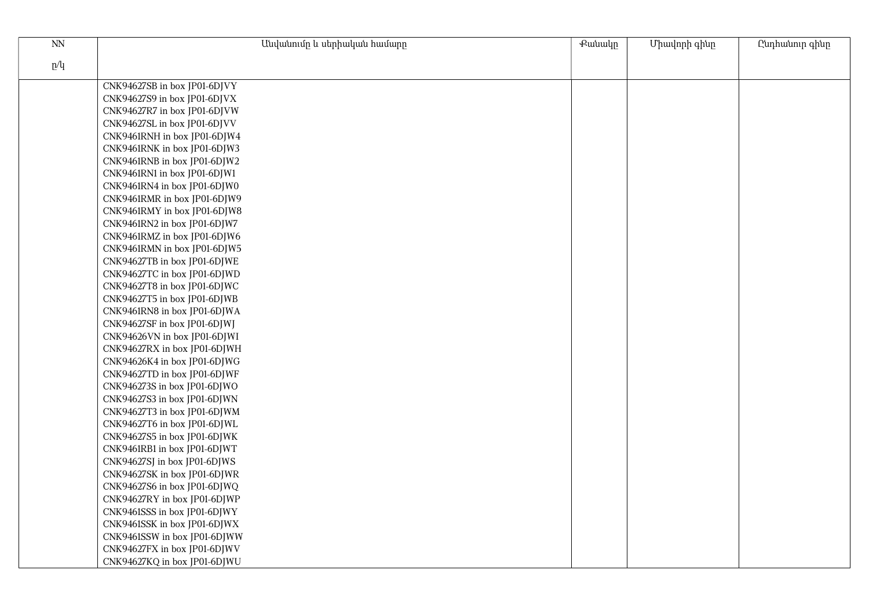| NN  | Անվանումը և սերիական համարը  | Քանակը | Միավորի գինը | Ընդհանուր գինը |
|-----|------------------------------|--------|--------------|----------------|
| p/q |                              |        |              |                |
|     |                              |        |              |                |
|     | CNK94627SB in box JP01-6DJVY |        |              |                |
|     | CNK94627S9 in box JP01-6DJVX |        |              |                |
|     | CNK94627R7 in box JP01-6DJVW |        |              |                |
|     | CNK94627SL in box JP01-6DJVV |        |              |                |
|     | CNK9461RNH in box JP01-6DJW4 |        |              |                |
|     | CNK9461RNK in box JP01-6DJW3 |        |              |                |
|     | CNK9461RNB in box JP01-6DJW2 |        |              |                |
|     | CNK9461RN1 in box JP01-6DJW1 |        |              |                |
|     | CNK9461RN4 in box JP01-6DJW0 |        |              |                |
|     | CNK9461RMR in box JP01-6DJW9 |        |              |                |
|     | CNK9461RMY in box JP01-6DJW8 |        |              |                |
|     | CNK9461RN2 in box JP01-6DJW7 |        |              |                |
|     | CNK9461RMZ in box JP01-6DJW6 |        |              |                |
|     | CNK9461RMN in box JP01-6DJW5 |        |              |                |
|     | CNK94627TB in box JP01-6DJWE |        |              |                |
|     | CNK94627TC in box JP01-6DJWD |        |              |                |
|     | CNK94627T8 in box JP01-6DJWC |        |              |                |
|     | CNK94627T5 in box JP01-6DJWB |        |              |                |
|     | CNK9461RN8 in box JP01-6DJWA |        |              |                |
|     | CNK94627SF in box JP01-6DJWJ |        |              |                |
|     | CNK94626VN in box JP01-6DJWI |        |              |                |
|     | CNK94627RX in box JP01-6DJWH |        |              |                |
|     | CNK94626K4 in box JP01-6DJWG |        |              |                |
|     | CNK94627TD in box JP01-6DJWF |        |              |                |
|     | CNK946273S in box JP01-6DJWO |        |              |                |
|     | CNK94627S3 in box JP01-6DJWN |        |              |                |
|     | CNK94627T3 in box JP01-6DJWM |        |              |                |
|     | CNK94627T6 in box JP01-6DJWL |        |              |                |
|     | CNK94627S5 in box JP01-6DJWK |        |              |                |
|     | CNK9461RB1 in box JP01-6DJWT |        |              |                |
|     | CNK94627SJ in box JP01-6DJWS |        |              |                |
|     | CNK94627SK in box JP01-6DJWR |        |              |                |
|     | CNK94627S6 in box JP01-6DJWQ |        |              |                |
|     | CNK94627RY in box JP01-6DJWP |        |              |                |
|     | CNK9461SSS in box JP01-6DJWY |        |              |                |
|     | CNK9461SSK in box JP01-6DJWX |        |              |                |
|     | CNK9461SSW in box JP01-6DJWW |        |              |                |
|     | CNK94627FX in box JP01-6DJWV |        |              |                |
|     | CNK94627KQ in box JP01-6DJWU |        |              |                |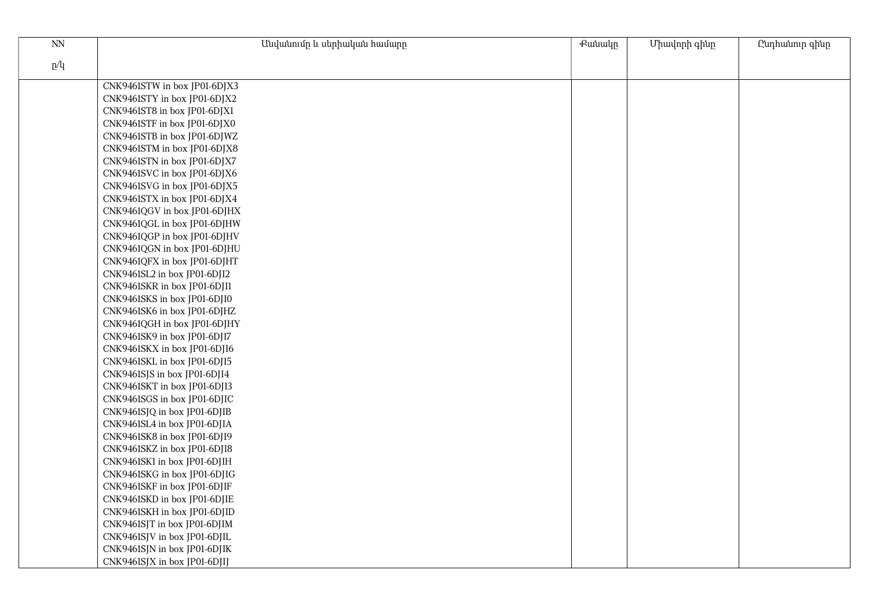| $\mathop{\rm NN}\nolimits$ | Անվանումը և սերիական համարը  | Քանակը | Միավորի գինը | Ընդհանուր գինը |
|----------------------------|------------------------------|--------|--------------|----------------|
| p/q                        |                              |        |              |                |
|                            |                              |        |              |                |
|                            | CNK9461STW in box JP01-6DJX3 |        |              |                |
|                            | CNK9461STY in box JP01-6DJX2 |        |              |                |
|                            | CNK9461ST8 in box JP01-6DJX1 |        |              |                |
|                            | CNK9461STF in box JP01-6DJX0 |        |              |                |
|                            | CNK9461STB in box JP01-6DJWZ |        |              |                |
|                            | CNK9461STM in box JP01-6DJX8 |        |              |                |
|                            | CNK9461STN in box JP01-6DJX7 |        |              |                |
|                            | CNK9461SVC in box JP01-6DJX6 |        |              |                |
|                            | CNK9461SVG in box JP01-6DJX5 |        |              |                |
|                            | CNK9461STX in box JP01-6DJX4 |        |              |                |
|                            | CNK9461QGV in box JP01-6DJHX |        |              |                |
|                            | CNK9461QGL in box JP01-6DJHW |        |              |                |
|                            | CNK9461QGP in box JP01-6DJHV |        |              |                |
|                            | CNK9461QGN in box JP01-6DJHU |        |              |                |
|                            | CNK9461QFX in box JP01-6DJHT |        |              |                |
|                            | CNK9461SL2 in box JP01-6DJI2 |        |              |                |
|                            | CNK9461SKR in box JP01-6DJI1 |        |              |                |
|                            | CNK9461SKS in box JP01-6DJI0 |        |              |                |
|                            | CNK9461SK6 in box JP01-6DJHZ |        |              |                |
|                            | CNK9461QGH in box JP01-6DJHY |        |              |                |
|                            | CNK9461SK9 in box JP01-6DJI7 |        |              |                |
|                            | CNK9461SKX in box JP01-6DJI6 |        |              |                |
|                            | CNK9461SKL in box JP01-6DJI5 |        |              |                |
|                            | CNK9461SJS in box JP01-6DJI4 |        |              |                |
|                            | CNK9461SKT in box JP01-6DJI3 |        |              |                |
|                            | CNK9461SGS in box JP01-6DJIC |        |              |                |
|                            | CNK9461SJQ in box JP01-6DJIB |        |              |                |
|                            | CNK9461SL4 in box JP01-6DJIA |        |              |                |
|                            | CNK9461SK8 in box JP01-6DJI9 |        |              |                |
|                            | CNK9461SKZ in box JP01-6DJI8 |        |              |                |
|                            | CNK9461SK1 in box JP01-6DJIH |        |              |                |
|                            | CNK9461SKG in box JP01-6DJIG |        |              |                |
|                            | CNK9461SKF in box JP01-6DJIF |        |              |                |
|                            | CNK9461SKD in box JP01-6DJIE |        |              |                |
|                            | CNK9461SKH in box JP01-6DJID |        |              |                |
|                            | CNK9461SJT in box JP01-6DJIM |        |              |                |
|                            | CNK9461SJV in box JP01-6DJIL |        |              |                |
|                            | CNK9461SJN in box JP01-6DJIK |        |              |                |
|                            | CNK9461SJX in box JP01-6DJIJ |        |              |                |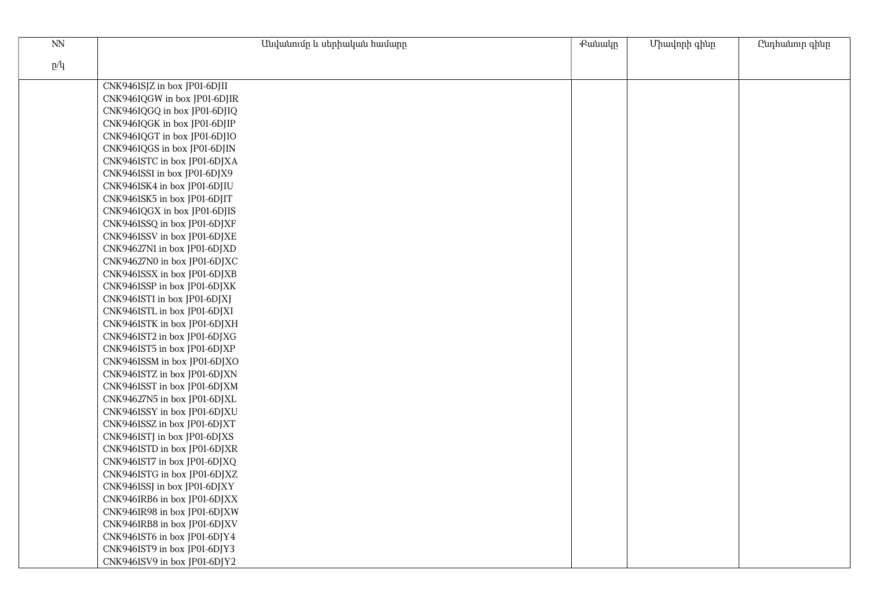| <b>NN</b> | Անվանումը և սերիական համարը  | Քանակը | Միավորի գինը | Ընդհանուր գինը |
|-----------|------------------------------|--------|--------------|----------------|
| p/q       |                              |        |              |                |
|           |                              |        |              |                |
|           | CNK9461SJZ in box JP01-6DJII |        |              |                |
|           | CNK9461QGW in box JP01-6DJIR |        |              |                |
|           | CNK9461QGQ in box JP01-6DJIQ |        |              |                |
|           | CNK9461QGK in box JP01-6DJIP |        |              |                |
|           | CNK9461QGT in box JP01-6DJIO |        |              |                |
|           | CNK9461QGS in box JP01-6DJIN |        |              |                |
|           | CNK9461STC in box JP01-6DJXA |        |              |                |
|           | CNK9461SS1 in box JP01-6DJX9 |        |              |                |
|           | CNK9461SK4 in box JP01-6DJIU |        |              |                |
|           | CNK9461SK5 in box JP01-6DJIT |        |              |                |
|           | CNK9461QGX in box JP01-6DJIS |        |              |                |
|           | CNK9461SSQ in box JP01-6DJXF |        |              |                |
|           | CNK9461SSV in box JP01-6DJXE |        |              |                |
|           | CNK94627N1 in box JP01-6DJXD |        |              |                |
|           | CNK94627N0 in box JP01-6DJXC |        |              |                |
|           | CNK9461SSX in box JP01-6DJXB |        |              |                |
|           | CNK9461SSP in box JP01-6DJXK |        |              |                |
|           | CNK9461ST1 in box JP01-6DJXJ |        |              |                |
|           | CNK9461STL in box JP01-6DJXI |        |              |                |
|           | CNK9461STK in box JP01-6DJXH |        |              |                |
|           | CNK9461ST2 in box JP01-6DJXG |        |              |                |
|           | CNK9461ST5 in box JP01-6DJXP |        |              |                |
|           | CNK9461SSM in box JP01-6DJXO |        |              |                |
|           | CNK9461STZ in box JP01-6DJXN |        |              |                |
|           | CNK9461SST in box JP01-6DJXM |        |              |                |
|           | CNK94627N5 in box JP01-6DJXL |        |              |                |
|           | CNK9461SSY in box JP01-6DJXU |        |              |                |
|           | CNK9461SSZ in box JP01-6DJXT |        |              |                |
|           | CNK9461STJ in box JP01-6DJXS |        |              |                |
|           | CNK9461STD in box JP01-6DJXR |        |              |                |
|           | CNK9461ST7 in box JP01-6DJXQ |        |              |                |
|           | CNK9461STG in box JP01-6DJXZ |        |              |                |
|           | CNK9461SSJ in box JP01-6DJXY |        |              |                |
|           | CNK9461RB6 in box JP01-6DJXX |        |              |                |
|           | CNK9461R98 in box JP01-6DJXW |        |              |                |
|           | CNK9461RB8 in box JP01-6DJXV |        |              |                |
|           | CNK9461ST6 in box JP01-6DJY4 |        |              |                |
|           | CNK9461ST9 in box JP01-6DJY3 |        |              |                |
|           | CNK9461SV9 in box JP01-6DJY2 |        |              |                |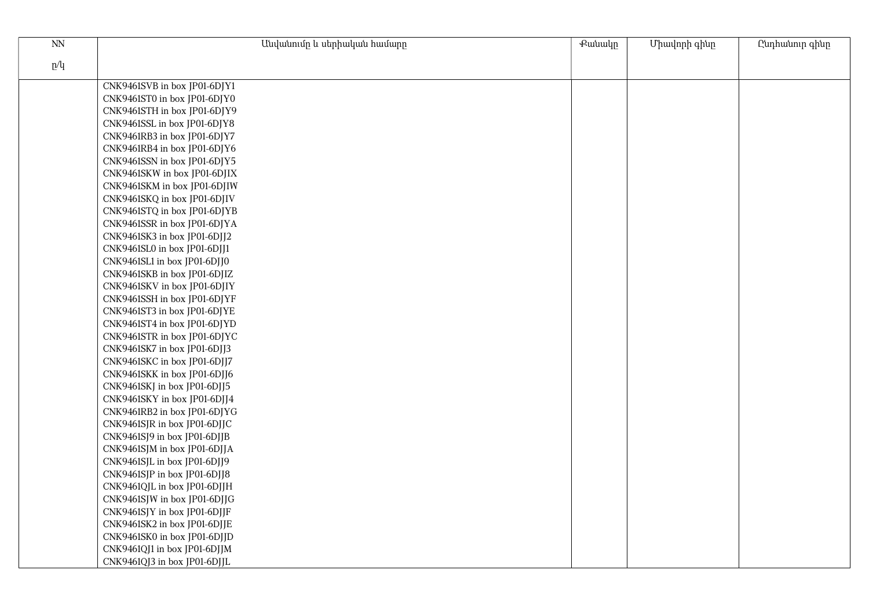| $\mathop{\rm NN}\nolimits$ | Անվանումը և սերիական համարը  | Քանակը | Միավորի գինը | Ընդհանուր գինը |
|----------------------------|------------------------------|--------|--------------|----------------|
| p/q                        |                              |        |              |                |
|                            |                              |        |              |                |
|                            | CNK9461SVB in box JP01-6DJY1 |        |              |                |
|                            | CNK9461ST0 in box JP01-6DJY0 |        |              |                |
|                            | CNK9461STH in box JP01-6DJY9 |        |              |                |
|                            | CNK9461SSL in box JP01-6DJY8 |        |              |                |
|                            | CNK9461RB3 in box JP01-6DJY7 |        |              |                |
|                            | CNK9461RB4 in box JP01-6DJY6 |        |              |                |
|                            | CNK9461SSN in box JP01-6DJY5 |        |              |                |
|                            | CNK9461SKW in box JP01-6DJIX |        |              |                |
|                            | CNK9461SKM in box JP01-6DJIW |        |              |                |
|                            | CNK9461SKQ in box JP01-6DJIV |        |              |                |
|                            | CNK9461STQ in box JP01-6DJYB |        |              |                |
|                            | CNK9461SSR in box JP01-6DJYA |        |              |                |
|                            | CNK9461SK3 in box JP01-6DJJ2 |        |              |                |
|                            | CNK9461SL0 in box JP01-6DJJ1 |        |              |                |
|                            | CNK9461SL1 in box JP01-6DJJ0 |        |              |                |
|                            | CNK9461SKB in box JP01-6DJIZ |        |              |                |
|                            | CNK9461SKV in box JP01-6DJIY |        |              |                |
|                            | CNK9461SSH in box JP01-6DJYF |        |              |                |
|                            | CNK9461ST3 in box JP01-6DJYE |        |              |                |
|                            | CNK9461ST4 in box JP01-6DJYD |        |              |                |
|                            | CNK9461STR in box JP01-6DJYC |        |              |                |
|                            | CNK9461SK7 in box JP01-6DJJ3 |        |              |                |
|                            | CNK9461SKC in box JP01-6DJJ7 |        |              |                |
|                            | CNK9461SKK in box JP01-6DJJ6 |        |              |                |
|                            | CNK9461SKJ in box JP01-6DJJ5 |        |              |                |
|                            | CNK9461SKY in box JP01-6DJJ4 |        |              |                |
|                            | CNK9461RB2 in box JP01-6DJYG |        |              |                |
|                            | CNK9461SJR in box JP01-6DJJC |        |              |                |
|                            | CNK9461SJ9 in box JP01-6DJJB |        |              |                |
|                            | CNK9461SJM in box JP01-6DJJA |        |              |                |
|                            | CNK9461SJL in box JP01-6DJJ9 |        |              |                |
|                            | CNK9461SJP in box JP01-6DJJ8 |        |              |                |
|                            | CNK9461QJL in box JP01-6DJJH |        |              |                |
|                            | CNK9461SJW in box JP01-6DJJG |        |              |                |
|                            | CNK9461SJY in box JP01-6DJJF |        |              |                |
|                            | CNK9461SK2 in box JP01-6DJJE |        |              |                |
|                            | CNK9461SK0 in box JP01-6DJJD |        |              |                |
|                            | CNK9461QJ1 in box JP01-6DJJM |        |              |                |
|                            | CNK9461QJ3 in box JP01-6DJJL |        |              |                |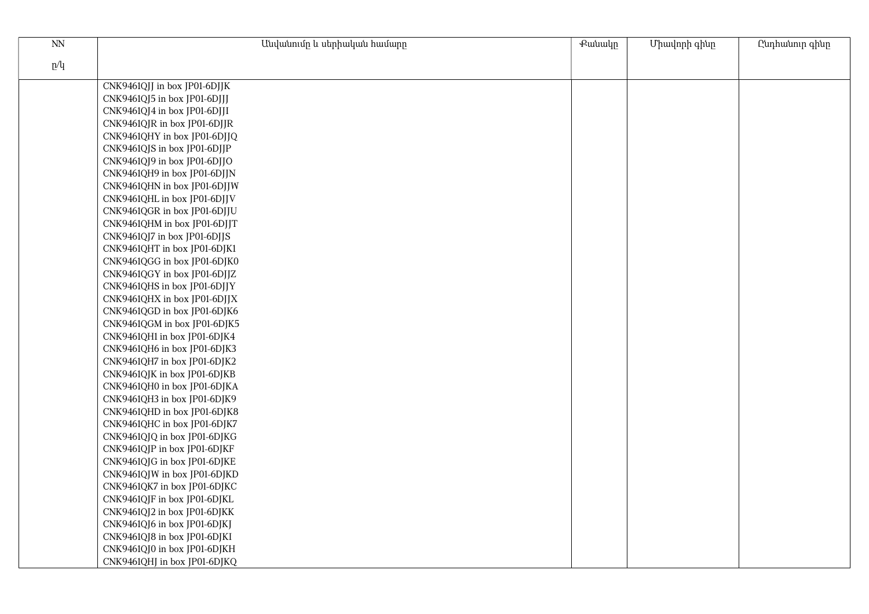| $\mathop{\rm NN}\nolimits$ | Անվանումը և սերիական համարը                                  | Քանակը | Միավորի գինը | Ընդհանուր գինը |
|----------------------------|--------------------------------------------------------------|--------|--------------|----------------|
| p/q                        |                                                              |        |              |                |
|                            | CNK9461QJJ in box JP01-6DJJK                                 |        |              |                |
|                            | CNK9461QJ5 in box JP01-6DJJJ                                 |        |              |                |
|                            | CNK9461QJ4 in box JP01-6DJJI                                 |        |              |                |
|                            | CNK9461QJR in box JP01-6DJJR                                 |        |              |                |
|                            | CNK9461QHY in box JP01-6DJJQ                                 |        |              |                |
|                            | CNK9461QJS in box JP01-6DJJP                                 |        |              |                |
|                            | CNK9461QJ9 in box JP01-6DJJO                                 |        |              |                |
|                            | CNK9461QH9 in box JP01-6DJJN                                 |        |              |                |
|                            | CNK9461QHN in box JP01-6DJJW                                 |        |              |                |
|                            | CNK9461QHL in box JP01-6DJJV                                 |        |              |                |
|                            | CNK9461QGR in box JP01-6DJJU                                 |        |              |                |
|                            | CNK9461QHM in box JP01-6DJJT                                 |        |              |                |
|                            | CNK9461QJ7 in box JP01-6DJJS                                 |        |              |                |
|                            | CNK9461QHT in box JP01-6DJK1                                 |        |              |                |
|                            | CNK9461QGG in box JP01-6DJK0                                 |        |              |                |
|                            | CNK9461QGY in box JP01-6DJJZ                                 |        |              |                |
|                            | CNK9461QHS in box JP01-6DJJY                                 |        |              |                |
|                            | CNK9461QHX in box JP01-6DJJX                                 |        |              |                |
|                            | CNK9461QGD in box JP01-6DJK6                                 |        |              |                |
|                            | CNK9461QGM in box JP01-6DJK5                                 |        |              |                |
|                            | CNK9461QH1 in box JP01-6DJK4                                 |        |              |                |
|                            | CNK9461QH6 in box JP01-6DJK3                                 |        |              |                |
|                            | CNK9461QH7 in box JP01-6DJK2                                 |        |              |                |
|                            | CNK9461QJK in box JP01-6DJKB                                 |        |              |                |
|                            | CNK9461QH0 in box JP01-6DJKA                                 |        |              |                |
|                            | CNK9461QH3 in box JP01-6DJK9                                 |        |              |                |
|                            | CNK9461QHD in box JP01-6DJK8                                 |        |              |                |
|                            | CNK9461QHC in box JP01-6DJK7                                 |        |              |                |
|                            | CNK9461QJQ in box JP01-6DJKG                                 |        |              |                |
|                            | CNK9461QJP in box JP01-6DJKF                                 |        |              |                |
|                            | CNK9461QJG in box JP01-6DJKE                                 |        |              |                |
|                            | CNK9461QJW in box JP01-6DJKD<br>CNK9461QK7 in box JP01-6DJKC |        |              |                |
|                            | CNK9461QJF in box JP01-6DJKL                                 |        |              |                |
|                            | CNK9461QJ2 in box JP01-6DJKK                                 |        |              |                |
|                            | CNK9461QJ6 in box JP01-6DJKJ                                 |        |              |                |
|                            | CNK9461QJ8 in box JP01-6DJKI                                 |        |              |                |
|                            | CNK9461QJ0 in box JP01-6DJKH                                 |        |              |                |
|                            | CNK9461QHJ in box JP01-6DJKQ                                 |        |              |                |
|                            |                                                              |        |              |                |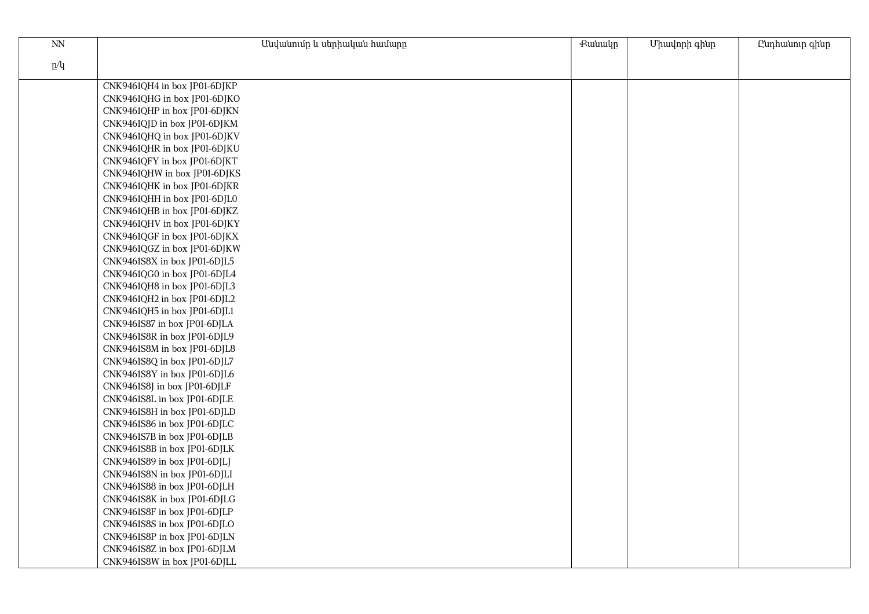| <b>NN</b> | Անվանումը և սերիական համարը  | Քանակը | Միավորի գինը | Ընդհանուր գինը |
|-----------|------------------------------|--------|--------------|----------------|
| p/q       |                              |        |              |                |
|           |                              |        |              |                |
|           | CNK9461QH4 in box JP01-6DJKP |        |              |                |
|           | CNK9461QHG in box JP01-6DJKO |        |              |                |
|           | CNK9461QHP in box JP01-6DJKN |        |              |                |
|           | CNK9461QJD in box JP01-6DJKM |        |              |                |
|           | CNK9461QHQ in box JP01-6DJKV |        |              |                |
|           | CNK9461QHR in box JP01-6DJKU |        |              |                |
|           | CNK9461QFY in box JP01-6DJKT |        |              |                |
|           | CNK9461QHW in box JP01-6DJKS |        |              |                |
|           | CNK9461QHK in box JP01-6DJKR |        |              |                |
|           | CNK9461QHH in box JP01-6DJL0 |        |              |                |
|           | CNK9461QHB in box JP01-6DJKZ |        |              |                |
|           | CNK9461QHV in box JP01-6DJKY |        |              |                |
|           | CNK9461QGF in box JP01-6DJKX |        |              |                |
|           | CNK9461QGZ in box JP01-6DJKW |        |              |                |
|           | CNK9461S8X in box JP01-6DJL5 |        |              |                |
|           | CNK9461QG0 in box JP01-6DJL4 |        |              |                |
|           | CNK9461QH8 in box JP01-6DJL3 |        |              |                |
|           | CNK9461QH2 in box JP01-6DJL2 |        |              |                |
|           | CNK9461QH5 in box JP01-6DJL1 |        |              |                |
|           | CNK9461S87 in box JP01-6DJLA |        |              |                |
|           | CNK9461S8R in box JP01-6DJL9 |        |              |                |
|           | CNK9461S8M in box JP01-6DJL8 |        |              |                |
|           | CNK9461S8Q in box JP01-6DJL7 |        |              |                |
|           | CNK9461S8Y in box JP01-6DJL6 |        |              |                |
|           | CNK9461S8J in box JP01-6DJLF |        |              |                |
|           | CNK9461S8L in box JP01-6DJLE |        |              |                |
|           | CNK9461S8H in box JP01-6DJLD |        |              |                |
|           | CNK9461S86 in box JP01-6DJLC |        |              |                |
|           | CNK9461S7B in box JP01-6DJLB |        |              |                |
|           | CNK9461S8B in box JP01-6DJLK |        |              |                |
|           | CNK9461S89 in box JP01-6DJLJ |        |              |                |
|           | CNK9461S8N in box JP01-6DJLI |        |              |                |
|           | CNK9461S88 in box JP01-6DJLH |        |              |                |
|           | CNK9461S8K in box JP01-6DJLG |        |              |                |
|           | CNK9461S8F in box JP01-6DJLP |        |              |                |
|           | CNK9461S8S in box JP01-6DJLO |        |              |                |
|           | CNK9461S8P in box JP01-6DJLN |        |              |                |
|           | CNK9461S8Z in box JP01-6DJLM |        |              |                |
|           | CNK9461S8W in box JP01-6DJLL |        |              |                |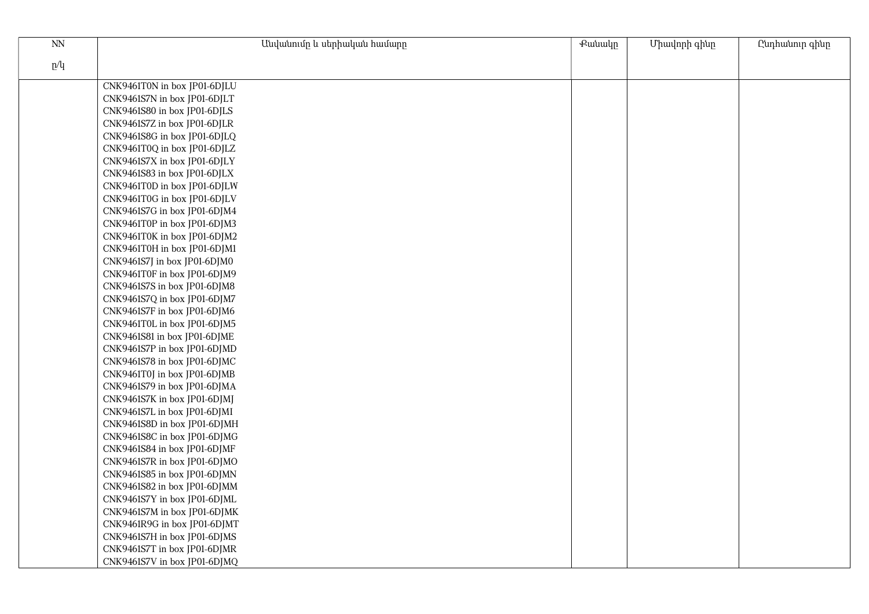| $\mathop{\rm NN}\nolimits$ | Անվանումը և սերիական համարը  | Քանակը | Միավորի գինը | Ընդհանուր գինը |
|----------------------------|------------------------------|--------|--------------|----------------|
| p/q                        |                              |        |              |                |
|                            |                              |        |              |                |
|                            | CNK9461T0N in box JP01-6DJLU |        |              |                |
|                            | CNK9461S7N in box JP01-6DJLT |        |              |                |
|                            | CNK9461S80 in box JP01-6DJLS |        |              |                |
|                            | CNK9461S7Z in box JP01-6DJLR |        |              |                |
|                            | CNK9461S8G in box JP01-6DJLQ |        |              |                |
|                            | CNK9461T0Q in box JP01-6DJLZ |        |              |                |
|                            | CNK9461S7X in box JP01-6DJLY |        |              |                |
|                            | CNK9461S83 in box JP01-6DJLX |        |              |                |
|                            | CNK9461T0D in box JP01-6DJLW |        |              |                |
|                            | CNK9461T0G in box JP01-6DJLV |        |              |                |
|                            | CNK9461S7G in box JP01-6DJM4 |        |              |                |
|                            | CNK9461T0P in box JP01-6DJM3 |        |              |                |
|                            | CNK9461T0K in box JP01-6DJM2 |        |              |                |
|                            | CNK9461T0H in box JP01-6DJM1 |        |              |                |
|                            | CNK9461S7J in box JP01-6DJM0 |        |              |                |
|                            | CNK9461T0F in box JP01-6DJM9 |        |              |                |
|                            | CNK9461S7S in box JP01-6DJM8 |        |              |                |
|                            | CNK9461S7Q in box JP01-6DJM7 |        |              |                |
|                            | CNK9461S7F in box JP01-6DJM6 |        |              |                |
|                            | CNK9461T0L in box JP01-6DJM5 |        |              |                |
|                            | CNK9461S81 in box JP01-6DJME |        |              |                |
|                            | CNK9461S7P in box JP01-6DJMD |        |              |                |
|                            | CNK9461S78 in box JP01-6DJMC |        |              |                |
|                            | CNK9461T0J in box JP01-6DJMB |        |              |                |
|                            | CNK9461S79 in box JP01-6DJMA |        |              |                |
|                            | CNK9461S7K in box JP01-6DJMJ |        |              |                |
|                            | CNK9461S7L in box JP01-6DJMI |        |              |                |
|                            | CNK9461S8D in box JP01-6DJMH |        |              |                |
|                            | CNK9461S8C in box JP01-6DJMG |        |              |                |
|                            | CNK9461S84 in box JP01-6DJMF |        |              |                |
|                            | CNK9461S7R in box JP01-6DJMO |        |              |                |
|                            | CNK9461S85 in box JP01-6DJMN |        |              |                |
|                            | CNK9461S82 in box JP01-6DJMM |        |              |                |
|                            | CNK9461S7Y in box JP01-6DJML |        |              |                |
|                            | CNK9461S7M in box JP01-6DJMK |        |              |                |
|                            | CNK9461R9G in box JP01-6DJMT |        |              |                |
|                            | CNK9461S7H in box JP01-6DJMS |        |              |                |
|                            | CNK9461S7T in box JP01-6DJMR |        |              |                |
|                            | CNK9461S7V in box JP01-6DJMQ |        |              |                |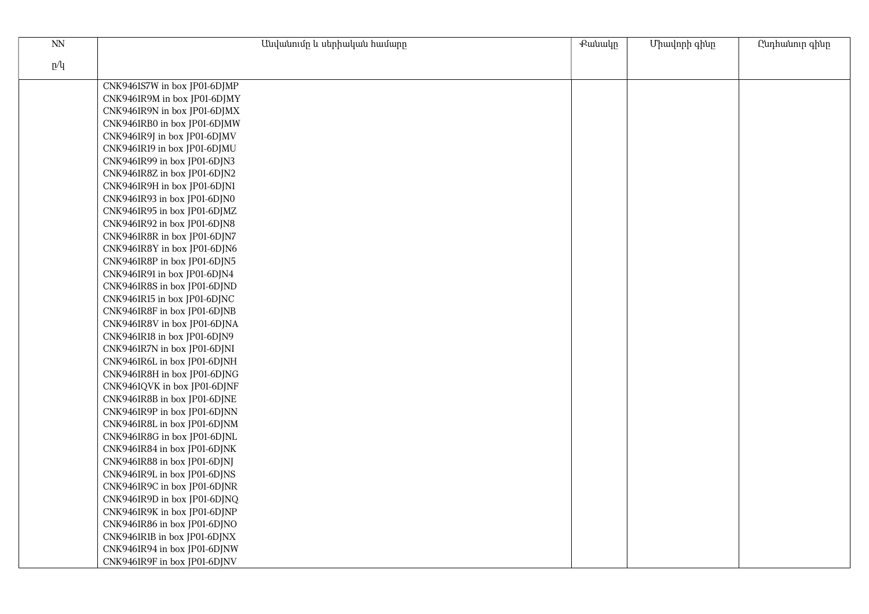| NN  | Անվանումը և սերիական համարը  | Քանակը | Միավորի գինը | Ընդհանուր գինը |
|-----|------------------------------|--------|--------------|----------------|
| p/q |                              |        |              |                |
|     |                              |        |              |                |
|     | CNK9461S7W in box JP01-6DJMP |        |              |                |
|     | CNK9461R9M in box JP01-6DJMY |        |              |                |
|     | CNK9461R9N in box JP01-6DJMX |        |              |                |
|     | CNK9461RB0 in box JP01-6DJMW |        |              |                |
|     | CNK9461R9J in box JP01-6DJMV |        |              |                |
|     | CNK9461R19 in box JP01-6DJMU |        |              |                |
|     | CNK9461R99 in box JP01-6DJN3 |        |              |                |
|     | CNK9461R8Z in box JP01-6DJN2 |        |              |                |
|     | CNK9461R9H in box JP01-6DJN1 |        |              |                |
|     | CNK9461R93 in box JP01-6DJN0 |        |              |                |
|     | CNK9461R95 in box JP01-6DJMZ |        |              |                |
|     | CNK9461R92 in box JP01-6DJN8 |        |              |                |
|     | CNK9461R8R in box JP01-6DJN7 |        |              |                |
|     | CNK9461R8Y in box JP01-6DJN6 |        |              |                |
|     | CNK9461R8P in box JP01-6DJN5 |        |              |                |
|     | CNK9461R91 in box JP01-6DJN4 |        |              |                |
|     | CNK9461R8S in box JP01-6DJND |        |              |                |
|     | CNK9461R15 in box JP01-6DJNC |        |              |                |
|     | CNK9461R8F in box JP01-6DJNB |        |              |                |
|     | CNK9461R8V in box JP01-6DJNA |        |              |                |
|     | CNK9461R18 in box JP01-6DJN9 |        |              |                |
|     | CNK9461R7N in box JP01-6DJNI |        |              |                |
|     | CNK9461R6L in box JP01-6DJNH |        |              |                |
|     | CNK9461R8H in box JP01-6DJNG |        |              |                |
|     | CNK9461QVK in box JP01-6DJNF |        |              |                |
|     | CNK9461R8B in box JP01-6DJNE |        |              |                |
|     | CNK9461R9P in box JP01-6DJNN |        |              |                |
|     | CNK9461R8L in box JP01-6DJNM |        |              |                |
|     | CNK9461R8G in box JP01-6DJNL |        |              |                |
|     | CNK9461R84 in box JP01-6DJNK |        |              |                |
|     | CNK9461R88 in box JP01-6DJNJ |        |              |                |
|     | CNK9461R9L in box JP01-6DJNS |        |              |                |
|     | CNK9461R9C in box JP01-6DJNR |        |              |                |
|     | CNK9461R9D in box JP01-6DJNQ |        |              |                |
|     | CNK9461R9K in box JP01-6DJNP |        |              |                |
|     | CNK9461R86 in box JP01-6DJNO |        |              |                |
|     | CNK9461R1B in box JP01-6DJNX |        |              |                |
|     | CNK9461R94 in box JP01-6DJNW |        |              |                |
|     | CNK9461R9F in box JP01-6DJNV |        |              |                |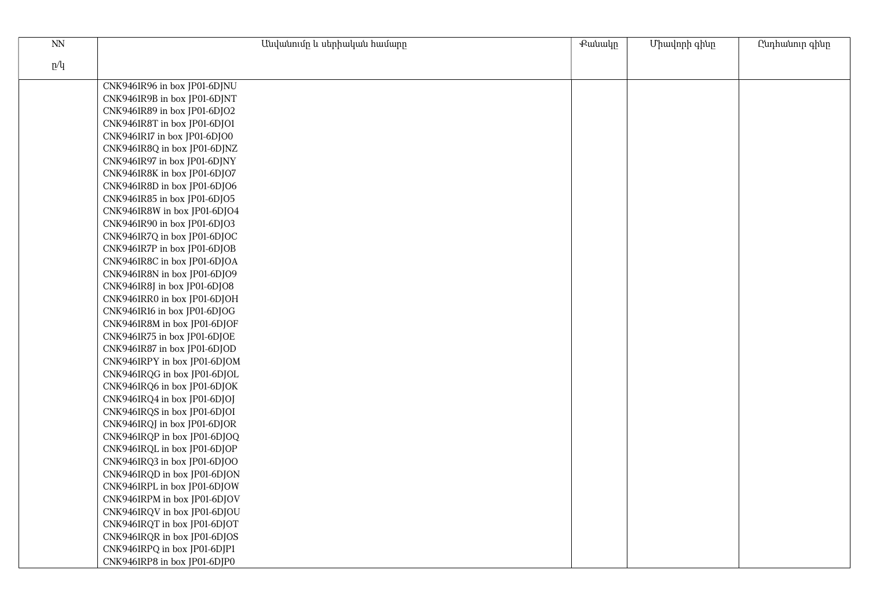| $\mathop{\rm NN}\nolimits$ | Անվանումը և սերիական համարը  | Քանակը | Միավորի գինը | Ընդհանուր գինը |
|----------------------------|------------------------------|--------|--------------|----------------|
| p/q                        |                              |        |              |                |
|                            |                              |        |              |                |
|                            | CNK9461R96 in box JP01-6DJNU |        |              |                |
|                            | CNK9461R9B in box JP01-6DJNT |        |              |                |
|                            | CNK9461R89 in box JP01-6DJO2 |        |              |                |
|                            | CNK9461R8T in box JP01-6DJO1 |        |              |                |
|                            | CNK9461R17 in box JP01-6DJO0 |        |              |                |
|                            | CNK9461R8Q in box JP01-6DJNZ |        |              |                |
|                            | CNK9461R97 in box JP01-6DJNY |        |              |                |
|                            | CNK9461R8K in box JP01-6DJO7 |        |              |                |
|                            | CNK9461R8D in box JP01-6DJO6 |        |              |                |
|                            | CNK9461R85 in box JP01-6DJO5 |        |              |                |
|                            | CNK9461R8W in box JP01-6DJO4 |        |              |                |
|                            | CNK9461R90 in box JP01-6DJO3 |        |              |                |
|                            | CNK9461R7Q in box JP01-6DJOC |        |              |                |
|                            | CNK9461R7P in box JP01-6DJOB |        |              |                |
|                            | CNK9461R8C in box JP01-6DJOA |        |              |                |
|                            | CNK9461R8N in box JP01-6DJO9 |        |              |                |
|                            | CNK9461R8J in box JP01-6DJO8 |        |              |                |
|                            | CNK9461RR0 in box JP01-6DJOH |        |              |                |
|                            | CNK9461R16 in box JP01-6DJOG |        |              |                |
|                            | CNK9461R8M in box JP01-6DJOF |        |              |                |
|                            | CNK9461R75 in box JP01-6DJOE |        |              |                |
|                            | CNK9461R87 in box JP01-6DJOD |        |              |                |
|                            | CNK9461RPY in box JP01-6DJOM |        |              |                |
|                            | CNK9461RQG in box JP01-6DJOL |        |              |                |
|                            | CNK9461RQ6 in box JP01-6DJOK |        |              |                |
|                            | CNK9461RQ4 in box JP01-6DJOJ |        |              |                |
|                            | CNK9461RQS in box JP01-6DJOI |        |              |                |
|                            | CNK9461RQJ in box JP01-6DJOR |        |              |                |
|                            | CNK9461RQP in box JP01-6DJOQ |        |              |                |
|                            | CNK9461RQL in box JP01-6DJOP |        |              |                |
|                            | CNK9461RQ3 in box JP01-6DJOO |        |              |                |
|                            | CNK9461RQD in box JP01-6DJON |        |              |                |
|                            | CNK9461RPL in box JP01-6DJOW |        |              |                |
|                            | CNK9461RPM in box JP01-6DJOV |        |              |                |
|                            | CNK9461RQV in box JP01-6DJOU |        |              |                |
|                            | CNK9461RQT in box JP01-6DJOT |        |              |                |
|                            | CNK9461RQR in box JP01-6DJOS |        |              |                |
|                            | CNK9461RPQ in box JP01-6DJP1 |        |              |                |
|                            | CNK9461RP8 in box JP01-6DJP0 |        |              |                |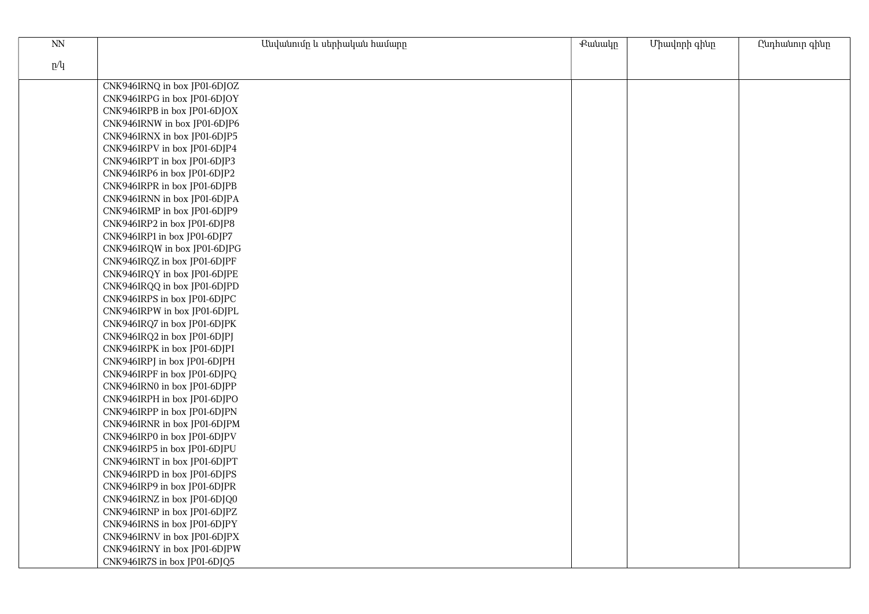| <b>NN</b> | Անվանումը և սերիական համարը  | Քանակը | Միավորի գինը | Ընդհանուր գինը |
|-----------|------------------------------|--------|--------------|----------------|
| p/q       |                              |        |              |                |
|           |                              |        |              |                |
|           | CNK9461RNQ in box JP01-6DJOZ |        |              |                |
|           | CNK9461RPG in box JP01-6DJOY |        |              |                |
|           | CNK9461RPB in box JP01-6DJOX |        |              |                |
|           | CNK9461RNW in box JP01-6DJP6 |        |              |                |
|           | CNK9461RNX in box JP01-6DJP5 |        |              |                |
|           | CNK9461RPV in box JP01-6DJP4 |        |              |                |
|           | CNK9461RPT in box JP01-6DJP3 |        |              |                |
|           | CNK9461RP6 in box JP01-6DJP2 |        |              |                |
|           | CNK9461RPR in box JP01-6DJPB |        |              |                |
|           | CNK9461RNN in box JP01-6DJPA |        |              |                |
|           | CNK9461RMP in box JP01-6DJP9 |        |              |                |
|           | CNK9461RP2 in box JP01-6DJP8 |        |              |                |
|           | CNK9461RP1 in box JP01-6DJP7 |        |              |                |
|           | CNK9461RQW in box JP01-6DJPG |        |              |                |
|           | CNK9461RQZ in box JP01-6DJPF |        |              |                |
|           | CNK9461RQY in box JP01-6DJPE |        |              |                |
|           | CNK9461RQQ in box JP01-6DJPD |        |              |                |
|           | CNK9461RPS in box JP01-6DJPC |        |              |                |
|           | CNK9461RPW in box JP01-6DJPL |        |              |                |
|           | CNK9461RQ7 in box JP01-6DJPK |        |              |                |
|           | CNK9461RQ2 in box JP01-6DJPJ |        |              |                |
|           | CNK9461RPK in box JP01-6DJPI |        |              |                |
|           | CNK9461RPJ in box JP01-6DJPH |        |              |                |
|           | CNK9461RPF in box JP01-6DJPQ |        |              |                |
|           | CNK9461RN0 in box JP01-6DJPP |        |              |                |
|           | CNK9461RPH in box JP01-6DJPO |        |              |                |
|           | CNK9461RPP in box JP01-6DJPN |        |              |                |
|           | CNK9461RNR in box JP01-6DJPM |        |              |                |
|           | CNK9461RP0 in box JP01-6DJPV |        |              |                |
|           | CNK9461RP5 in box JP01-6DJPU |        |              |                |
|           | CNK9461RNT in box JP01-6DJPT |        |              |                |
|           | CNK9461RPD in box JP01-6DJPS |        |              |                |
|           | CNK9461RP9 in box JP01-6DJPR |        |              |                |
|           | CNK9461RNZ in box JP01-6DJQ0 |        |              |                |
|           | CNK9461RNP in box JP01-6DJPZ |        |              |                |
|           | CNK9461RNS in box JP01-6DJPY |        |              |                |
|           | CNK9461RNV in box JP01-6DJPX |        |              |                |
|           | CNK9461RNY in box JP01-6DJPW |        |              |                |
|           | CNK9461R7S in box JP01-6DJQ5 |        |              |                |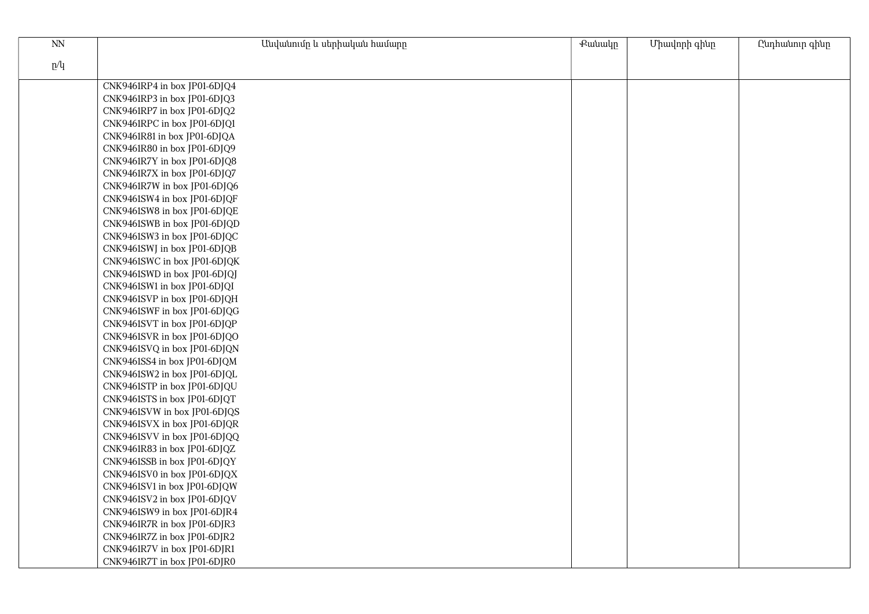| NN  | Անվանումը և սերիական համարը  | Քանակը | Միավորի գինը | Ընդհանուր գինը |
|-----|------------------------------|--------|--------------|----------------|
| p/q |                              |        |              |                |
|     |                              |        |              |                |
|     | CNK9461RP4 in box JP01-6DJQ4 |        |              |                |
|     | CNK9461RP3 in box JP01-6DJQ3 |        |              |                |
|     | CNK9461RP7 in box JP01-6DJQ2 |        |              |                |
|     | CNK9461RPC in box JP01-6DJQ1 |        |              |                |
|     | CNK9461R81 in box JP01-6DJQA |        |              |                |
|     | CNK9461R80 in box JP01-6DJQ9 |        |              |                |
|     | CNK9461R7Y in box JP01-6DJQ8 |        |              |                |
|     | CNK9461R7X in box JP01-6DJQ7 |        |              |                |
|     | CNK9461R7W in box JP01-6DJQ6 |        |              |                |
|     | CNK9461SW4 in box JP01-6DJQF |        |              |                |
|     | CNK9461SW8 in box JP01-6DJQE |        |              |                |
|     | CNK9461SWB in box JP01-6DJQD |        |              |                |
|     | CNK9461SW3 in box JP01-6DJQC |        |              |                |
|     | CNK9461SWJ in box JP01-6DJQB |        |              |                |
|     | CNK9461SWC in box JP01-6DJQK |        |              |                |
|     | CNK9461SWD in box JP01-6DJQJ |        |              |                |
|     | CNK9461SW1 in box JP01-6DJQI |        |              |                |
|     | CNK9461SVP in box JP01-6DJQH |        |              |                |
|     | CNK9461SWF in box JP01-6DJQG |        |              |                |
|     | CNK9461SVT in box JP01-6DJQP |        |              |                |
|     | CNK9461SVR in box JP01-6DJQO |        |              |                |
|     | CNK9461SVQ in box JP01-6DJQN |        |              |                |
|     | CNK9461SS4 in box JP01-6DJQM |        |              |                |
|     | CNK9461SW2 in box JP01-6DJQL |        |              |                |
|     | CNK9461STP in box JP01-6DJQU |        |              |                |
|     | CNK9461STS in box JP01-6DJQT |        |              |                |
|     | CNK9461SVW in box JP01-6DJQS |        |              |                |
|     | CNK9461SVX in box JP01-6DJQR |        |              |                |
|     | CNK9461SVV in box JP01-6DJQQ |        |              |                |
|     | CNK9461R83 in box JP01-6DJQZ |        |              |                |
|     | CNK9461SSB in box JP01-6DJQY |        |              |                |
|     | CNK9461SV0 in box JP01-6DJQX |        |              |                |
|     | CNK9461SV1 in box JP01-6DJQW |        |              |                |
|     | CNK9461SV2 in box JP01-6DJQV |        |              |                |
|     | CNK9461SW9 in box JP01-6DJR4 |        |              |                |
|     | CNK9461R7R in box JP01-6DJR3 |        |              |                |
|     | CNK9461R7Z in box JP01-6DJR2 |        |              |                |
|     | CNK9461R7V in box JP01-6DJR1 |        |              |                |
|     | CNK9461R7T in box JP01-6DJR0 |        |              |                |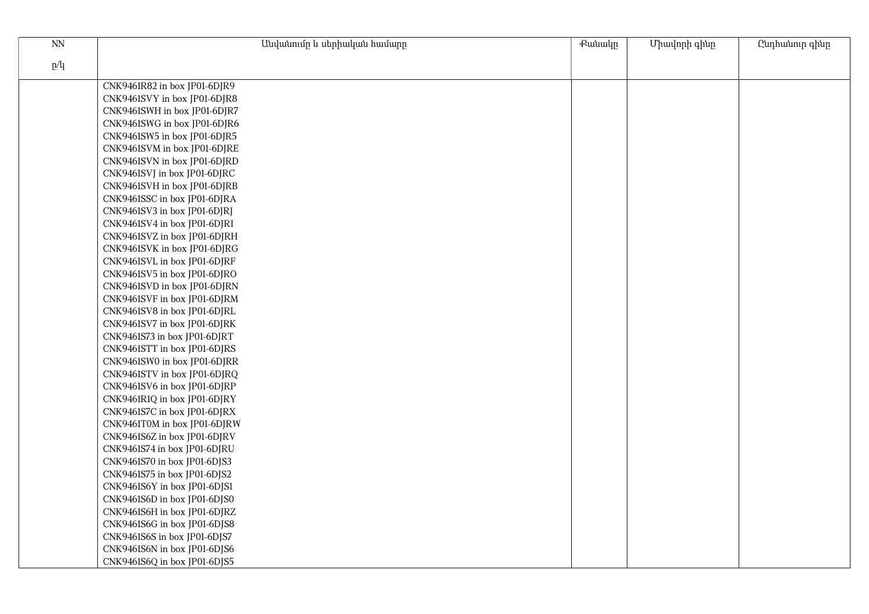| NN  | Անվանումը և սերիական համարը  | Քանակը | Միավորի գինը | Ընդհանուր գինը |
|-----|------------------------------|--------|--------------|----------------|
|     |                              |        |              |                |
| p/q |                              |        |              |                |
|     | CNK9461R82 in box JP01-6DJR9 |        |              |                |
|     | CNK9461SVY in box JP01-6DJR8 |        |              |                |
|     | CNK9461SWH in box JP01-6DJR7 |        |              |                |
|     | CNK9461SWG in box JP01-6DJR6 |        |              |                |
|     | CNK9461SW5 in box JP01-6DJR5 |        |              |                |
|     | CNK9461SVM in box JP01-6DJRE |        |              |                |
|     | CNK9461SVN in box JP01-6DJRD |        |              |                |
|     | CNK9461SVJ in box JP01-6DJRC |        |              |                |
|     | CNK9461SVH in box JP01-6DJRB |        |              |                |
|     | CNK9461SSC in box JP01-6DJRA |        |              |                |
|     | CNK9461SV3 in box JP01-6DJRJ |        |              |                |
|     | CNK9461SV4 in box JP01-6DJRI |        |              |                |
|     | CNK9461SVZ in box JP01-6DJRH |        |              |                |
|     | CNK9461SVK in box JP01-6DJRG |        |              |                |
|     | CNK9461SVL in box JP01-6DJRF |        |              |                |
|     | CNK9461SV5 in box JP01-6DJRO |        |              |                |
|     | CNK9461SVD in box JP01-6DJRN |        |              |                |
|     | CNK9461SVF in box JP01-6DJRM |        |              |                |
|     | CNK9461SV8 in box JP01-6DJRL |        |              |                |
|     | CNK9461SV7 in box JP01-6DJRK |        |              |                |
|     | CNK9461S73 in box JP01-6DJRT |        |              |                |
|     | CNK9461STT in box JP01-6DJRS |        |              |                |
|     | CNK9461SW0 in box JP01-6DJRR |        |              |                |
|     | CNK9461STV in box JP01-6DJRQ |        |              |                |
|     | CNK9461SV6 in box JP01-6DJRP |        |              |                |
|     | CNK9461R1Q in box JP01-6DJRY |        |              |                |
|     | CNK9461S7C in box JP01-6DJRX |        |              |                |
|     | CNK9461T0M in box JP01-6DJRW |        |              |                |
|     | CNK9461S6Z in box JP01-6DJRV |        |              |                |
|     | CNK9461S74 in box JP01-6DJRU |        |              |                |
|     | CNK9461S70 in box JP01-6DJS3 |        |              |                |
|     | CNK9461S75 in box JP01-6DJS2 |        |              |                |
|     | CNK9461S6Y in box JP01-6DJS1 |        |              |                |
|     | CNK9461S6D in box JP01-6DJS0 |        |              |                |
|     | CNK9461S6H in box JP01-6DJRZ |        |              |                |
|     | CNK9461S6G in box JP01-6DJS8 |        |              |                |
|     | CNK9461S6S in box JP01-6DJS7 |        |              |                |
|     | CNK9461S6N in box JP01-6DJS6 |        |              |                |
|     | CNK9461S6Q in box JP01-6DJS5 |        |              |                |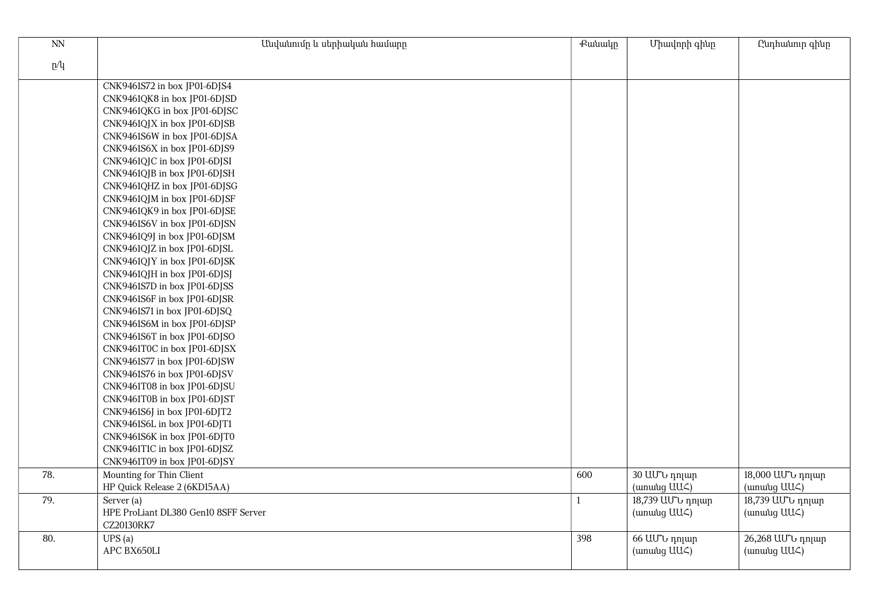| $\text{NN}$ | Անվանումը և սերիական համարը          | <b></b>      | Միավորի գինը     | Ընդհանուր գինը    |
|-------------|--------------------------------------|--------------|------------------|-------------------|
| p/q         |                                      |              |                  |                   |
|             | CNK9461S72 in box JP01-6DJS4         |              |                  |                   |
|             | CNK9461QK8 in box JP01-6DJSD         |              |                  |                   |
|             | CNK9461QKG in box JP01-6DJSC         |              |                  |                   |
|             | CNK9461QJX in box JP01-6DJSB         |              |                  |                   |
|             | CNK9461S6W in box JP01-6DJSA         |              |                  |                   |
|             | CNK9461S6X in box JP01-6DJS9         |              |                  |                   |
|             | CNK9461QJC in box JP01-6DJSI         |              |                  |                   |
|             | CNK9461QJB in box JP01-6DJSH         |              |                  |                   |
|             | CNK9461QHZ in box JP01-6DJSG         |              |                  |                   |
|             | CNK9461QJM in box JP01-6DJSF         |              |                  |                   |
|             | CNK9461QK9 in box JP01-6DJSE         |              |                  |                   |
|             | CNK9461S6V in box JP01-6DJSN         |              |                  |                   |
|             | CNK9461Q9J in box JP01-6DJSM         |              |                  |                   |
|             | CNK9461QJZ in box JP01-6DJSL         |              |                  |                   |
|             | CNK9461QJY in box JP01-6DJSK         |              |                  |                   |
|             | CNK9461QJH in box JP01-6DJSJ         |              |                  |                   |
|             | CNK9461S7D in box JP01-6DJSS         |              |                  |                   |
|             | CNK9461S6F in box JP01-6DJSR         |              |                  |                   |
|             | CNK9461S71 in box JP01-6DJSQ         |              |                  |                   |
|             | CNK9461S6M in box JP01-6DJSP         |              |                  |                   |
|             | CNK9461S6T in box JP01-6DJSO         |              |                  |                   |
|             | CNK9461T0C in box JP01-6DJSX         |              |                  |                   |
|             | CNK9461S77 in box JP01-6DJSW         |              |                  |                   |
|             | CNK9461S76 in box JP01-6DJSV         |              |                  |                   |
|             | CNK9461T08 in box JP01-6DJSU         |              |                  |                   |
|             | CNK9461T0B in box JP01-6DJST         |              |                  |                   |
|             | CNK9461S6J in box JP01-6DJT2         |              |                  |                   |
|             | CNK9461S6L in box JP01-6DJT1         |              |                  |                   |
|             | CNK9461S6K in box JP01-6DJT0         |              |                  |                   |
|             | CNK9461T1C in box JP01-6DJSZ         |              |                  |                   |
|             | CNK9461T09 in box JP01-6DJSY         |              |                  |                   |
| 78.         | Mounting for Thin Client             | 600          | 30 UU v nnun     | 18,000 ԱՄՆ դոլար  |
|             | HP Quick Release 2 (6KD15AA)         |              | (unuuug UU<)     | (unuing UU<)      |
| 79.         | Server (a)                           | $\mathbf{1}$ | 18,739 UU b nnun | 18,739 UU t nnun  |
|             | HPE ProLiant DL380 Gen10 8SFF Server |              | (unuuug UU<)     | (unuiting UUC)    |
|             | CZ20130RK7                           |              |                  |                   |
| 80.         | UPS(a)                               | 398          | 66 ԱՄՆ դոլար     | 26,268 UU Ն դոլար |
|             | APC BX650LI                          |              | (unuiting UUC)   | (unuing UU<)      |
|             |                                      |              |                  |                   |
|             |                                      |              |                  |                   |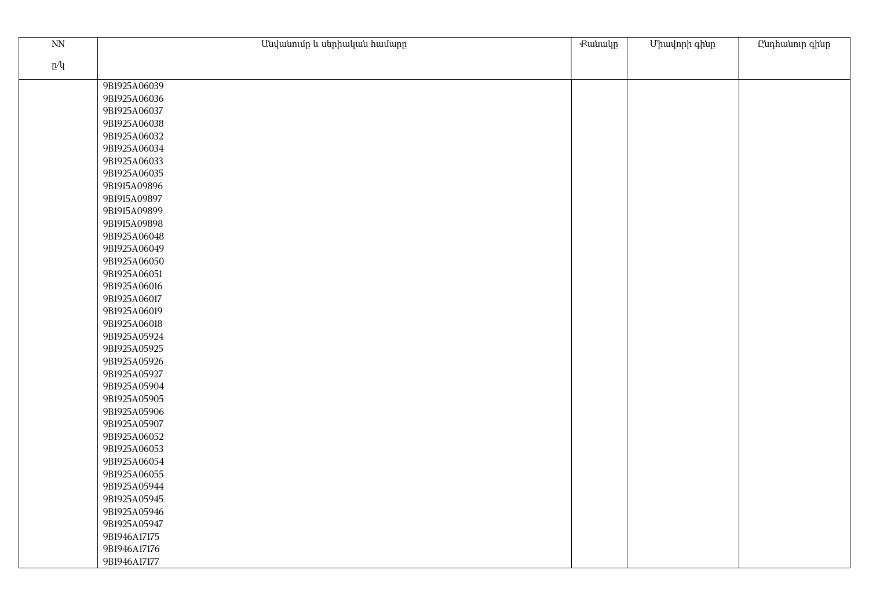| $\overline{\text{NN}}$ | Անվանումը և սերիական համարը  | Քանակը | Միավորի գինը | Ընդհանուր գինը |
|------------------------|------------------------------|--------|--------------|----------------|
| p/q                    |                              |        |              |                |
|                        |                              |        |              |                |
|                        | 9B1925A06039                 |        |              |                |
|                        | 9B1925A06036                 |        |              |                |
|                        | 9B1925A06037                 |        |              |                |
|                        | 9B1925A06038                 |        |              |                |
|                        | 9B1925A06032                 |        |              |                |
|                        | 9B1925A06034                 |        |              |                |
|                        | 9B1925A06033                 |        |              |                |
|                        | 9B1925A06035                 |        |              |                |
|                        | 9B1915A09896                 |        |              |                |
|                        | 9B1915A09897                 |        |              |                |
|                        | 9B1915A09899                 |        |              |                |
|                        | 9B1915A09898                 |        |              |                |
|                        | 9B1925A06048                 |        |              |                |
|                        | 9B1925A06049                 |        |              |                |
|                        | 9B1925A06050                 |        |              |                |
|                        | 9B1925A06051                 |        |              |                |
|                        | 9B1925A06016                 |        |              |                |
|                        | 9B1925A06017                 |        |              |                |
|                        | 9B1925A06019                 |        |              |                |
|                        | 9B1925A06018                 |        |              |                |
|                        | 9B1925A05924                 |        |              |                |
|                        | 9B1925A05925                 |        |              |                |
|                        | 9B1925A05926                 |        |              |                |
|                        | 9B1925A05927                 |        |              |                |
|                        | 9B1925A05904                 |        |              |                |
|                        | 9B1925A05905                 |        |              |                |
|                        | 9B1925A05906                 |        |              |                |
|                        | 9B1925A05907                 |        |              |                |
|                        | 9B1925A06052                 |        |              |                |
|                        | 9B1925A06053<br>9B1925A06054 |        |              |                |
|                        | 9B1925A06055                 |        |              |                |
|                        | 9B1925A05944                 |        |              |                |
|                        | 9B1925A05945                 |        |              |                |
|                        |                              |        |              |                |
|                        | 9B1925A05946                 |        |              |                |
|                        | 9B1925A05947                 |        |              |                |
|                        | 9B1946A17175                 |        |              |                |
|                        | 9B1946A17176                 |        |              |                |
|                        | 9B1946A17177                 |        |              |                |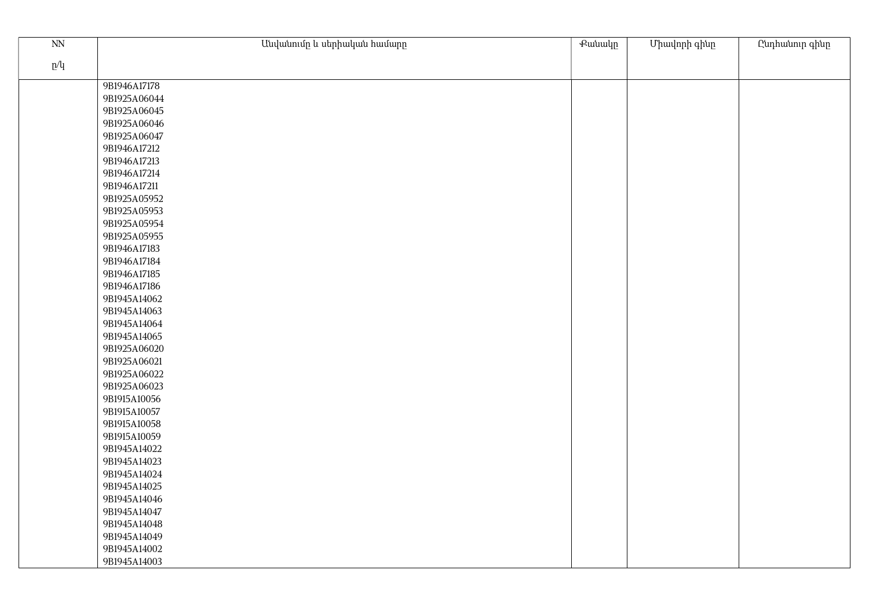| $\overline{\text{NN}}$                          | Անվանումը և սերիական համարը | <b></b> | Միավորի գինը | <b>Cunhwunin</b> qhun |
|-------------------------------------------------|-----------------------------|---------|--------------|-----------------------|
| $\underline{\mathbf{p}}/\underline{\mathbf{q}}$ |                             |         |              |                       |
|                                                 |                             |         |              |                       |
|                                                 | 9B1946A17178                |         |              |                       |
|                                                 | 9B1925A06044                |         |              |                       |
|                                                 | 9B1925A06045                |         |              |                       |
|                                                 | 9B1925A06046                |         |              |                       |
|                                                 | 9B1925A06047                |         |              |                       |
|                                                 | 9B1946A17212                |         |              |                       |
|                                                 | 9B1946A17213                |         |              |                       |
|                                                 | 9B1946A17214                |         |              |                       |
|                                                 | 9B1946A17211                |         |              |                       |
|                                                 | 9B1925A05952                |         |              |                       |
|                                                 | 9B1925A05953                |         |              |                       |
|                                                 | 9B1925A05954                |         |              |                       |
|                                                 | 9B1925A05955                |         |              |                       |
|                                                 | 9B1946A17183                |         |              |                       |
|                                                 | 9B1946A17184                |         |              |                       |
|                                                 | 9B1946A17185                |         |              |                       |
|                                                 | 9B1946A17186                |         |              |                       |
|                                                 | 9B1945A14062                |         |              |                       |
|                                                 | 9B1945A14063                |         |              |                       |
|                                                 | 9B1945A14064                |         |              |                       |
|                                                 | 9B1945A14065                |         |              |                       |
|                                                 | 9B1925A06020                |         |              |                       |
|                                                 | 9B1925A06021                |         |              |                       |
|                                                 | 9B1925A06022                |         |              |                       |
|                                                 | 9B1925A06023                |         |              |                       |
|                                                 | 9B1915A10056                |         |              |                       |
|                                                 | 9B1915A10057                |         |              |                       |
|                                                 | 9B1915A10058                |         |              |                       |
|                                                 | 9B1915A10059                |         |              |                       |
|                                                 | 9B1945A14022                |         |              |                       |
|                                                 | 9B1945A14023                |         |              |                       |
|                                                 | 9B1945A14024                |         |              |                       |
|                                                 | 9B1945A14025                |         |              |                       |
|                                                 | 9B1945A14046                |         |              |                       |
|                                                 | 9B1945A14047                |         |              |                       |
|                                                 | 9B1945A14048                |         |              |                       |
|                                                 | 9B1945A14049                |         |              |                       |
|                                                 | 9B1945A14002                |         |              |                       |
|                                                 | 9B1945A14003                |         |              |                       |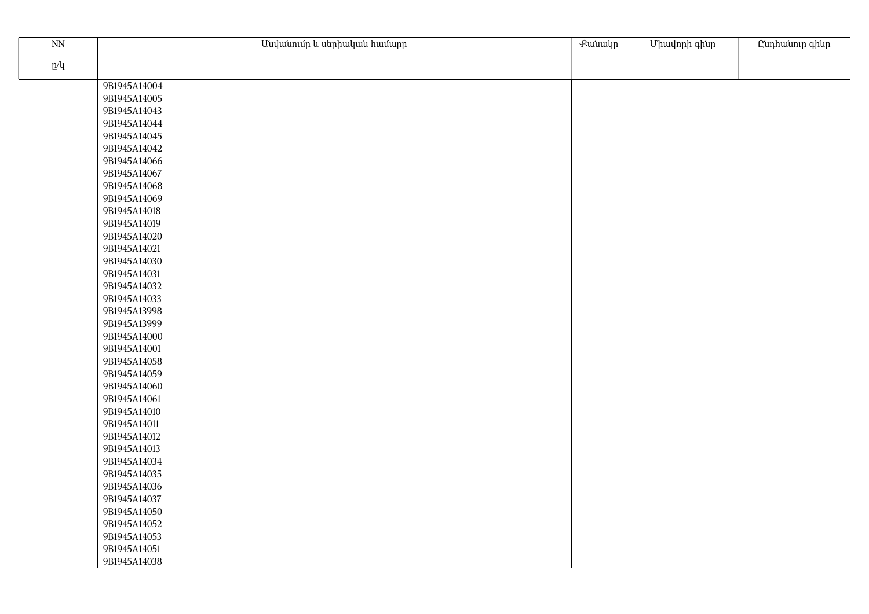| $\mathop{\rm NN}\nolimits$ | Անվանումը և սերիական համարը | Քանակը | Միավորի գինը | Ընդհանուր գինը |
|----------------------------|-----------------------------|--------|--------------|----------------|
| p/q                        |                             |        |              |                |
|                            |                             |        |              |                |
|                            | 9B1945A14004                |        |              |                |
|                            | 9B1945A14005                |        |              |                |
|                            | 9B1945A14043                |        |              |                |
|                            | 9B1945A14044                |        |              |                |
|                            | 9B1945A14045                |        |              |                |
|                            | 9B1945A14042                |        |              |                |
|                            | 9B1945A14066                |        |              |                |
|                            | 9B1945A14067                |        |              |                |
|                            | 9B1945A14068                |        |              |                |
|                            | 9B1945A14069                |        |              |                |
|                            | 9B1945A14018                |        |              |                |
|                            | 9B1945A14019                |        |              |                |
|                            | 9B1945A14020                |        |              |                |
|                            | 9B1945A14021                |        |              |                |
|                            | 9B1945A14030                |        |              |                |
|                            | 9B1945A14031                |        |              |                |
|                            | 9B1945A14032                |        |              |                |
|                            | 9B1945A14033                |        |              |                |
|                            | 9B1945A13998                |        |              |                |
|                            | 9B1945A13999                |        |              |                |
|                            | 9B1945A14000                |        |              |                |
|                            | 9B1945A14001                |        |              |                |
|                            | 9B1945A14058                |        |              |                |
|                            | 9B1945A14059                |        |              |                |
|                            | 9B1945A14060                |        |              |                |
|                            | 9B1945A14061                |        |              |                |
|                            | 9B1945A14010                |        |              |                |
|                            | 9B1945A14011                |        |              |                |
|                            | 9B1945A14012                |        |              |                |
|                            | 9B1945A14013                |        |              |                |
|                            | 9B1945A14034                |        |              |                |
|                            | 9B1945A14035                |        |              |                |
|                            | 9B1945A14036                |        |              |                |
|                            | 9B1945A14037                |        |              |                |
|                            | 9B1945A14050                |        |              |                |
|                            | 9B1945A14052                |        |              |                |
|                            | 9B1945A14053                |        |              |                |
|                            | 9B1945A14051                |        |              |                |
|                            | 9B1945A14038                |        |              |                |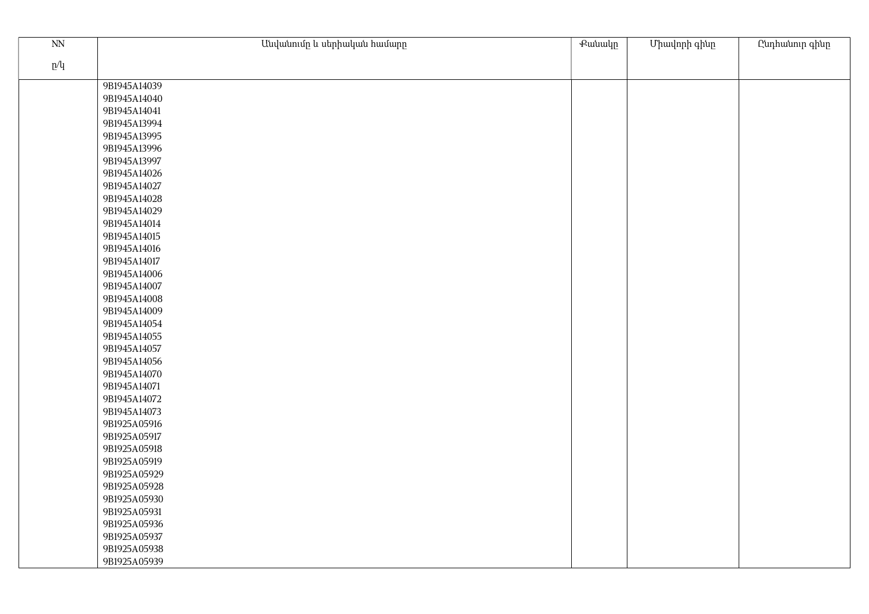| $\overline{\text{NN}}$<br>Անվանումը և սերիական համարը<br><b></b> eutuulp | Միավորի գինը<br>Ընդհանուր գինը |
|--------------------------------------------------------------------------|--------------------------------|
| $\underline{\textbf{n}}/\textbf{l}$                                      |                                |
|                                                                          |                                |
| 9B1945A14039                                                             |                                |
| 9B1945A14040                                                             |                                |
| 9B1945A14041                                                             |                                |
| 9B1945A13994                                                             |                                |
| 9B1945A13995                                                             |                                |
| 9B1945A13996                                                             |                                |
| 9B1945A13997                                                             |                                |
| 9B1945A14026                                                             |                                |
| 9B1945A14027                                                             |                                |
| 9B1945A14028                                                             |                                |
| 9B1945A14029                                                             |                                |
| 9B1945A14014                                                             |                                |
| 9B1945A14015                                                             |                                |
| 9B1945A14016                                                             |                                |
| 9B1945A14017                                                             |                                |
| 9B1945A14006<br>9B1945A14007                                             |                                |
| 9B1945A14008                                                             |                                |
| 9B1945A14009                                                             |                                |
| 9B1945A14054                                                             |                                |
| 9B1945A14055                                                             |                                |
| 9B1945A14057                                                             |                                |
| 9B1945A14056                                                             |                                |
| 9B1945A14070                                                             |                                |
| 9B1945A14071                                                             |                                |
| 9B1945A14072                                                             |                                |
| 9B1945A14073                                                             |                                |
| 9B1925A05916                                                             |                                |
| 9B1925A05917                                                             |                                |
| 9B1925A05918                                                             |                                |
| 9B1925A05919                                                             |                                |
| 9B1925A05929                                                             |                                |
| 9B1925A05928                                                             |                                |
| 9B1925A05930                                                             |                                |
| 9B1925A05931                                                             |                                |
| 9B1925A05936                                                             |                                |
| 9B1925A05937                                                             |                                |
| 9B1925A05938                                                             |                                |
| 9B1925A05939                                                             |                                |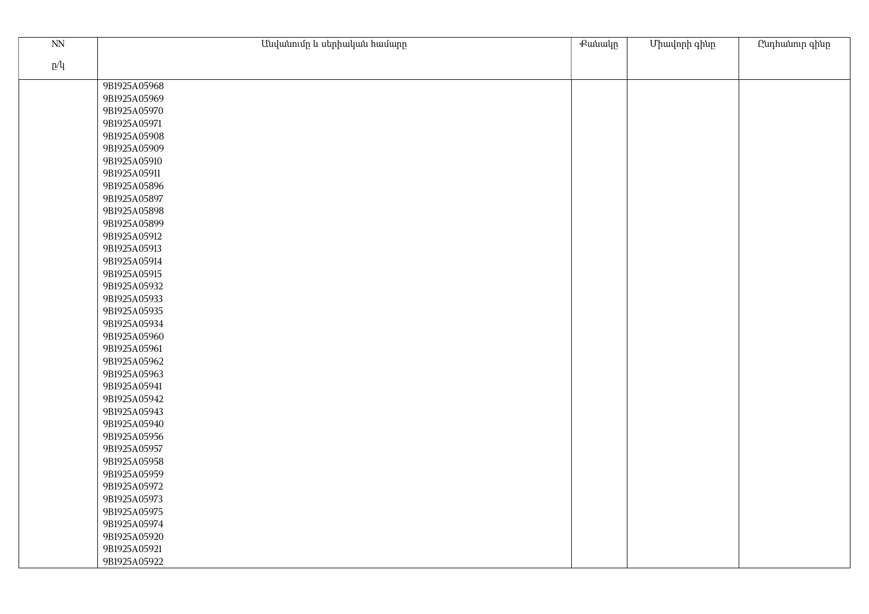| $\overline{\text{NN}}$ | Անվանումը և սերիական համարը | Քանակը | Միավորի գինը | Ընդհանուր գինը |
|------------------------|-----------------------------|--------|--------------|----------------|
| p/q                    |                             |        |              |                |
|                        |                             |        |              |                |
|                        | 9B1925A05968                |        |              |                |
|                        | 9B1925A05969                |        |              |                |
|                        | 9B1925A05970                |        |              |                |
|                        | 9B1925A05971                |        |              |                |
|                        | 9B1925A05908                |        |              |                |
|                        | 9B1925A05909                |        |              |                |
|                        | 9B1925A05910                |        |              |                |
|                        | 9B1925A05911                |        |              |                |
|                        | 9B1925A05896                |        |              |                |
|                        | 9B1925A05897                |        |              |                |
|                        | 9B1925A05898                |        |              |                |
|                        | 9B1925A05899                |        |              |                |
|                        | 9B1925A05912                |        |              |                |
|                        | 9B1925A05913                |        |              |                |
|                        | 9B1925A05914                |        |              |                |
|                        | 9B1925A05915                |        |              |                |
|                        | 9B1925A05932                |        |              |                |
|                        | 9B1925A05933                |        |              |                |
|                        | 9B1925A05935                |        |              |                |
|                        | 9B1925A05934                |        |              |                |
|                        | 9B1925A05960                |        |              |                |
|                        | 9B1925A05961                |        |              |                |
|                        | 9B1925A05962                |        |              |                |
|                        | 9B1925A05963                |        |              |                |
|                        | 9B1925A05941                |        |              |                |
|                        | 9B1925A05942                |        |              |                |
|                        | 9B1925A05943                |        |              |                |
|                        | 9B1925A05940                |        |              |                |
|                        | 9B1925A05956                |        |              |                |
|                        | 9B1925A05957                |        |              |                |
|                        | 9B1925A05958                |        |              |                |
|                        | 9B1925A05959                |        |              |                |
|                        | 9B1925A05972                |        |              |                |
|                        | 9B1925A05973                |        |              |                |
|                        | 9B1925A05975                |        |              |                |
|                        | 9B1925A05974                |        |              |                |
|                        | 9B1925A05920                |        |              |                |
|                        | 9B1925A05921                |        |              |                |
|                        | 9B1925A05922                |        |              |                |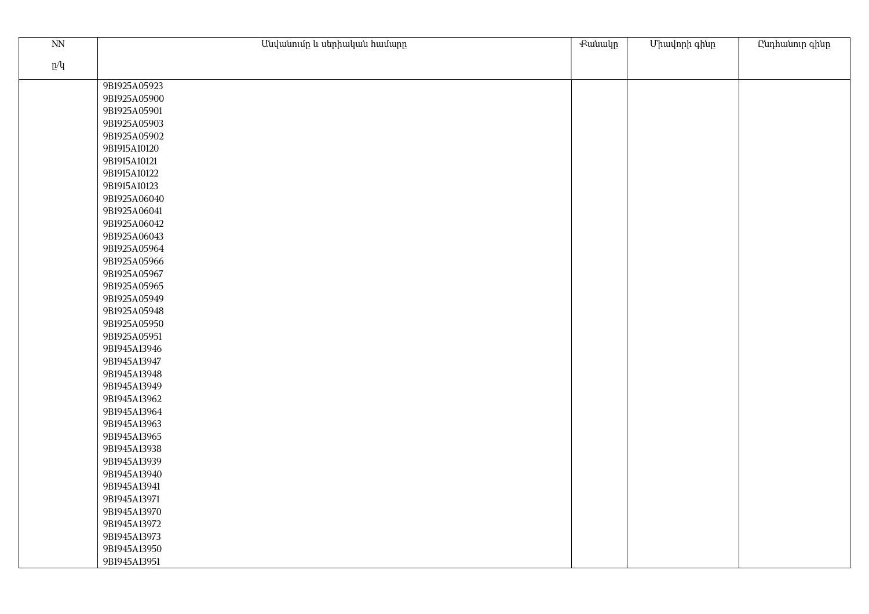| $\overline{\text{NN}}$ | Անվանումը և սերիական համարը | <b></b> | Միավորի գինը | <b>Cunhwunin</b> qhun |
|------------------------|-----------------------------|---------|--------------|-----------------------|
| p/q                    |                             |         |              |                       |
|                        |                             |         |              |                       |
|                        | 9B1925A05923                |         |              |                       |
|                        | 9B1925A05900                |         |              |                       |
|                        | 9B1925A05901                |         |              |                       |
|                        | 9B1925A05903                |         |              |                       |
|                        | 9B1925A05902                |         |              |                       |
|                        | 9B1915A10120                |         |              |                       |
|                        | 9B1915A10121                |         |              |                       |
|                        | 9B1915A10122                |         |              |                       |
|                        | 9B1915A10123                |         |              |                       |
|                        | 9B1925A06040                |         |              |                       |
|                        | 9B1925A06041                |         |              |                       |
|                        | 9B1925A06042                |         |              |                       |
|                        | 9B1925A06043                |         |              |                       |
|                        | 9B1925A05964                |         |              |                       |
|                        | 9B1925A05966                |         |              |                       |
|                        | 9B1925A05967                |         |              |                       |
|                        | 9B1925A05965                |         |              |                       |
|                        | 9B1925A05949                |         |              |                       |
|                        | 9B1925A05948                |         |              |                       |
|                        | 9B1925A05950                |         |              |                       |
|                        | 9B1925A05951                |         |              |                       |
|                        | 9B1945A13946                |         |              |                       |
|                        | 9B1945A13947                |         |              |                       |
|                        | 9B1945A13948                |         |              |                       |
|                        | 9B1945A13949                |         |              |                       |
|                        | 9B1945A13962                |         |              |                       |
|                        | 9B1945A13964                |         |              |                       |
|                        | 9B1945A13963                |         |              |                       |
|                        | 9B1945A13965                |         |              |                       |
|                        | 9B1945A13938                |         |              |                       |
|                        | 9B1945A13939                |         |              |                       |
|                        | 9B1945A13940                |         |              |                       |
|                        | 9B1945A13941                |         |              |                       |
|                        | 9B1945A13971                |         |              |                       |
|                        | 9B1945A13970                |         |              |                       |
|                        | 9B1945A13972                |         |              |                       |
|                        | 9B1945A13973                |         |              |                       |
|                        | 9B1945A13950                |         |              |                       |
|                        | 9B1945A13951                |         |              |                       |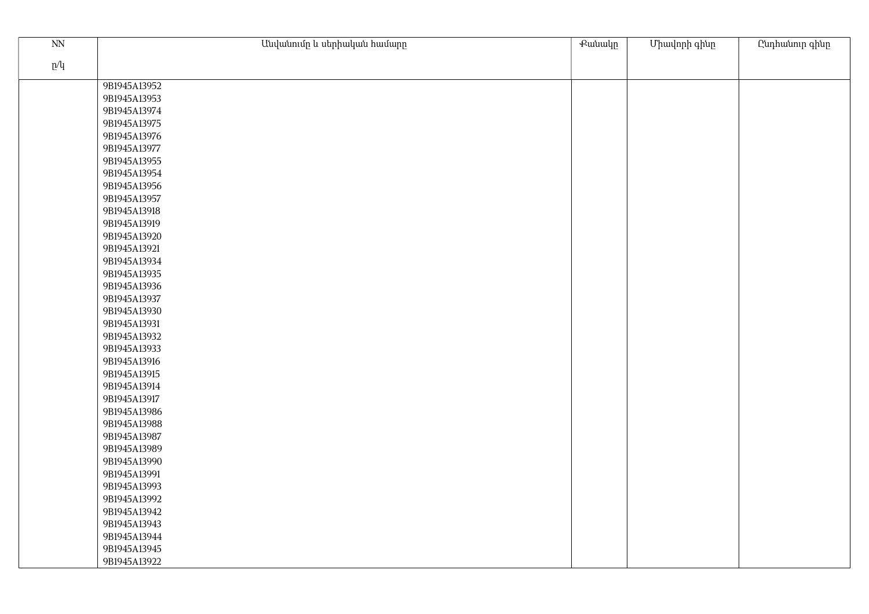| $\overline{\text{NN}}$                          | Անվանումը և սերիական համարը | Pwwwyp | Միավորի գինը | Ընդհանուր գինը |
|-------------------------------------------------|-----------------------------|--------|--------------|----------------|
| $\underline{\mathbf{p}}/\underline{\mathbf{q}}$ |                             |        |              |                |
|                                                 |                             |        |              |                |
|                                                 | 9B1945A13952                |        |              |                |
|                                                 | 9B1945A13953                |        |              |                |
|                                                 | 9B1945A13974                |        |              |                |
|                                                 | 9B1945A13975                |        |              |                |
|                                                 | 9B1945A13976                |        |              |                |
|                                                 | 9B1945A13977                |        |              |                |
|                                                 | 9B1945A13955                |        |              |                |
|                                                 | 9B1945A13954                |        |              |                |
|                                                 | 9B1945A13956                |        |              |                |
|                                                 | 9B1945A13957                |        |              |                |
|                                                 | 9B1945A13918                |        |              |                |
|                                                 | 9B1945A13919                |        |              |                |
|                                                 | 9B1945A13920                |        |              |                |
|                                                 | 9B1945A13921                |        |              |                |
|                                                 | 9B1945A13934                |        |              |                |
|                                                 | 9B1945A13935                |        |              |                |
|                                                 | 9B1945A13936                |        |              |                |
|                                                 | 9B1945A13937                |        |              |                |
|                                                 | 9B1945A13930                |        |              |                |
|                                                 | 9B1945A13931                |        |              |                |
|                                                 | 9B1945A13932                |        |              |                |
|                                                 | 9B1945A13933                |        |              |                |
|                                                 | 9B1945A13916                |        |              |                |
|                                                 | 9B1945A13915                |        |              |                |
|                                                 | 9B1945A13914                |        |              |                |
|                                                 | 9B1945A13917                |        |              |                |
|                                                 | 9B1945A13986                |        |              |                |
|                                                 | 9B1945A13988                |        |              |                |
|                                                 | 9B1945A13987                |        |              |                |
|                                                 | 9B1945A13989                |        |              |                |
|                                                 | 9B1945A13990                |        |              |                |
|                                                 | 9B1945A13991                |        |              |                |
|                                                 | 9B1945A13993                |        |              |                |
|                                                 | 9B1945A13992                |        |              |                |
|                                                 | 9B1945A13942                |        |              |                |
|                                                 | 9B1945A13943                |        |              |                |
|                                                 | 9B1945A13944                |        |              |                |
|                                                 | 9B1945A13945                |        |              |                |
|                                                 | 9B1945A13922                |        |              |                |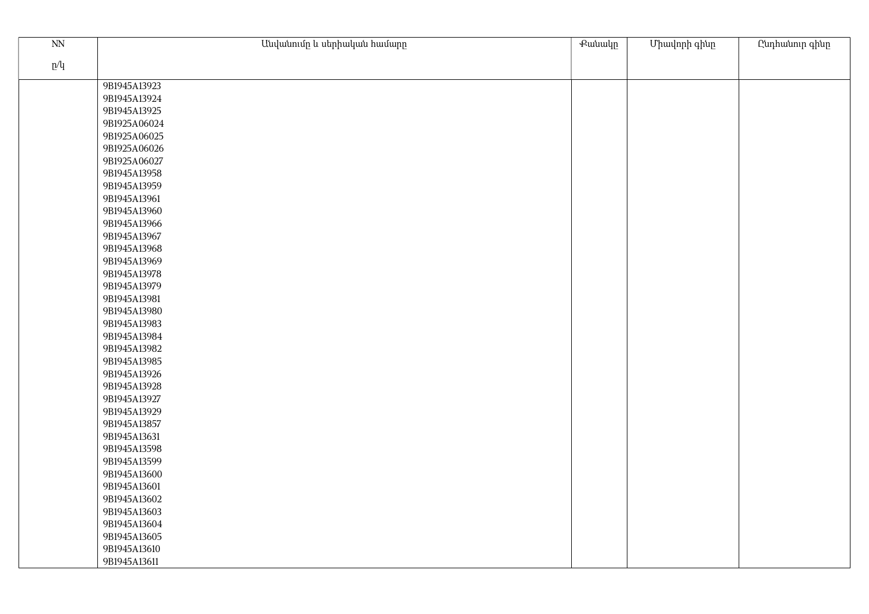| $\mathop{\rm NN}\nolimits$ | Անվանումը և սերիական համարը | Քանակը | Միավորի գինը | Ընդհանուր գինը |
|----------------------------|-----------------------------|--------|--------------|----------------|
| p/q                        |                             |        |              |                |
|                            |                             |        |              |                |
|                            | 9B1945A13923                |        |              |                |
|                            | 9B1945A13924                |        |              |                |
|                            | 9B1945A13925                |        |              |                |
|                            | 9B1925A06024                |        |              |                |
|                            | 9B1925A06025                |        |              |                |
|                            | 9B1925A06026                |        |              |                |
|                            | 9B1925A06027                |        |              |                |
|                            | 9B1945A13958                |        |              |                |
|                            | 9B1945A13959                |        |              |                |
|                            | 9B1945A13961                |        |              |                |
|                            | 9B1945A13960                |        |              |                |
|                            | 9B1945A13966                |        |              |                |
|                            | 9B1945A13967                |        |              |                |
|                            | 9B1945A13968                |        |              |                |
|                            | 9B1945A13969                |        |              |                |
|                            | 9B1945A13978                |        |              |                |
|                            | 9B1945A13979                |        |              |                |
|                            | 9B1945A13981                |        |              |                |
|                            | 9B1945A13980                |        |              |                |
|                            | 9B1945A13983                |        |              |                |
|                            | 9B1945A13984                |        |              |                |
|                            | 9B1945A13982                |        |              |                |
|                            | 9B1945A13985                |        |              |                |
|                            | 9B1945A13926                |        |              |                |
|                            | 9B1945A13928                |        |              |                |
|                            | 9B1945A13927                |        |              |                |
|                            | 9B1945A13929                |        |              |                |
|                            | 9B1945A13857                |        |              |                |
|                            | 9B1945A13631                |        |              |                |
|                            | 9B1945A13598                |        |              |                |
|                            | 9B1945A13599                |        |              |                |
|                            | 9B1945A13600                |        |              |                |
|                            | 9B1945A13601                |        |              |                |
|                            | 9B1945A13602                |        |              |                |
|                            | 9B1945A13603                |        |              |                |
|                            | 9B1945A13604                |        |              |                |
|                            | 9B1945A13605                |        |              |                |
|                            | 9B1945A13610                |        |              |                |
|                            | 9B1945A13611                |        |              |                |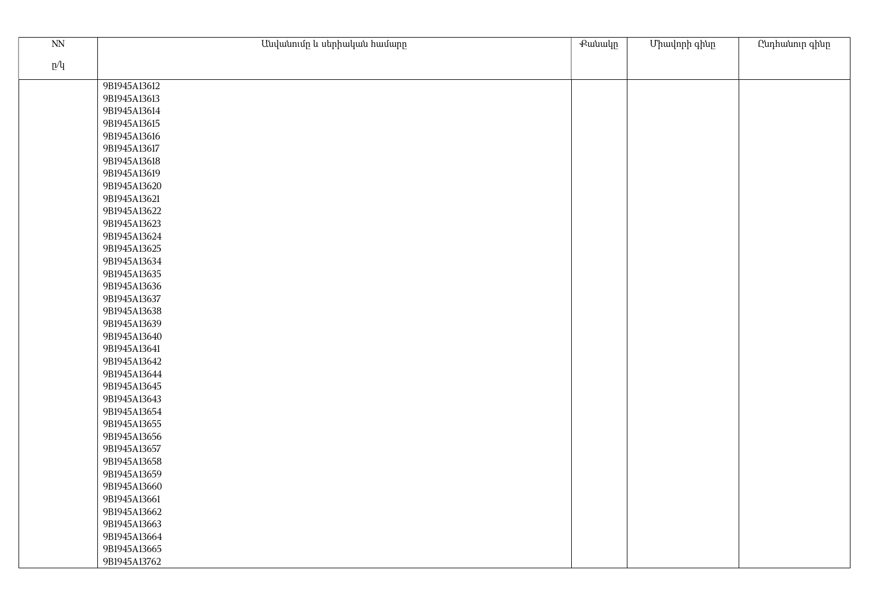| $\overline{\text{NN}}$ | Անվանումը և սերիական համարը | Քանակը | Միավորի գինը | Ընդհանուր գինը |
|------------------------|-----------------------------|--------|--------------|----------------|
| p/q                    |                             |        |              |                |
|                        |                             |        |              |                |
|                        | 9B1945A13612                |        |              |                |
|                        | 9B1945A13613                |        |              |                |
|                        | 9B1945A13614                |        |              |                |
|                        | 9B1945A13615                |        |              |                |
|                        | 9B1945A13616                |        |              |                |
|                        | 9B1945A13617                |        |              |                |
|                        | 9B1945A13618                |        |              |                |
|                        | 9B1945A13619                |        |              |                |
|                        | 9B1945A13620                |        |              |                |
|                        | 9B1945A13621                |        |              |                |
|                        | 9B1945A13622                |        |              |                |
|                        | 9B1945A13623                |        |              |                |
|                        | 9B1945A13624                |        |              |                |
|                        | 9B1945A13625                |        |              |                |
|                        | 9B1945A13634                |        |              |                |
|                        | 9B1945A13635                |        |              |                |
|                        | 9B1945A13636                |        |              |                |
|                        | 9B1945A13637                |        |              |                |
|                        | 9B1945A13638                |        |              |                |
|                        | 9B1945A13639                |        |              |                |
|                        | 9B1945A13640                |        |              |                |
|                        | 9B1945A13641                |        |              |                |
|                        | 9B1945A13642                |        |              |                |
|                        | 9B1945A13644                |        |              |                |
|                        | 9B1945A13645                |        |              |                |
|                        | 9B1945A13643                |        |              |                |
|                        | 9B1945A13654                |        |              |                |
|                        | 9B1945A13655                |        |              |                |
|                        | 9B1945A13656                |        |              |                |
|                        | 9B1945A13657                |        |              |                |
|                        | 9B1945A13658                |        |              |                |
|                        | 9B1945A13659                |        |              |                |
|                        | 9B1945A13660                |        |              |                |
|                        | 9B1945A13661                |        |              |                |
|                        | 9B1945A13662                |        |              |                |
|                        | 9B1945A13663                |        |              |                |
|                        | 9B1945A13664                |        |              |                |
|                        | 9B1945A13665                |        |              |                |
|                        | 9B1945A13762                |        |              |                |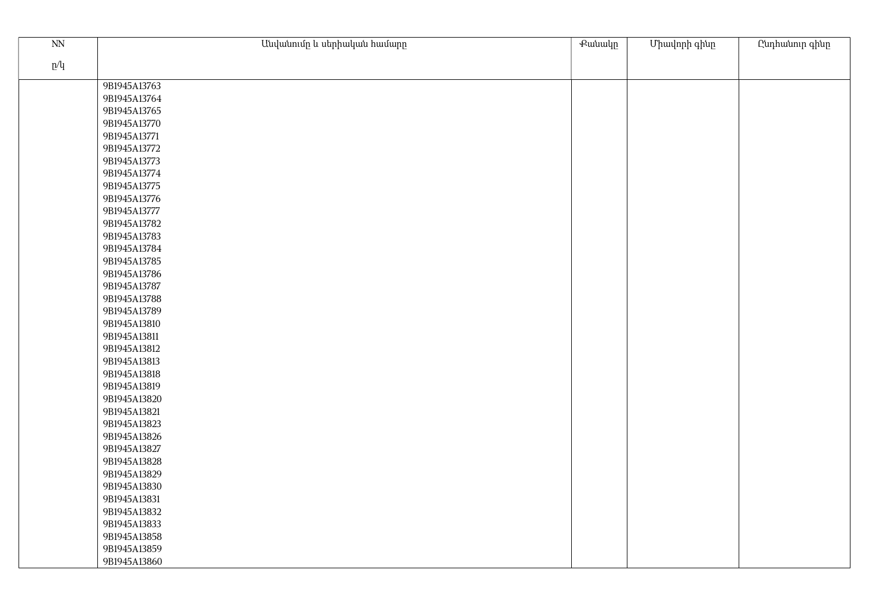| $\mathop{\rm NN}\nolimits$ | Անվանումը և սերիական համարը | Քանակը | Միավորի գինը | Ընդհանուր գինը |
|----------------------------|-----------------------------|--------|--------------|----------------|
| p/q                        |                             |        |              |                |
|                            |                             |        |              |                |
|                            | 9B1945A13763                |        |              |                |
|                            | 9B1945A13764                |        |              |                |
|                            | 9B1945A13765                |        |              |                |
|                            | 9B1945A13770                |        |              |                |
|                            | 9B1945A13771                |        |              |                |
|                            | 9B1945A13772                |        |              |                |
|                            | 9B1945A13773                |        |              |                |
|                            | 9B1945A13774                |        |              |                |
|                            | 9B1945A13775                |        |              |                |
|                            | 9B1945A13776                |        |              |                |
|                            | 9B1945A13777                |        |              |                |
|                            | 9B1945A13782                |        |              |                |
|                            | 9B1945A13783                |        |              |                |
|                            | 9B1945A13784                |        |              |                |
|                            | 9B1945A13785                |        |              |                |
|                            | 9B1945A13786                |        |              |                |
|                            | 9B1945A13787                |        |              |                |
|                            | 9B1945A13788                |        |              |                |
|                            | 9B1945A13789                |        |              |                |
|                            | 9B1945A13810                |        |              |                |
|                            | 9B1945A13811                |        |              |                |
|                            | 9B1945A13812                |        |              |                |
|                            | 9B1945A13813                |        |              |                |
|                            | 9B1945A13818                |        |              |                |
|                            | 9B1945A13819                |        |              |                |
|                            | 9B1945A13820                |        |              |                |
|                            | 9B1945A13821                |        |              |                |
|                            | 9B1945A13823                |        |              |                |
|                            | 9B1945A13826                |        |              |                |
|                            | 9B1945A13827                |        |              |                |
|                            | 9B1945A13828                |        |              |                |
|                            | 9B1945A13829                |        |              |                |
|                            | 9B1945A13830                |        |              |                |
|                            | 9B1945A13831                |        |              |                |
|                            | 9B1945A13832                |        |              |                |
|                            | 9B1945A13833                |        |              |                |
|                            | 9B1945A13858                |        |              |                |
|                            | 9B1945A13859                |        |              |                |
|                            | 9B1945A13860                |        |              |                |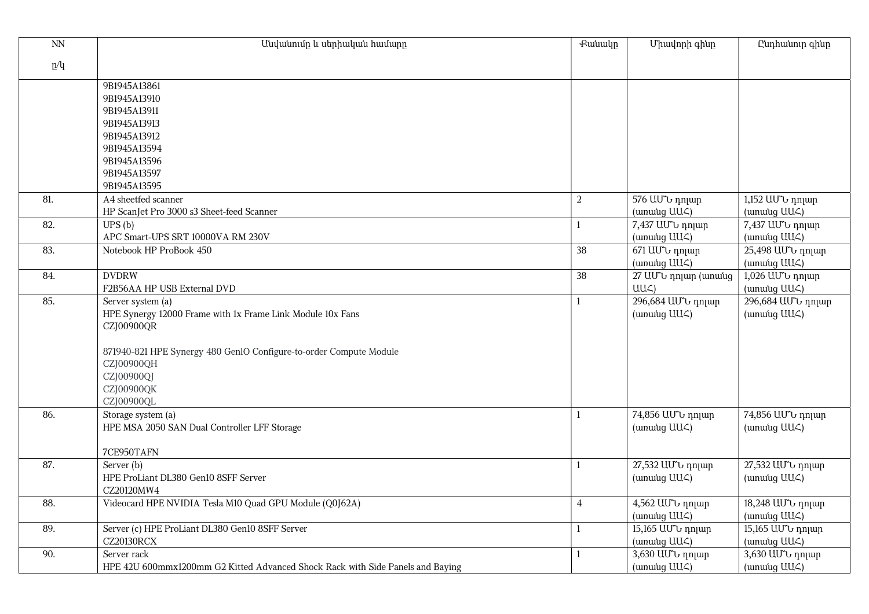| NN  | Անվանումը և սերիական համարը                                                                                                                                                                                                        | Pwwwlp         | Միավորի գինը                           | Ընդհանուր գինը                              |
|-----|------------------------------------------------------------------------------------------------------------------------------------------------------------------------------------------------------------------------------------|----------------|----------------------------------------|---------------------------------------------|
| p/q |                                                                                                                                                                                                                                    |                |                                        |                                             |
|     | 9B1945A13861<br>9B1945A13910<br>9B1945A13911<br>9B1945A13913<br>9B1945A13912<br>9B1945A13594<br>9B1945A13596<br>9B1945A13597                                                                                                       |                |                                        |                                             |
|     | 9B1945A13595                                                                                                                                                                                                                       |                |                                        |                                             |
| 81. | A4 sheetfed scanner<br>HP ScanJet Pro 3000 s3 Sheet-feed Scanner                                                                                                                                                                   | 2              | 576 ԱՄՆ դոլար<br>(unuing UU<)          | 1,152 UU Ն դոլար<br>(unuing UU<)            |
| 82. | UPS(b)<br>APC Smart-UPS SRT 10000VA RM 230V                                                                                                                                                                                        | $\mathbf{1}$   | 7,437 UU Ն դոլար<br>(unuing UU<)       | 7,437 UU <sup>t</sup> դոլար<br>(unuing UU<) |
| 83. | Notebook HP ProBook 450                                                                                                                                                                                                            | 38             | 671 UU" u nnjum<br>(unutug UU<)        | 25,498 UU Ն դոլար<br>(unuing UU<)           |
| 84. | <b>DVDRW</b><br>F2B56AA HP USB External DVD                                                                                                                                                                                        | 38             | 27 UU v nnun (wnwug<br>$UU\mathcal{L}$ | 1,026 UU'U nnun<br>(unuing UU<)             |
| 85. | Server system (a)<br>HPE Synergy 12000 Frame with 1x Frame Link Module 10x Fans<br>CZJ00900QR<br>871940-821 HPE Synergy 480 GenlO Configure-to-order Compute Module<br>CZJ00900QH<br>CZJ00900QJ<br><b>CZJ00900QK</b><br>CZJ00900QL | $\mathbf{1}$   | 296,684 UU v nnun<br>(unuing UU<)      | 296,684 UU Ն դոլար<br>(unuing UU<)          |
| 86. | Storage system (a)<br>HPE MSA 2050 SAN Dual Controller LFF Storage<br>7CE950TAFN                                                                                                                                                   | $\mathbf{1}$   | 74,856 ԱՄՆ դոլար<br>(unutug UU<)       | 74,856 ԱՄՆ դոլար<br>(unuing UU<)            |
| 87. | Server (b)<br>HPE ProLiant DL380 Gen10 8SFF Server<br>CZ20120MW4                                                                                                                                                                   | $\mathbf{1}$   | 27,532 UU Ն դոլար<br>(unutug UU<)      | 27,532 UU Ն դոլար<br>(unuing UU<)           |
| 88. | Videocard HPE NVIDIA Tesla M10 Quad GPU Module (Q0J62A)                                                                                                                                                                            | $\overline{4}$ | 4,562 UU t դոլար<br>(unuing UUC)       | 18,248 UU Ն դոլար<br>(unuing UU<)           |
| 89. | Server (c) HPE ProLiant DL380 Gen10 8SFF Server<br><b>CZ20130RCX</b>                                                                                                                                                               | $\mathbf{1}$   | 15,165 ԱՄՆ դոլար<br>(unuing UUC)       | 15,165 ԱՄՆ դոլար<br>(unuing UU<)            |
| 90. | Server rack<br>HPE 42U 600mmx1200mm G2 Kitted Advanced Shock Rack with Side Panels and Baying                                                                                                                                      | 1              | 3,630 UU Երրար<br>(unuing UU<)         | 3,630 UU b nnun<br>(unuing UU<)             |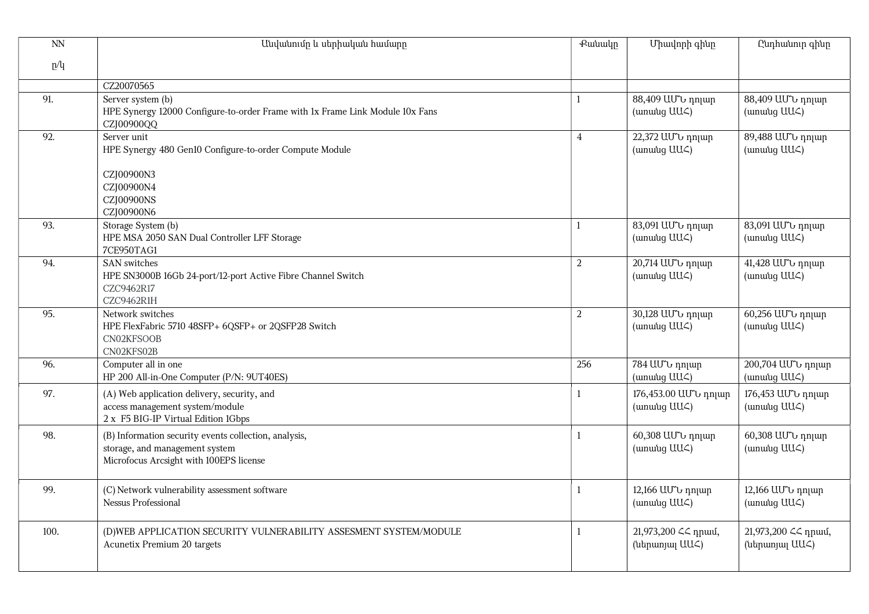| $\mathop{\rm NN}\nolimits$ | Անվանումը և սերիական համարը                                                                 | <b>Putuulp</b> | Միավորի գինը                      | Ընդհանուր գինը                               |
|----------------------------|---------------------------------------------------------------------------------------------|----------------|-----------------------------------|----------------------------------------------|
| p/q                        |                                                                                             |                |                                   |                                              |
|                            | CZ20070565                                                                                  |                |                                   |                                              |
| 91.                        | Server system (b)                                                                           | $\mathbf{1}$   | 88,409 ԱՄՆ դոլար                  | 88,409 UU Ն դոլար                            |
|                            | HPE Synergy 12000 Configure-to-order Frame with 1x Frame Link Module 10x Fans<br>CZJ00900QQ |                | (unuung UUC)                      | (unuing UU<)                                 |
| 92.                        | Server unit<br>HPE Synergy 480 Gen10 Configure-to-order Compute Module                      | $\overline{4}$ | 22,372 UU Ն դոլար<br>(unuing UUC) | 89,488 UU <sup>t</sup> դոլար<br>(unuing UU<) |
|                            |                                                                                             |                |                                   |                                              |
|                            | CZJ00900N3                                                                                  |                |                                   |                                              |
|                            | CZJ00900N4                                                                                  |                |                                   |                                              |
|                            | CZJ00900NS                                                                                  |                |                                   |                                              |
|                            | CZJ00900N6                                                                                  |                |                                   |                                              |
| 93.                        | Storage System (b)                                                                          |                | 83,091 UU <sup>+</sup> դոլար      | 83,091 UU <sup>t</sup> դոլար                 |
|                            | HPE MSA 2050 SAN Dual Controller LFF Storage<br>7CE950TAG1                                  |                | (unuuug UU<)                      | (unuing UU<)                                 |
| 94.                        | SAN switches                                                                                | 2              | 20,714 ԱՄՆ դոլար                  | 41,428 UU Ն դոլար                            |
|                            | HPE SN3000B 16Gb 24-port/12-port Active Fibre Channel Switch                                |                | (unuung UUC)                      | (unuing UU<)                                 |
|                            | CZC9462R17                                                                                  |                |                                   |                                              |
|                            | CZC9462R1H                                                                                  |                |                                   |                                              |
| 95.                        | Network switches                                                                            | 2              | 30,128 UU Ն դոլար                 | 60,256 ԱՄՆ դոլար                             |
|                            | HPE FlexFabric 5710 48SFP+ 6QSFP+ or 2QSFP28 Switch                                         |                | (unuing UU<)                      | (unuuug UU<)                                 |
|                            | CN02KFSOOB<br>CN02KFS02B                                                                    |                |                                   |                                              |
| 96.                        | Computer all in one                                                                         | 256            | 784 ԱՄՆ դոլար                     | 200,704 UU Ն դոլար                           |
|                            | HP 200 All-in-One Computer (P/N: 9UT40ES)                                                   |                | (unuing UU<)                      | (unuing UU∠)                                 |
| 97.                        | (A) Web application delivery, security, and                                                 | $\mathbf{1}$   | 176,453.00 UU Ն դոլար             | 176,453 UU Ն դոլար                           |
|                            | access management system/module                                                             |                | (unuuug UU∠)                      | (unuing UU<)                                 |
|                            | 2 x F5 BIG-IP Virtual Edition 1Gbps                                                         |                |                                   |                                              |
| 98.                        | (B) Information security events collection, analysis,                                       | $\mathbf{1}$   | 60,308 ԱՄՆ դոլար                  | 60,308 ԱՄՆ դոլար                             |
|                            | storage, and management system                                                              |                | (unuing UU∠)                      | (unuing UU<)                                 |
|                            | Microfocus Arcsight with 100EPS license                                                     |                |                                   |                                              |
|                            |                                                                                             |                |                                   |                                              |
| 99.                        | (C) Network vulnerability assessment software                                               | $\mathbf{1}$   | 12,166 UU Ն դոլար                 | 12,166 UU Ն դոլար                            |
|                            | Nessus Professional                                                                         |                | (unuing UUC)                      | (unuung UU<)                                 |
|                            |                                                                                             |                |                                   |                                              |
| 100.                       | (D)WEB APPLICATION SECURITY VULNERABILITY ASSESMENT SYSTEM/MODULE                           | 1              | 21,973,200 << npuul,              | 21,973,200 << <a>&lt;</a> 1,973,200 <        |
|                            | Acunetix Premium 20 targets                                                                 |                | (ներառյալ UU<)                    | (utmunjuj UU<)                               |
|                            |                                                                                             |                |                                   |                                              |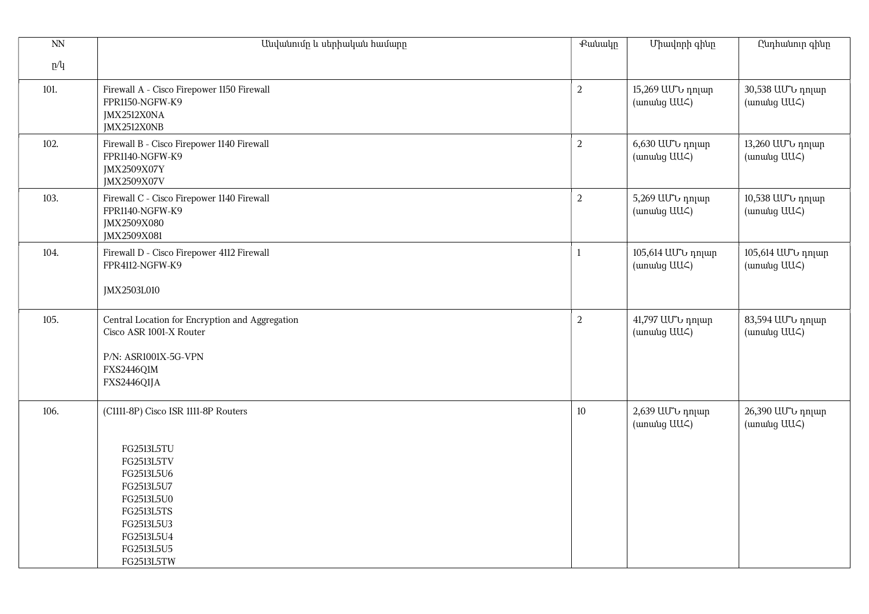| $\overline{NN}$ | Անվանումը և սերիական համարը                                                                                                                                                                    | Pwwwlp         | Միավորի գինը                      | Ընդհանուր գինը                               |
|-----------------|------------------------------------------------------------------------------------------------------------------------------------------------------------------------------------------------|----------------|-----------------------------------|----------------------------------------------|
| p/q             |                                                                                                                                                                                                |                |                                   |                                              |
| 101.            | Firewall A - Cisco Firepower 1150 Firewall<br>FPR1150-NGFW-K9<br>JMX2512X0NA<br>JMX2512X0NB                                                                                                    | $\overline{a}$ | 15,269 ԱՄՆ դոլար<br>(unung UUC)   | 30,538 UU Ն դոլար<br>(unuutig UU<)           |
| 102.            | Firewall B - Cisco Firepower 1140 Firewall<br>FPR1140-NGFW-K9<br>JMX2509X07Y<br>JMX2509X07V                                                                                                    | $\overline{a}$ | 6,630 ԱՄՆ դոլար<br>(unung UUC)    | 13,260 UU <sup>T</sup> դոլար<br>(unuing UU<) |
| 103.            | Firewall C - Cisco Firepower 1140 Firewall<br>FPR1140-NGFW-K9<br>JMX2509X080<br>JMX2509X081                                                                                                    | $\overline{a}$ | 5,269 ԱՄՆ դոլար<br>(unuing UU<)   | 10,538 UU Ն դոլար<br>(unuutig UU<)           |
| 104.            | Firewall D - Cisco Firepower 4112 Firewall<br>FPR4112-NGFW-K9<br>JMX2503L010                                                                                                                   | $\mathbf{1}$   | 105,614 ԱՄՆ դոլար<br>(unuing UU<) | 105,614 ԱՄՆ դոլար<br>(unuing UU<)            |
| 105.            | Central Location for Encryption and Aggregation<br>Cisco ASR 1001-X Router<br>P/N: ASR1001X-5G-VPN<br><b>FXS2446Q1M</b><br>FXS2446Q1JA                                                         | $\overline{a}$ | 41,797 UU Ն դոլար<br>(unuing UU<) | 83,594 ԱՄՆ դոլար<br>(unuing UU<)             |
| 106.            | (C1111-8P) Cisco ISR 1111-8P Routers<br><b>FG2513L5TU</b><br>FG2513L5TV<br>FG2513L5U6<br>FG2513L5U7<br>FG2513L5U0<br><b>FG2513L5TS</b><br>FG2513L5U3<br>FG2513L5U4<br>FG2513L5U5<br>FG2513L5TW | 10             | 2,639 UU Ն դոլար<br>(unuing UU<)  | 26,390 UU Երրար<br>(unuing UU<)              |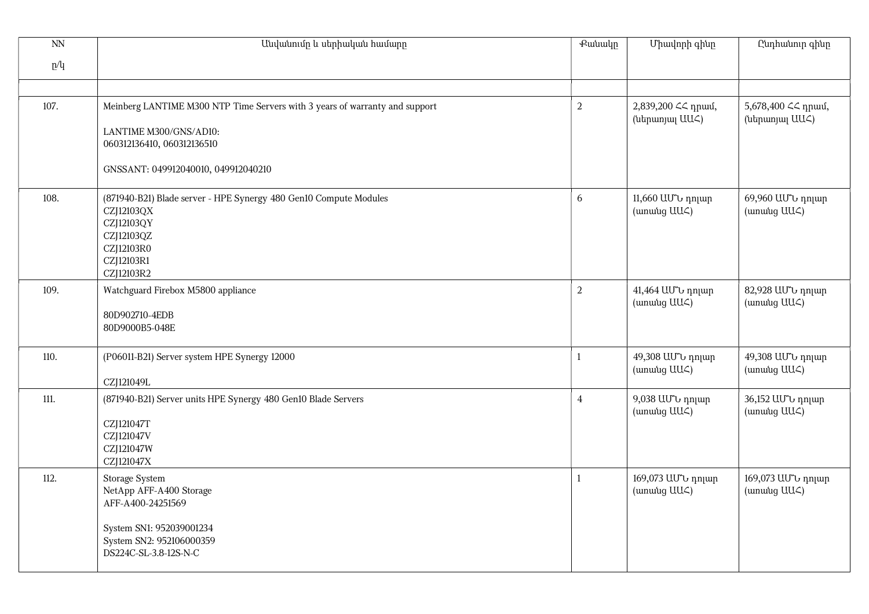| $\overline{NN}$ | Անվանումը և սերիական համարը                                                                                                                                                | Pwwwlp         | Միավորի գինը                                | Ընդհանուր գինը                       |
|-----------------|----------------------------------------------------------------------------------------------------------------------------------------------------------------------------|----------------|---------------------------------------------|--------------------------------------|
| p/q             |                                                                                                                                                                            |                |                                             |                                      |
|                 |                                                                                                                                                                            |                |                                             |                                      |
| 107.            | Meinberg LANTIME M300 NTP Time Servers with 3 years of warranty and support<br>LANTIME M300/GNS/AD10:<br>060312136410, 060312136510<br>GNSSANT: 049912040010, 049912040210 | $\overline{a}$ | 2,839,200 ∠∠ դրամ,<br>(utipunjuj UU<)       | 5,678,400 << npmu,<br>(utmunjuj UU<) |
| 108.            | (871940-B21) Blade server - HPE Synergy 480 Gen10 Compute Modules<br>CZJ12103QX<br>CZJ12103QY<br>CZJ12103QZ<br>CZJ12103R0<br>CZJ12103R1<br>CZJ12103R2                      | 6              | 11,660 ԱՄՆ դոլար<br>(unuing UU<)            | 69,960 ԱՄՆ դոլար<br>(unuing UU<)     |
| 109.            | Watchguard Firebox M5800 appliance<br>80D902710-4EDB<br>80D9000B5-048E                                                                                                     | $\overline{2}$ | 41,464 UU Ն դոլար<br>(unuing UU<)           | 82,928 UU Ն դոլար<br>(unuing UU<)    |
| 110.            | (P06011-B21) Server system HPE Synergy 12000<br>CZJ121049L                                                                                                                 | $\mathbf{1}$   | 49,308 UU Ն դոլար<br>(unuing UU<)           | 49,308 UU Ն դոլար<br>(unuing UU<)    |
| 111.            | (871940-B21) Server units HPE Synergy 480 Gen10 Blade Servers<br>CZJ121047T<br>CZJ121047V<br>CZJ121047W<br>CZJ121047X                                                      | $\overline{4}$ | 9,038 UU <sup>t</sup> դոլար<br>(unuing UU<) | 36,152 ԱՄՆ դոլար<br>(unuing UU<)     |
| 112.            | Storage System<br>NetApp AFF-A400 Storage<br>AFF-A400-24251569<br>System SN1: 952039001234<br>System SN2: 952106000359<br>DS224C-SL-3.8-12S-N-C                            | 1              | 169,073 UU Ն դոլար<br>(unuitg UU<)          | 169,073 UU Ն դոլար<br>(unuing UU<)   |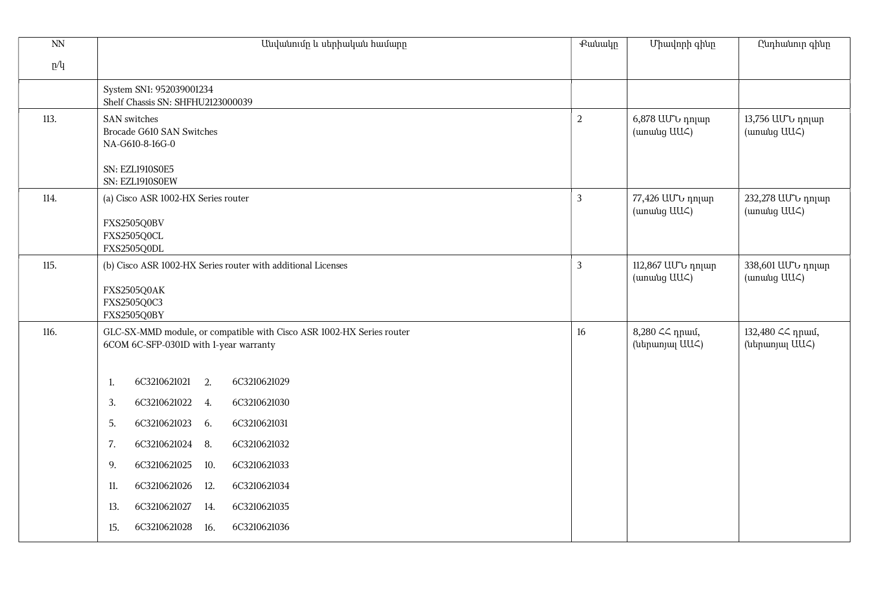| $\overline{NN}$ | Անվանումը և սերիական համարը                                                                                                                                                                                                                                                                                                                                                                                                  | Pwwwlp         | Միավորի գինը                       | Ընդհանուր գինը                      |
|-----------------|------------------------------------------------------------------------------------------------------------------------------------------------------------------------------------------------------------------------------------------------------------------------------------------------------------------------------------------------------------------------------------------------------------------------------|----------------|------------------------------------|-------------------------------------|
| p/q             |                                                                                                                                                                                                                                                                                                                                                                                                                              |                |                                    |                                     |
|                 | System SN1: 952039001234<br>Shelf Chassis SN: SHFHU2123000039                                                                                                                                                                                                                                                                                                                                                                |                |                                    |                                     |
| 113.            | SAN switches<br>Brocade G610 SAN Switches<br>NA-G610-8-16G-0<br><b>SN: EZL1910S0E5</b><br>SN: EZL1910S0EW                                                                                                                                                                                                                                                                                                                    | $\overline{a}$ | 6,878 ԱՄՆ դոլար<br>(unuing UU<)    | 13,756 ԱՄՆ դոլար<br>(unuing UU<)    |
| 114.            | (a) Cisco ASR 1002-HX Series router<br>FXS2505Q0BV<br>FXS2505Q0CL<br>FXS2505Q0DL                                                                                                                                                                                                                                                                                                                                             | 3              | 77,426 UU Ն դոլար<br>(unuing UUC)  | 232,278 UU Ն դոլար<br>(unuing UU<)  |
| 115.            | (b) Cisco ASR 1002-HX Series router with additional Licenses<br>FXS2505Q0AK<br>FXS2505Q0C3<br>FXS2505Q0BY                                                                                                                                                                                                                                                                                                                    | $\mathfrak{Z}$ | 112,867 UU Ն դոլար<br>(unuing UU<) | 338,601 UU Ն դոլար<br>(unuing UUC)  |
| 116.            | GLC-SX-MMD module, or compatible with Cisco ASR 1002-HX Series router<br>6COM 6C-SFP-0301D with 1-year warranty<br>6C3210621021 2.<br>6C3210621029<br>1.<br>3.<br>6C3210621022 4.<br>6C3210621030<br>5.<br>6C3210621023 6.<br>6C3210621031<br>7.<br>6C3210621024 8.<br>6C3210621032<br>9.<br>6C3210621025<br>6C3210621033<br>10.<br>11.<br>6C3210621026<br>6C3210621034<br>12.<br>6C3210621027<br>6C3210621035<br>13.<br>14. | 16             | 8,280 << npuu 0,<br>(ներառյալ UUՀ) | 132,480 ∠< դրամ,<br>(utipunjul UU<) |
|                 | 15.<br>6C3210621028<br>16.<br>6C3210621036                                                                                                                                                                                                                                                                                                                                                                                   |                |                                    |                                     |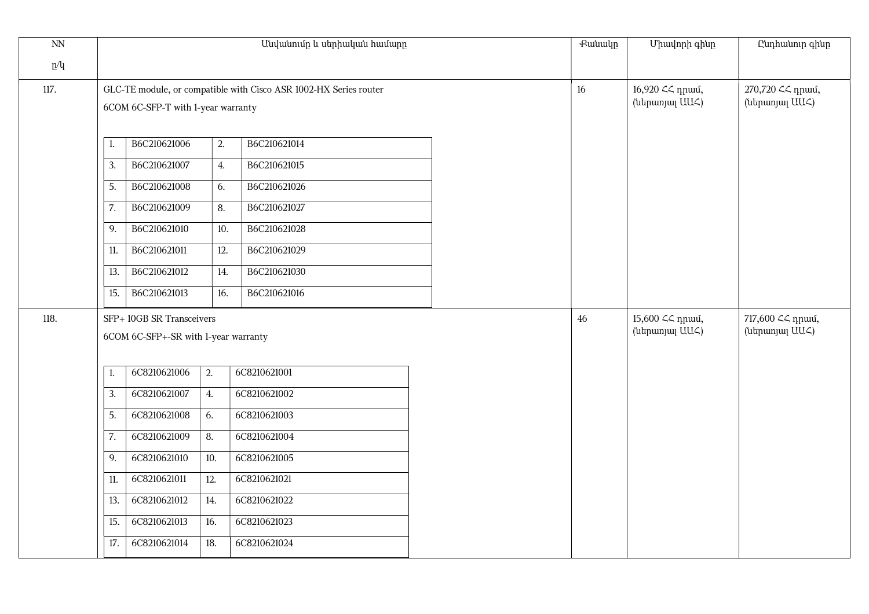| $\overline{NN}$ |                                      | Անվանումը և սերիական համարը                                       | <b></b> eutuulp | Միավորի գինը | Ընդհանուր գինը                     |                                     |
|-----------------|--------------------------------------|-------------------------------------------------------------------|-----------------|--------------|------------------------------------|-------------------------------------|
| p/q             |                                      |                                                                   |                 |              |                                    |                                     |
| 117.            |                                      | GLC-TE module, or compatible with Cisco ASR 1002-HX Series router |                 | 16           | 16,920 << npuu,<br>(utipunjuj UU<) | 270,720 << npuu,<br>(utipunjul UU<) |
|                 | 6COM 6C-SFP-T with 1-year warranty   |                                                                   |                 |              |                                    |                                     |
|                 |                                      |                                                                   |                 |              |                                    |                                     |
|                 | B6C210621006<br>1.                   | B6C210621014<br>2.                                                |                 |              |                                    |                                     |
|                 | B6C210621007<br>3.                   | B6C210621015<br>4.                                                |                 |              |                                    |                                     |
|                 | B6C210621008<br>5.                   | B6C210621026<br>6.                                                |                 |              |                                    |                                     |
|                 | B6C210621009<br>7.                   | B6C210621027<br>8.                                                |                 |              |                                    |                                     |
|                 | B6C210621010<br>9.                   | B6C210621028<br>10.                                               |                 |              |                                    |                                     |
|                 | B6C210621011<br>11.                  | 12.<br>B6C210621029                                               |                 |              |                                    |                                     |
|                 | B6C210621012<br>13.                  | B6C210621030<br>14.                                               |                 |              |                                    |                                     |
|                 | B6C210621013<br>15.                  | B6C210621016<br>16.                                               |                 |              |                                    |                                     |
| 118.            | SFP+10GB SR Transceivers             |                                                                   |                 | 46           | 15,600 << npuu,                    | 717,600 << npuu,                    |
|                 | 6COM 6C-SFP+-SR with 1-year warranty |                                                                   |                 |              | (utmunjuj UU<)                     | (utipunjuj UU<)                     |
|                 |                                      |                                                                   |                 |              |                                    |                                     |
|                 | 6C8210621006<br>2.<br>-1.            | 6C8210621001                                                      |                 |              |                                    |                                     |
|                 | 6C8210621007<br>3.<br>4.             | 6C8210621002                                                      |                 |              |                                    |                                     |
|                 | 6C8210621008<br>5.<br>6.             | 6C8210621003                                                      |                 |              |                                    |                                     |
|                 | 6C8210621009<br>7.<br>8.             | 6C8210621004                                                      |                 |              |                                    |                                     |
|                 | 6C8210621010<br>9.                   | 6C8210621005<br>10.                                               |                 |              |                                    |                                     |
|                 | 6C8210621011<br>12.<br>11.           | 6C8210621021                                                      |                 |              |                                    |                                     |
|                 | 6C8210621012<br>13.                  | 6C8210621022<br>14.                                               |                 |              |                                    |                                     |
|                 | 6C8210621013<br>15.                  | 6C8210621023<br>16.                                               |                 |              |                                    |                                     |
|                 | 18.<br>17.<br>6C8210621014           | 6C8210621024                                                      |                 |              |                                    |                                     |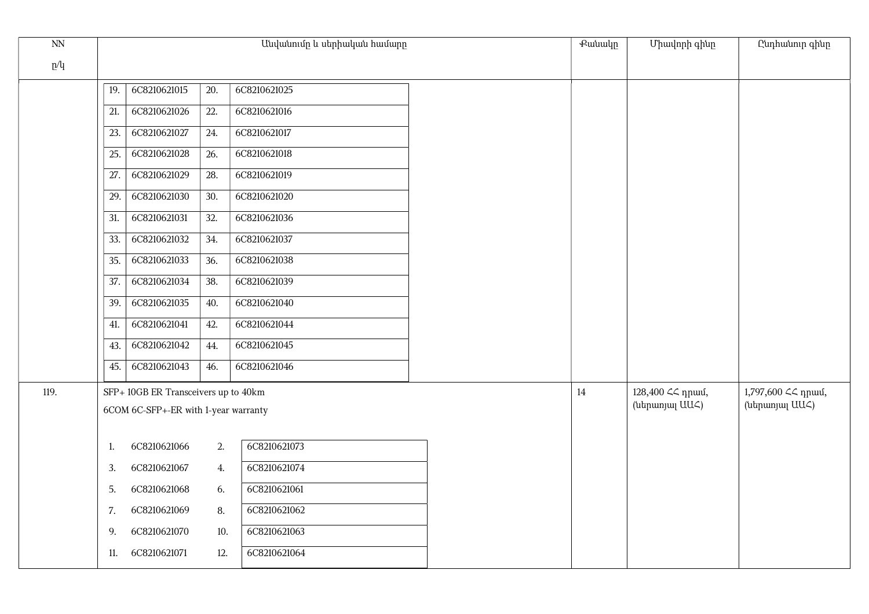| N <sub>N</sub> | Անվանումը և սերիական համարը |                                      |     |              | Քանակը | Միավորի գինը | <b>Cunhwunin</b> qhun |                    |
|----------------|-----------------------------|--------------------------------------|-----|--------------|--------|--------------|-----------------------|--------------------|
| p/q            |                             |                                      |     |              |        |              |                       |                    |
|                | 19.                         | 6C8210621015                         | 20. | 6C8210621025 |        |              |                       |                    |
|                | 21.                         | 6C8210621026                         | 22. | 6C8210621016 |        |              |                       |                    |
|                | 23.                         | 6C8210621027                         | 24. | 6C8210621017 |        |              |                       |                    |
|                | 25.                         | 6C8210621028                         | 26. | 6C8210621018 |        |              |                       |                    |
|                | 27.                         | 6C8210621029                         | 28. | 6C8210621019 |        |              |                       |                    |
|                | 29.                         | 6C8210621030                         | 30. | 6C8210621020 |        |              |                       |                    |
|                | 31.                         | 6C8210621031                         | 32. | 6C8210621036 |        |              |                       |                    |
|                | 33.                         | 6C8210621032                         | 34. | 6C8210621037 |        |              |                       |                    |
|                | 35.                         | 6C8210621033                         | 36. | 6C8210621038 |        |              |                       |                    |
|                | 37.                         | 6C8210621034                         | 38. | 6C8210621039 |        |              |                       |                    |
|                | 39.                         | 6C8210621035                         | 40. | 6C8210621040 |        |              |                       |                    |
|                | 41.                         | 6C8210621041                         | 42. | 6C8210621044 |        |              |                       |                    |
|                | 43.                         | 6C8210621042                         | 44. | 6C8210621045 |        |              |                       |                    |
|                | 45.                         | 6C8210621043                         | 46. | 6C8210621046 |        |              |                       |                    |
| 119.           |                             | SFP+ 10GB ER Transceivers up to 40km |     |              |        | $14\,$       | 128,400 ∠< դրամ,      | 1,797,600 << npuu, |
|                |                             | 6COM 6C-SFP+-ER with 1-year warranty |     |              |        |              | (utmunjul UU<)        | (ներառյալ UU<)     |
|                | 1.                          | 6C8210621066                         | 2.  | 6C8210621073 |        |              |                       |                    |
|                | 3.                          | 6C8210621067                         | 4.  | 6C8210621074 |        |              |                       |                    |
|                | 5.                          | 6C8210621068                         | 6.  | 6C8210621061 |        |              |                       |                    |
|                | 7.                          | 6C8210621069                         | 8.  | 6C8210621062 |        |              |                       |                    |
|                |                             | 6C8210621070                         |     | 6C8210621063 |        |              |                       |                    |
|                | 9.                          |                                      | 10. | 6C8210621064 |        |              |                       |                    |
|                | 11.                         | 6C8210621071                         | 12. |              |        |              |                       |                    |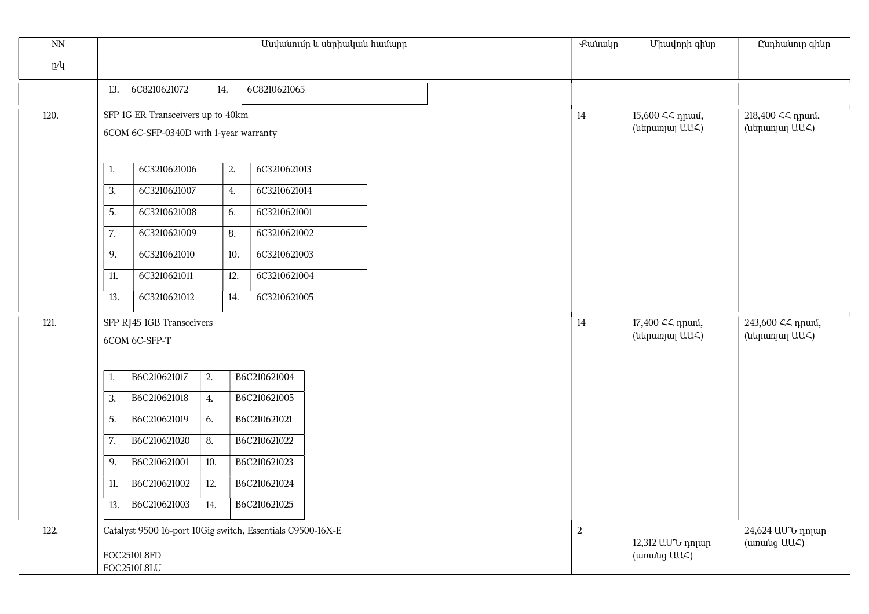|                                        | Անվանումը և սերիական համարը |                                                                                                                                 |                                                     |                                                                                                                                                                                                                                                                      |  |                 | Միավորի գինը                   | Ընդհանուր գինը                                        |
|----------------------------------------|-----------------------------|---------------------------------------------------------------------------------------------------------------------------------|-----------------------------------------------------|----------------------------------------------------------------------------------------------------------------------------------------------------------------------------------------------------------------------------------------------------------------------|--|-----------------|--------------------------------|-------------------------------------------------------|
|                                        |                             |                                                                                                                                 |                                                     |                                                                                                                                                                                                                                                                      |  |                 |                                |                                                       |
|                                        |                             | 14.                                                                                                                             | 6C8210621065                                        |                                                                                                                                                                                                                                                                      |  |                 |                                |                                                       |
|                                        |                             |                                                                                                                                 |                                                     |                                                                                                                                                                                                                                                                      |  | $14\phantom{.}$ | 15,600 ՀՀ դրամ,                | 218,400 ∠< դրամ,<br>(ներառյալ UUՀ)                    |
| 6COM 6C-SFP-0340D with 1-year warranty |                             |                                                                                                                                 |                                                     |                                                                                                                                                                                                                                                                      |  |                 |                                |                                                       |
| 1.                                     | 6C3210621006                | 2.                                                                                                                              | 6C3210621013                                        |                                                                                                                                                                                                                                                                      |  |                 |                                |                                                       |
| 3.                                     | 6C3210621007                | 4.                                                                                                                              | 6C3210621014                                        |                                                                                                                                                                                                                                                                      |  |                 |                                |                                                       |
| 5.                                     | 6C3210621008                | 6.                                                                                                                              | 6C3210621001                                        |                                                                                                                                                                                                                                                                      |  |                 |                                |                                                       |
| 7.                                     | 6C3210621009                | 8.                                                                                                                              | 6C3210621002                                        |                                                                                                                                                                                                                                                                      |  |                 |                                |                                                       |
| 9.                                     | 6C3210621010                |                                                                                                                                 | 6C3210621003                                        |                                                                                                                                                                                                                                                                      |  |                 |                                |                                                       |
|                                        |                             |                                                                                                                                 |                                                     |                                                                                                                                                                                                                                                                      |  |                 |                                |                                                       |
|                                        |                             |                                                                                                                                 |                                                     |                                                                                                                                                                                                                                                                      |  |                 |                                |                                                       |
|                                        |                             |                                                                                                                                 |                                                     |                                                                                                                                                                                                                                                                      |  | 14              | 17,400 << npuu,                | 243,600 <<<br>npuu<br>6,<br>(ներառյալ UU<)            |
|                                        |                             |                                                                                                                                 |                                                     |                                                                                                                                                                                                                                                                      |  |                 |                                |                                                       |
| 1.                                     | B6C210621017                |                                                                                                                                 |                                                     |                                                                                                                                                                                                                                                                      |  |                 |                                |                                                       |
| 3.                                     | B6C210621018                | 4.                                                                                                                              |                                                     |                                                                                                                                                                                                                                                                      |  |                 |                                |                                                       |
| 5.                                     | B6C210621019                | 6.                                                                                                                              |                                                     |                                                                                                                                                                                                                                                                      |  |                 |                                |                                                       |
| 7.                                     | B6C210621020                |                                                                                                                                 |                                                     |                                                                                                                                                                                                                                                                      |  |                 |                                |                                                       |
| 9.                                     | B6C210621001                | 10.                                                                                                                             |                                                     |                                                                                                                                                                                                                                                                      |  |                 |                                |                                                       |
|                                        |                             |                                                                                                                                 |                                                     |                                                                                                                                                                                                                                                                      |  |                 |                                |                                                       |
|                                        |                             |                                                                                                                                 |                                                     |                                                                                                                                                                                                                                                                      |  |                 |                                |                                                       |
|                                        |                             |                                                                                                                                 |                                                     |                                                                                                                                                                                                                                                                      |  | $\sqrt{2}$      |                                | 24,624 ԱՄՆ դոլար<br>(unuing UU<)                      |
|                                        |                             |                                                                                                                                 |                                                     |                                                                                                                                                                                                                                                                      |  |                 | (unuing UUC)                   |                                                       |
|                                        | 11.<br>13.<br>11.<br>13.    | 13. 6C8210621072<br>6C3210621011<br>6C3210621012<br>6COM 6C-SFP-T<br>B6C210621002<br>B6C210621003<br>FOC2510L8FD<br>FOC2510L8LU | SFP RJ45 1GB Transceivers<br>2.<br>8.<br>12.<br>14. | SFP 1G ER Transceivers up to 40km<br>10.<br>6C3210621004<br>12.<br>6C3210621005<br>14.<br>B6C210621004<br>B6C210621005<br>B6C210621021<br>B6C210621022<br>B6C210621023<br>B6C210621024<br>B6C210621025<br>Catalyst 9500 16-port 10Gig switch, Essentials C9500-16X-E |  |                 | $\overline{\mathcal{F}}$ անակը | (ներառյալ UUՀ)<br>(ներառյալ UU<)<br>12,312 UU Ն դոլար |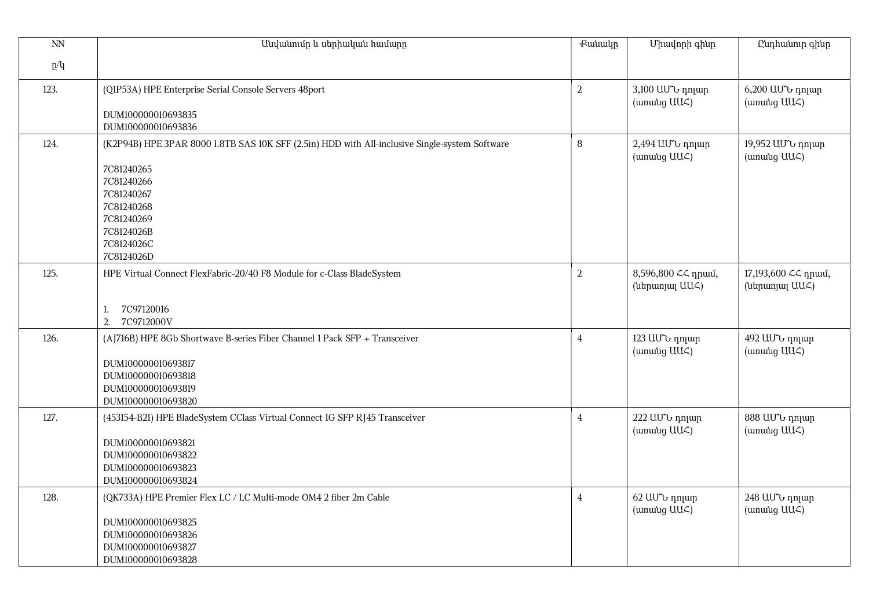| NN   | Անվանումը և սերիական համարը                                                                                                                                                                                    | <b></b> eutuulp | Միավորի գինը                         | Ընդհանուր գինը                          |
|------|----------------------------------------------------------------------------------------------------------------------------------------------------------------------------------------------------------------|-----------------|--------------------------------------|-----------------------------------------|
| p/q  |                                                                                                                                                                                                                |                 |                                      |                                         |
| 123. | (Q1P53A) HPE Enterprise Serial Console Servers 48port<br>DUM100000010693835<br>DUM100000010693836                                                                                                              | $\overline{2}$  | 3,100 UU Ն դոլար<br>(unuuug UU∠)     | 6,200 ԱՄՆ դոլար<br>(unuing UU<)         |
| 124. | (K2P94B) HPE 3PAR 8000 1.8TB SAS 10K SFF (2.5in) HDD with All-inclusive Single-system Software<br>7C81240265<br>7C81240266<br>7C81240267<br>7C81240268<br>7C81240269<br>7C8124026B<br>7C8124026C<br>7C8124026D | $\, 8$          | 2,494 ԱՄՆ դոլար<br>(unuuug UU∠)      | 19,952 UU Ն դոլար<br>(unuing UU<)       |
| 125. | HPE Virtual Connect FlexFabric-20/40 F8 Module for c-Class BladeSystem<br>7C97120016<br>1.<br>2.<br>7C9712000V                                                                                                 | $\overline{2}$  | 8,596,800 << npuu,<br>(ներառյալ UUՀ) | 17,193,600 << npuu 0,<br>(utinumuu UU<) |
| 126. | (AJ716B) HPE 8Gb Shortwave B-series Fiber Channel 1 Pack SFP + Transceiver<br>DUM100000010693817<br>DUM100000010693818<br>DUM100000010693819<br>DUM100000010693820                                             | $\overline{4}$  | 123 UU v nnun<br>(unuing UU<)        | 492 UU b nnun<br>(unuing UU<)           |
| 127. | (453154-B21) HPE BladeSystem CClass Virtual Connect 1G SFP RJ45 Transceiver<br>DUM100000010693821<br>DUM100000010693822<br>DUM100000010693823<br>DUM100000010693824                                            | $\overline{4}$  | 222 UU v nnun<br>(ununung UUC)       | 888 UU b nnun<br>(unuing UU<)           |
| 128. | (QK733A) HPE Premier Flex LC / LC Multi-mode OM4 2 fiber 2m Cable<br>DUM100000010693825<br>DUM100000010693826<br>DUM100000010693827<br>DUM100000010693828                                                      | $\overline{4}$  | 62 UU v nnun<br>(unuing UU∠)         | 248 UU v nnun<br>(unuing UU<)           |